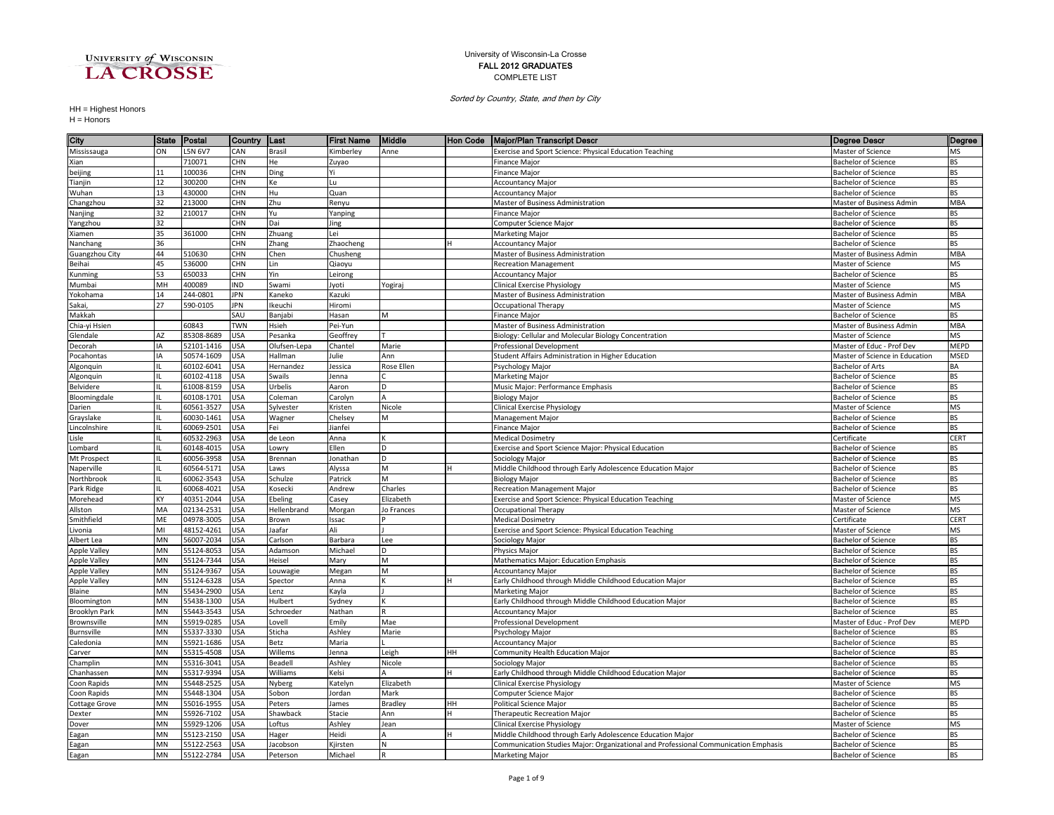

## University of Wisconsin-La Crosse FALL 2012 GRADUATES COMPLETE LIST

Sorted by Country, State, and then by City

HH = Highest Honors H = Honors

| City                      | <b>State</b> | Postal                   | Country    | ∥Last           | <b>First Name</b>  | Middle         | Hon Code  | Major/Plan Transcript Descr                                                         | <b>Degree Descr</b>                               | Degree          |
|---------------------------|--------------|--------------------------|------------|-----------------|--------------------|----------------|-----------|-------------------------------------------------------------------------------------|---------------------------------------------------|-----------------|
| Mississauga               | ON           | L5N 6V7                  | CAN        | <b>Brasil</b>   | Kimberley          | Anne           |           | Exercise and Sport Science: Physical Education Teaching                             | Master of Science                                 | MS              |
| Xian                      |              | 710071                   | CHN        | He              | Zuyao              |                |           | Finance Major                                                                       | <b>Bachelor of Science</b>                        | <b>BS</b>       |
| beijing                   | 11           | 100036                   | CHN        | Ding            | Yi                 |                |           | <b>Finance Major</b>                                                                | <b>Bachelor of Science</b>                        | BS              |
| Tianjin                   | 12           | 300200                   | CHN        | Кe              | Lu                 |                |           | <b>Accountancy Major</b>                                                            | <b>Bachelor of Science</b>                        | <b>BS</b>       |
| Wuhan                     | 13           | 430000                   | <b>CHN</b> | Hu              | Quan               |                |           | <b>Accountancy Major</b>                                                            | <b>Bachelor of Science</b>                        | <b>BS</b>       |
| Changzhou                 | 32           | 213000                   | CHN        | Zhu             | Renyu              |                |           | Master of Business Administration                                                   | Master of Business Admin                          | <b>MBA</b>      |
| Nanjing                   | 32           | 210017                   | CHN        | Yu              | Yanping            |                |           | Finance Major                                                                       | Bachelor of Science                               | <b>BS</b>       |
| Yangzhou                  | 32           |                          | <b>CHN</b> | Dai             | Jing               |                |           | Computer Science Major                                                              | <b>Bachelor of Science</b>                        | <b>BS</b>       |
| Xiamen                    | 35           | 361000                   | CHN        | Zhuang          | Lei                |                |           | Marketing Major                                                                     | <b>Bachelor of Science</b>                        | <b>BS</b>       |
| Nanchang                  | 36           |                          | CHN        | Zhang           | Zhaocheng          |                |           | <b>Accountancy Major</b>                                                            | <b>Bachelor of Science</b>                        | <b>BS</b>       |
| Guangzhou City            | 44           | 510630                   | CHN        | Chen            | Chusheng           |                |           | Master of Business Administration                                                   | Master of Business Admin                          | <b>MBA</b>      |
| Beihai                    | 45           | 536000                   | <b>CHN</b> | Lin             | Qiaoyu             |                |           | <b>Recreation Management</b>                                                        | Master of Science                                 | MS              |
| Kunming                   | 53           | 650033                   | CHN        | Yin             | Leirong            |                |           | <b>Accountancy Major</b>                                                            | <b>Bachelor of Science</b>                        | <b>BS</b>       |
| Mumbai                    | MH           | 400089                   | <b>ND</b>  | Swami           | lyoti              | Yogiraj        |           | Clinical Exercise Physiology                                                        | Master of Science                                 | MS              |
| Yokohama                  | 14           | 244-0801                 | JPN        | Kaneko          | Kazuki             |                |           | Master of Business Administration                                                   | Master of Business Admin                          | MBA             |
| Sakai,                    | 27           | 590-0105                 | JPN        | keuchi          | Hiromi             |                |           | <b>Occupational Therapy</b>                                                         | Master of Science                                 | MS              |
| Makkah                    |              |                          | SAU        | Banjabi         | Hasan              | M              |           | Finance Major                                                                       | <b>Bachelor of Science</b>                        | <b>BS</b>       |
| Chia-yi Hsien             |              | 60843                    | <b>TWN</b> | Hsieh           | Pei-Yun            |                |           | Master of Business Administration                                                   | Master of Business Admin                          | <b>MBA</b>      |
| Glendale                  | AZ           | 85308-8689               | <b>USA</b> | Pesanka         | Geoffrey           |                |           | Biology: Cellular and Molecular Biology Concentration                               | Master of Science                                 | MS              |
| Decorah                   |              | 52101-1416               | USA        | Olufsen-Lepa    | Chantel            | Marie          |           | Professional Development                                                            | Master of Educ - Prof Dev                         | <b>MEPD</b>     |
| Pocahontas                | IΑ           | 50574-1609               | USA        | Hallman         | Julie              | Ann            |           | Student Affairs Administration in Higher Education                                  | Master of Science in Education                    | MSED            |
| Algonquin                 |              | 60102-6041               | <b>JSA</b> | Hernandez       | lessica            | Rose Ellen     |           | Psychology Major                                                                    | Bachelor of Arts                                  | ВA              |
| Algonquin                 |              | 60102-4118               | USA        | Swails          | Jenna              |                |           | Marketing Major                                                                     | <b>Bachelor of Science</b>                        | <b>BS</b>       |
| Belvidere                 |              | 61008-8159               | USA        | Urbelis         | Aaron              | D              |           | Music Major: Performance Emphasis                                                   | <b>Bachelor of Science</b>                        | <b>BS</b>       |
| Bloomingdale              |              | 60108-1701               | USA        | Coleman         | Carolyn            | A              |           | <b>Biology Major</b>                                                                | <b>Bachelor of Science</b>                        | <b>BS</b>       |
| Darien                    |              | 60561-3527               | USA        | Sylvester       | Kristen            | Nicole         |           | Clinical Exercise Physiology                                                        | Master of Science                                 | MS              |
| Grayslake                 |              | 60030-1461               | USA        | Wagner          | Chelsey            | M              |           | Management Major                                                                    | <b>Bachelor of Science</b>                        | BS              |
| Lincolnshire              |              | 60069-2501               | USA        | Fei             | lianfei            |                |           | Finance Major                                                                       | <b>Bachelor of Science</b>                        | BS              |
| Lisle                     |              | 60532-2963               | <b>JSA</b> | de Leon         | Anna               |                |           | <b>Medical Dosimetry</b>                                                            | Certificate                                       | CERT            |
| Lombard                   |              | 60148-4015<br>60056-3958 | USA<br>USA | Lowry           | <b>Ilen</b>        | D<br>D.        |           | Exercise and Sport Science Major: Physical Education                                | Bachelor of Science                               | BS<br><b>BS</b> |
| Mt Prospect<br>Naperville |              | 60564-5171               | USA        | Brennan<br>Laws | Jonathan<br>Alyssa | M              |           | Sociology Major<br>Middle Childhood through Early Adolescence Education Major       | <b>Bachelor of Science</b><br>Bachelor of Science | <b>BS</b>       |
| Northbrook                |              | 60062-3543               | USA        | Schulze         | Patrick            | М              |           | <b>Biology Major</b>                                                                | <b>Bachelor of Science</b>                        | <b>BS</b>       |
| Park Ridge                |              | 60068-4021               | USA        | Kosecki         | Andrew             | Charles        |           | Recreation Management Major                                                         | <b>Bachelor of Science</b>                        | <b>BS</b>       |
| Morehead                  | <b>KY</b>    | 40351-2044               | USA        | Ebeling         | Casey              | Elizabeth      |           | Exercise and Sport Science: Physical Education Teaching                             | Master of Science                                 | MS              |
| Allston                   | MA           | 02134-2531               | USA        | Hellenbrand     | Morgan             | Jo Frances     |           | Occupational Therapy                                                                | Master of Science                                 | MS              |
| Smithfield                | ME           | 04978-3005               | USA        | Brown           | Issac              |                |           | <b>Medical Dosimetry</b>                                                            | Certificate                                       | CERT            |
| Livonia                   | MI           | 48152-4261               | <b>JSA</b> | laafar          | Ali                |                |           | <b>Exercise and Sport Science: Physical Education Teaching</b>                      | Master of Science                                 | <b>MS</b>       |
| Albert Lea                | MN           | 56007-2034               | USA        | Carlson         | Barbara            | Lee            |           | Sociology Major                                                                     | <b>Bachelor of Science</b>                        | BS              |
| <b>Apple Valley</b>       | MN           | 55124-8053               | <b>USA</b> | Adamson         | Michael            | D.             |           | Physics Major                                                                       | <b>Bachelor of Science</b>                        | <b>BS</b>       |
| <b>Apple Valley</b>       | MN           | 55124-7344               | USA        | Heisel          | Mary               | M              |           | Mathematics Major: Education Emphasis                                               | <b>Bachelor of Science</b>                        | <b>BS</b>       |
| Apple Valley              | MN           | 55124-9367               | USA        | Louwagie        | Megan              | M              |           | <b>Accountancy Major</b>                                                            | <b>Bachelor of Science</b>                        | BS              |
| <b>Apple Valley</b>       | MN           | 55124-6328               | USA        | Spector         | Anna               |                |           | Early Childhood through Middle Childhood Education Major                            | <b>Bachelor of Science</b>                        | <b>BS</b>       |
| Blaine                    | MN           | 55434-2900               | USA        | Lenz            | Kayla              |                |           | <b>Marketing Major</b>                                                              | <b>Bachelor of Science</b>                        | BS              |
| Bloomington               | MN           | 55438-1300               | <b>JSA</b> | Hulbert         | Sydney             |                |           | Early Childhood through Middle Childhood Education Major                            | Bachelor of Science                               | <b>BS</b>       |
| <b>Brooklyn Park</b>      | MN           | 55443-3543               | JSA        | Schroeder       | Nathan             |                |           | <b>Accountancy Major</b>                                                            | Bachelor of Science                               | BS              |
| Brownsville               | MN           | 55919-0285               | <b>JSA</b> | Lovell          | Emily              | Mae            |           | Professional Development                                                            | Master of Educ - Prof Dev                         | <b>MEPD</b>     |
| Burnsville                | MN           | 55337-3330               | USA        | Sticha          | Ashley             | Marie          |           | Psychology Major                                                                    | Bachelor of Science                               | ВS              |
| Caledonia                 | MN           | 55921-1686               | USA        | Betz            | Maria              |                |           | <b>Accountancy Major</b>                                                            | <b>Bachelor of Science</b>                        | BS              |
| Carver                    | MN           | 55315-4508               | USA        | Willems         | Jenna              | Leigh          | HH        | Community Health Education Major                                                    | Bachelor of Science                               | <b>BS</b>       |
| Champlin                  | MN           | 55316-3041               | JSA        | Beadell         | Ashley             | Nicole         |           | Sociology Major                                                                     | <b>Bachelor of Science</b>                        | BS              |
| Chanhassen                | ΜN           | 55317-9394               | USA        | Williams        | Kelsi              | А              |           | Early Childhood through Middle Childhood Education Major                            | <b>Bachelor of Science</b>                        | BS              |
| Coon Rapids               | MN           | 55448-2525               | USA        | Nyberg          | Katelyn            | Elizabeth      |           | Clinical Exercise Physiology                                                        | Master of Science                                 | MS              |
| Coon Rapids               | MN           | 55448-1304               | JSA        | Sobon           | Jordan             | Mark           |           | Computer Science Major                                                              | <b>Bachelor of Science</b>                        | <b>BS</b>       |
| <b>Cottage Grove</b>      | MN           | 55016-1955               | <b>JSA</b> | Peters          | lames              | <b>Bradlev</b> | <b>HH</b> | Political Science Major                                                             | Bachelor of Science                               | <b>BS</b>       |
| Dexter                    | MN           | 55926-7102               | USA        | Shawback        | Stacie             | Ann            |           | Therapeutic Recreation Major                                                        | <b>Bachelor of Science</b>                        | <b>BS</b>       |
| Dover                     | MN           | 55929-1206               | USA        | Loftus          | Ashley             | Jean           |           | Clinical Exercise Physiology                                                        | Master of Science                                 | MS              |
| Eagan                     | <b>MN</b>    | 55123-2150               | USA        | Hager           | Heidi              | А              | H         | Middle Childhood through Early Adolescence Education Major                          | <b>Bachelor of Science</b>                        | BS              |
| Eagan                     | MN           | 55122-2563               | USA        | Jacobson        | Kjirsten           | N              |           | Communication Studies Major: Organizational and Professional Communication Emphasis | <b>Bachelor of Science</b>                        | <b>BS</b>       |
| Eagan                     | <b>MN</b>    | 55122-2784               | USA        | Peterson        | Michael            | R              |           | <b>Marketing Major</b>                                                              | <b>Bachelor of Science</b>                        | <b>BS</b>       |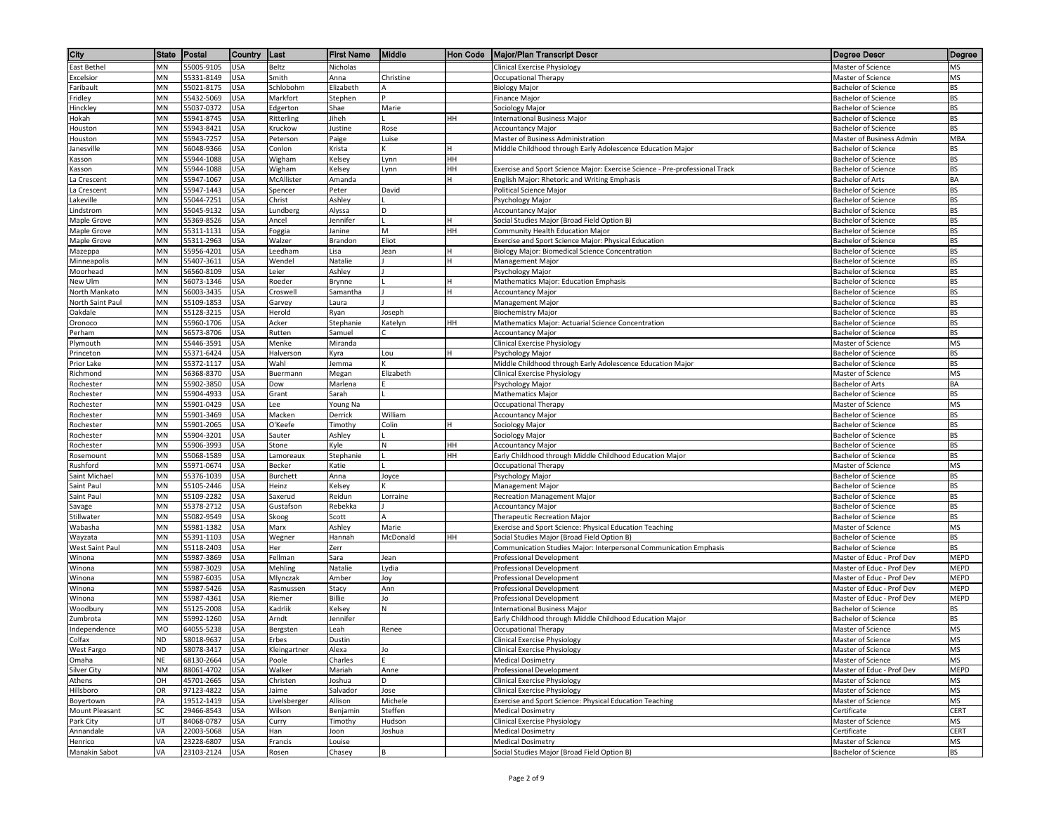| City                        | State           | Postal                   | Country    | Last                 | <b>First Name</b>   | Middle     | Hon Code | <b>Major/Plan Transcript Descr</b>                                                                                          | Degree Descr                                          | Degree                 |
|-----------------------------|-----------------|--------------------------|------------|----------------------|---------------------|------------|----------|-----------------------------------------------------------------------------------------------------------------------------|-------------------------------------------------------|------------------------|
| <b>East Bethel</b>          | MN              | 55005-9105               | <b>USA</b> | Beltz                | Nicholas            |            |          | <b>Clinical Exercise Physiology</b>                                                                                         | Master of Science                                     | <b>MS</b>              |
| Excelsior                   | MN              | 55331-8149               | USA        | Smith                | Anna                | Christine  |          | Occupational Therapy                                                                                                        | Master of Science                                     | <b>MS</b>              |
| Faribault                   | MN              | 55021-8175               | JSA        | Schlobohm            | Elizabeth           |            |          | <b>Biology Major</b>                                                                                                        | <b>Bachelor of Science</b>                            | <b>BS</b>              |
| Fridley                     | MN              | 55432-5069               | JSA        | Markfort             | Stephen             |            |          | Finance Major                                                                                                               | Bachelor of Science                                   | <b>BS</b>              |
| Hinckley                    | MN              | 55037-0372               | JSA        | Edgerton             | Shae                | Marie      |          | Sociology Major                                                                                                             | <b>Bachelor of Science</b>                            | <b>BS</b>              |
| Hokah                       | MN              | 55941-8745               | JSA        | Ritterling           | Jiheh               |            | HH       | <b>International Business Major</b>                                                                                         | <b>Bachelor of Science</b>                            | <b>BS</b>              |
| Houston                     | MN              | 55943-8421               | JSA        | Kruckow              | Justine             | Rose       |          | <b>Accountancy Major</b>                                                                                                    | <b>Bachelor of Science</b>                            | <b>BS</b>              |
| Houston                     | MN              | 55943-7257               | JSA        | Peterson             | Paige               | Luise      |          | Master of Business Administration                                                                                           | Master of Business Admin                              | <b>MBA</b>             |
| lanesville                  | MN              | 56048-9366               | JSA        | Conlon               | Krista              | ĸ          |          | Middle Childhood through Early Adolescence Education Major                                                                  | Bachelor of Science                                   | <b>BS</b>              |
| Kasson                      | <b>MN</b><br>MN | 55944-1088               | USA        | Wigham               | Kelsey              | Lynn       | HН       |                                                                                                                             | <b>Bachelor of Science</b>                            | <b>BS</b>              |
| Kasson<br>La Crescent       | MN              | 55944-1088<br>55947-1067 | JSA<br>USA | Wigham<br>McAllister | Kelsey<br>Amanda    | Lynn       | HH       | Exercise and Sport Science Major: Exercise Science - Pre-professional Track<br>English Major: Rhetoric and Writing Emphasis | <b>Bachelor of Science</b><br><b>Bachelor of Arts</b> | <b>BS</b><br>BA        |
| a Crescent                  | MN              | 55947-1443               | JSA        | Spencer              | Peter               | David      |          | Political Science Major                                                                                                     | <b>Bachelor of Science</b>                            | <b>BS</b>              |
| .akeville                   | MN              | 55044-7251               | JSA        | Christ               | Ashley              |            |          | Psychology Major                                                                                                            | <b>Bachelor of Science</b>                            | <b>BS</b>              |
| .indstrom                   | MN              | 55045-9132               | JSA        | Lundberg             | Alyssa              | D          |          | <b>Accountancy Major</b>                                                                                                    | <b>Bachelor of Science</b>                            | <b>BS</b>              |
| Maple Grove                 | MN              | 55369-8526               | JSA        | Ancel                | Jennifer            |            |          | Social Studies Major (Broad Field Option B)                                                                                 | Bachelor of Science                                   | <b>BS</b>              |
| Maple Grove                 | MN              | 55311-1131               | JSA        | Foggia               | Janine              | M          | HН       | Community Health Education Major                                                                                            | <b>Bachelor of Science</b>                            | <b>BS</b>              |
| Maple Grove                 | MN              | 55311-2963               | USA        | Walzer               | Brandon             | Eliot      |          | Exercise and Sport Science Major: Physical Education                                                                        | <b>Bachelor of Science</b>                            | <b>BS</b>              |
| Mazeppa                     | MN              | 55956-4201               | JSA        | Leedham              | Lisa                | Jean       | н        | Biology Major: Biomedical Science Concentration                                                                             | <b>Bachelor of Science</b>                            | <b>BS</b>              |
| Minneapolis                 | MN              | 55407-3611               | JSA        | Wendel               | Natalie             |            |          | Management Major                                                                                                            | Bachelor of Science                                   | <b>BS</b>              |
| Moorhead                    | MN              | 56560-8109               | JSA        | Leier                | Ashley              |            |          | Psychology Major                                                                                                            | <b>Bachelor of Science</b>                            | <b>BS</b>              |
| New Ulm                     | MN              | 56073-1346               | JSA        | Roeder               | Brynne              |            |          | Mathematics Major: Education Emphasis                                                                                       | <b>Bachelor of Science</b>                            | <b>BS</b>              |
| North Mankato               | MN              | 56003-3435               | JSA        | Croswell             | Samantha            |            |          | <b>Accountancy Major</b>                                                                                                    | Bachelor of Science                                   | <b>BS</b>              |
| North Saint Paul            | MN              | 55109-1853               | JSA        | Garvey               | Laura               |            |          | Management Major                                                                                                            | <b>Bachelor of Science</b>                            | <b>BS</b>              |
| Oakdale                     | MN              | 55128-3215               | USA        | Herold               | Ryan                | Joseph     |          | <b>Biochemistry Major</b>                                                                                                   | Bachelor of Science                                   | <b>BS</b>              |
| Oronoco                     | MN<br>MN        | 55960-1706<br>56573-8706 | USA        | Acker                | Stephanie<br>Samuel | Katelyn    | HH       | Mathematics Major: Actuarial Science Concentration                                                                          | <b>Bachelor of Science</b>                            | <b>BS</b>              |
| Perham<br>Plymouth          | MN              | 55446-3591               | JSA<br>JSA | Rutten<br>Menke      | Miranda             |            |          | <b>Accountancy Major</b><br><b>Clinical Exercise Physiology</b>                                                             | Bachelor of Science<br>Master of Science              | <b>BS</b><br><b>MS</b> |
| Princeton                   | MN              | 55371-6424               | JSA        | Halverson            | Kyra                | Lou        |          | Psychology Major                                                                                                            | <b>Bachelor of Science</b>                            | <b>BS</b>              |
| Prior Lake                  | MN              | 55372-1117               | JSA        | Wahl                 | Jemma               |            |          | Middle Childhood through Early Adolescence Education Major                                                                  | <b>Bachelor of Science</b>                            | <b>BS</b>              |
| Richmond                    | MN              | 56368-8370               | JSA        | Buermann             | Megan               | Elizabeth  |          | <b>Clinical Exercise Physiology</b>                                                                                         | Master of Science                                     | <b>MS</b>              |
| Rochester                   | MN              | 55902-3850               | JSA        | Dow                  | Marlena             |            |          | Psychology Major                                                                                                            | <b>Bachelor of Arts</b>                               | BA                     |
| Rochester                   | MN              | 55904-4933               | JSA        | Grant                | Sarah               |            |          | <b>Mathematics Major</b>                                                                                                    | <b>Bachelor of Science</b>                            | <b>BS</b>              |
| Rochester                   | MN              | 55901-0429               | JSA        | Lee                  | Young Na            |            |          | <b>Occupational Therapy</b>                                                                                                 | <b>Master of Science</b>                              | <b>MS</b>              |
| Rochester                   | MN              | 55901-3469               | USA        | Macken               | Derrick             | William    |          | <b>Accountancy Major</b>                                                                                                    | <b>Bachelor of Science</b>                            | <b>BS</b>              |
| Rochester                   | MN              | 55901-2065               | USA        | O'Keefe              | Timothy             | Colin      |          | Sociology Major                                                                                                             | Bachelor of Science                                   | <b>BS</b>              |
| Rochester                   | MN              | 55904-3201               | USA        | Sauter               | Ashley              |            |          | Sociology Major                                                                                                             | <b>Bachelor of Science</b>                            | <b>BS</b>              |
| Rochester                   | MN              | 55906-3993               | ISA        | Stone                | Kyle                | N          | нн       | <b>Accountancy Major</b>                                                                                                    | <b>Bachelor of Science</b>                            | <b>BS</b>              |
| Rosemount                   | MN              | 55068-1589               | JSA        | Lamoreaux            | Stephanie           |            | HН       | Early Childhood through Middle Childhood Education Major                                                                    | <b>Bachelor of Science</b>                            | <b>BS</b>              |
| Rushford                    | MN              | 55971-0674               | JSA        | Becker               | Katie               |            |          | Occupational Therapy                                                                                                        | Master of Science                                     | <b>MS</b>              |
| Saint Michael<br>Saint Paul | MN<br>MN        | 55376-1039<br>55105-2446 | JSA<br>JSA | Burchett<br>Heinz    | Anna<br>Kelsey      | Joyce<br>ĸ |          | Psychology Major<br>Management Major                                                                                        | Bachelor of Science<br><b>Bachelor of Science</b>     | <b>BS</b><br><b>BS</b> |
| Saint Paul                  | MN              | 55109-2282               | JSA        | Saxerud              | Reidun              | Lorraine   |          | Recreation Management Major                                                                                                 | <b>Bachelor of Science</b>                            | <b>BS</b>              |
| Savage                      | MN              | 55378-2712               | USA        | Gustafson            | Rebekka             |            |          | <b>Accountancy Major</b>                                                                                                    | <b>Bachelor of Science</b>                            | <b>BS</b>              |
| Stillwater                  | ΜN              | 55082-9549               | JSA        | Skoog                | Scott               |            |          | Therapeutic Recreation Major                                                                                                | Bachelor of Science                                   | <b>BS</b>              |
| Wabasha                     | MN              | 55981-1382               | JSA        | Marx                 | Ashley              | Marie      |          | Exercise and Sport Science: Physical Education Teaching                                                                     | Master of Science                                     | <b>MS</b>              |
| Wayzata                     | ΜN              | 55391-1103               | JSA        | Wegner               | Hannah              | McDonald   | HH       | Social Studies Major (Broad Field Option B)                                                                                 | <b>Bachelor of Science</b>                            | <b>BS</b>              |
| West Saint Paul             | ΜN              | 55118-2403               | JSA        | Her                  | Zerr                |            |          | Communication Studies Major: Interpersonal Communication Emphasis                                                           | <b>Bachelor of Science</b>                            | <b>BS</b>              |
| Winona                      | ΜN              | 55987-3869               | JSA        | Fellman              | Sara                | Jean       |          | Professional Development                                                                                                    | Master of Educ - Prof Dev                             | <b>MEPD</b>            |
| Winona                      | MN              | 55987-3029               | JSA        | Mehling              | Natalie             | Lydia      |          | Professional Development                                                                                                    | Master of Educ - Prof Dev                             | <b>MEPD</b>            |
| Winona                      | MN              | 55987-6035               | JSA        | Mlynczak             | Amber               | Joy        |          | Professional Development                                                                                                    | Master of Educ - Prof Dev                             | <b>MEPD</b>            |
| Winona                      | ΜN              | 55987-5426               | JSA        | Rasmussen            | Stacy               | Ann        |          | Professional Development                                                                                                    | Master of Educ - Prof Dev                             | <b>MEPD</b>            |
| Winona                      | MN              | 55987-4361               | JSA        | Riemer               | <b>Billie</b>       | Jo         |          | <b>Professional Development</b>                                                                                             | Master of Educ - Prof Dev                             | <b>MEPD</b>            |
| Woodbury                    | ΜN              | 55125-2008               | JSA        | Kadrlik              | Kelsey              | N          |          | <b>International Business Major</b>                                                                                         | Bachelor of Science                                   | <b>BS</b>              |
| Zumbrota<br>Independence    | ΜN<br>MO        | 55992-1260<br>64055-5238 | JSA<br>USA | Arndt                | Jennifer<br>Leah    | Renee      |          | Early Childhood through Middle Childhood Education Major                                                                    | <b>Bachelor of Science</b><br>Master of Science       | <b>BS</b><br><b>MS</b> |
| Colfax                      | <b>ND</b>       | 58018-9637               | <b>USA</b> | Bergsten<br>Erbes    | Dustin              |            |          | Occupational Therapy<br>Clinical Exercise Physiology                                                                        | Master of Science                                     | <b>MS</b>              |
| West Fargo                  | ND              | 58078-3417               | <b>USA</b> | Kleingartner         | Alexa               | Jo         |          | <b>Clinical Exercise Physiology</b>                                                                                         | Master of Science                                     | <b>MS</b>              |
| Omaha                       | NE              | 68130-2664               | USA        | Poole                | Charles             |            |          | <b>Medical Dosimetry</b>                                                                                                    | Master of Science                                     | <b>MS</b>              |
| Silver City                 | NM              | 88061-4702               | USA        | Walker               | Mariah              | Anne       |          | Professional Development                                                                                                    | Master of Educ - Prof Dev                             | <b>MEPD</b>            |
| Athens                      | OH              | 45701-2665               | JSA        | Christen             | Joshua              | D          |          | Clinical Exercise Physiology                                                                                                | Master of Science                                     | <b>MS</b>              |
| Hillsboro                   | OR              | 97123-4822               | JSA        | Jaime                | Salvador            | Jose       |          | <b>Clinical Exercise Physiology</b>                                                                                         | Master of Science                                     | <b>MS</b>              |
| Boyertown                   | PA              | 19512-1419               | ISA        | Livelsberger         | Allison             | Michele    |          | Exercise and Sport Science: Physical Education Teaching                                                                     | Master of Science                                     | <b>MS</b>              |
| Mount Pleasant              | SC              | 29466-8543               | JSA        | Wilson               | Benjamin            | Steffen    |          | <b>Medical Dosimetry</b>                                                                                                    | Certificate                                           | <b>CERT</b>            |
| Park City                   | UT              | 84068-0787               | JSA        | Curry                | Timothy             | Hudson     |          | Clinical Exercise Physiology                                                                                                | Master of Science                                     | <b>MS</b>              |
| Annandale                   | VA              | 22003-5068               | JSA        | Han                  | Joon                | Joshua     |          | <b>Medical Dosimetry</b>                                                                                                    | Certificate                                           | <b>CERT</b>            |
| Henrico                     | VA              | 23228-6807               | USA        | Francis              | Louise              |            |          | <b>Medical Dosimetry</b>                                                                                                    | Master of Science                                     | <b>MS</b>              |
| Manakin Sabot               | VA              | 23103-2124               | <b>USA</b> | Rosen                | Chasey              | B          |          | Social Studies Major (Broad Field Option B)                                                                                 | <b>Bachelor of Science</b>                            | <b>BS</b>              |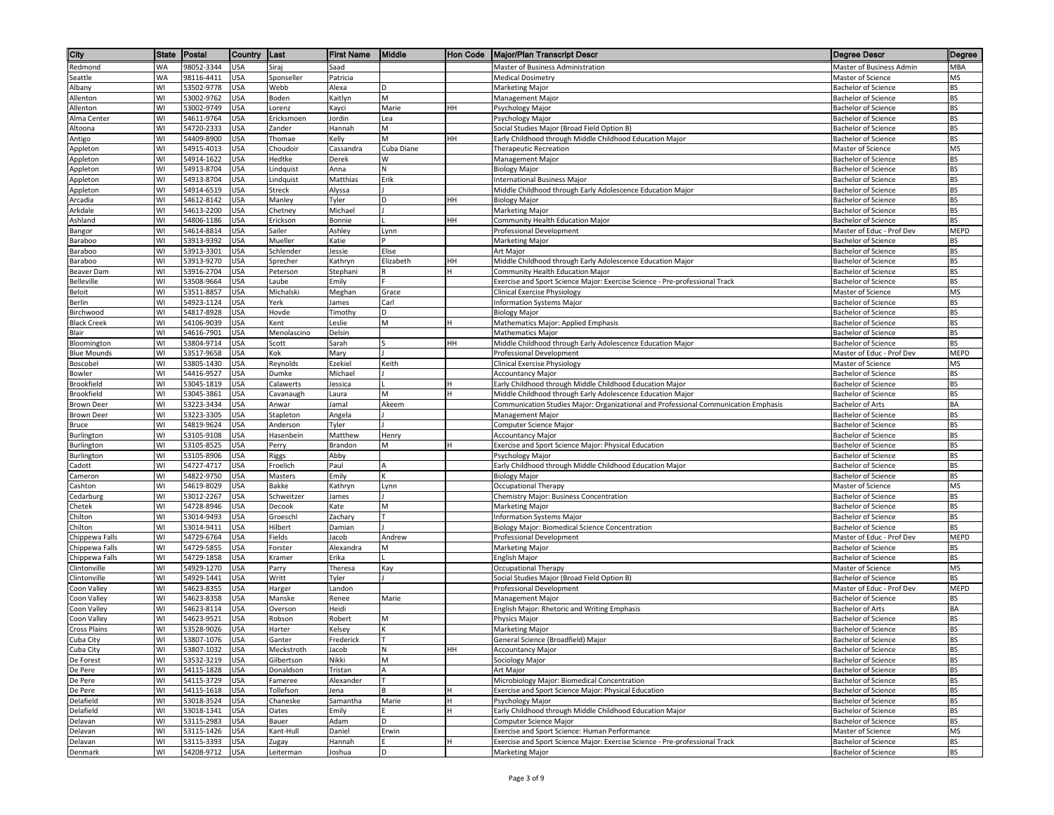| City                             | <b>State</b> | Postal                   | Country                  | ∥Last                   | <b>First Name</b>    | Middle          | Hon Code | <b>Major/Plan Transcript Descr</b>                                                                              | Degree Descr                                            | Degree          |
|----------------------------------|--------------|--------------------------|--------------------------|-------------------------|----------------------|-----------------|----------|-----------------------------------------------------------------------------------------------------------------|---------------------------------------------------------|-----------------|
| Redmond                          | <b>WA</b>    | 98052-3344               | <b>USA</b>               | Siraj                   | Saad                 |                 |          | Master of Business Administration                                                                               | Master of Business Admin                                | MBA             |
| Seattle                          | WA           | 98116-4411               | <b>USA</b>               | Sponseller              | Patricia             |                 |          | <b>Medical Dosimetry</b>                                                                                        | Master of Science                                       | MS              |
| Albany                           | WI           | 53502-9778               | USA                      | Webb                    | Alexa                | D               |          | Marketing Major                                                                                                 | <b>Bachelor of Science</b>                              | <b>BS</b>       |
| Allenton                         | WI           | 53002-9762               | USA                      | Boden                   | Kaitlyn              | M               |          | Management Major                                                                                                | <b>Bachelor of Science</b>                              | BS              |
| Allenton                         | WI           | 53002-9749               | JSA                      | Lorenz                  | Kayci                | Marie           | HH       | Psychology Major                                                                                                | <b>Bachelor of Science</b>                              | <b>BS</b>       |
| Alma Center                      | WI           | 54611-9764               | USA                      | Ericksmoen              | Jordin               | Lea             |          | Psychology Major                                                                                                | <b>Bachelor of Science</b>                              | BS              |
| Altoona                          | WI<br>WI     | 54720-2333               | USA                      | Zander                  | Hannah               | M               |          | Social Studies Maior (Broad Field Option B)                                                                     | Bachelor of Science                                     | <b>BS</b>       |
| Antigo                           | WI           | 54409-8900<br>54915-4013 | USA<br>USA               | Thomae<br>Choudoir      | Kelly<br>Cassandra   | M<br>Cuba Diane | HH       | Early Childhood through Middle Childhood Education Major<br><b>Therapeutic Recreation</b>                       | <b>Bachelor of Science</b><br>Master of Science         | BS<br>MS        |
| Appleton<br>Appleton             | WI           | 54914-1622               | USA                      | Hedtke                  | Derek                | W               |          | Management Major                                                                                                | Bachelor of Science                                     | BS              |
| Appleton                         | WI           | 54913-8704               | <b>USA</b>               | Lindquist               | Anna                 | N               |          | <b>Biology Major</b>                                                                                            | <b>Bachelor of Science</b>                              | <b>BS</b>       |
| Appleton                         | WI           | 54913-8704               | <b>USA</b>               | Lindquist               | Matthias             | Erik            |          | <b>International Business Major</b>                                                                             | <b>Bachelor of Science</b>                              | <b>BS</b>       |
| Appleton                         | WI           | 54914-6519               | JSA                      | <b>Streck</b>           | Alyssa               |                 |          | Middle Childhood through Early Adolescence Education Major                                                      | Bachelor of Science                                     | BS              |
| Arcadia                          | WI           | 54612-8142               | USA                      | Manley                  | Tyler                |                 | HH       | <b>Biology Major</b>                                                                                            | <b>Bachelor of Science</b>                              | BS              |
| Arkdale                          | WI           | 54613-2200               | USA                      | Chetney                 | Michael              |                 |          | Marketing Major                                                                                                 | Bachelor of Science                                     | BS              |
| Ashland                          | WI           | 54806-1186               | USA                      | Erickson                | Bonnie               |                 | HH       | Community Health Education Major                                                                                | Bachelor of Science                                     | BS              |
| Bangor                           | WI           | 54614-8814               | <b>USA</b>               | Sailer                  | Ashley               | Lynn            |          | Professional Development                                                                                        | Master of Educ - Prof Dev                               | MEPD            |
| Baraboo                          | WI           | 53913-9392               | <b>USA</b>               | Mueller                 | Katie                |                 |          | Marketing Major                                                                                                 | Bachelor of Science                                     | BS              |
| Baraboo                          | WI           | 53913-3301               | <b>USA</b>               | Schlender               | Jessie               | Elise           |          | Art Major                                                                                                       | <b>Bachelor of Science</b>                              | BS              |
| Baraboo                          | WI<br>WI     | 53913-9270               | <b>USA</b>               | Sprecher                | Kathryn              | Elizabeth       | HH       | Middle Childhood through Early Adolescence Education Major                                                      | <b>Bachelor of Science</b>                              | BS<br><b>BS</b> |
| Beaver Dam<br><b>Belleville</b>  | W١           | 53916-2704<br>53508-9664 | JSA<br>USA               | Peterson<br>Laube       | Stephani<br>Emily    |                 |          | Community Health Education Major<br>Exercise and Sport Science Major: Exercise Science - Pre-professional Track | Bachelor of Science<br><b>Bachelor of Science</b>       | BS              |
| Beloit                           | WI           | 53511-8857               | USA                      | Michalski               | Meghan               | Grace           |          | Clinical Exercise Physiology                                                                                    | Master of Science                                       | MS              |
| Berlin                           | WI           | 54923-1124               | USA                      | Yerk                    | James                | Carl            |          | <b>Information Systems Major</b>                                                                                | Bachelor of Science                                     | BS              |
| Birchwood                        | WI           | 54817-8928               | USA                      | Hovde                   | Timothy              | D               |          | <b>Biology Major</b>                                                                                            | <b>Bachelor of Science</b>                              | <b>BS</b>       |
| <b>Black Creek</b>               | WI           | 54106-9039               | USA                      | Kent                    | Leslie               | M               | IH.      | Mathematics Major: Applied Emphasis                                                                             | <b>Bachelor of Science</b>                              | BS              |
| Blair                            | WI           | 54616-7901               | USA                      | Menolascino             | Delsin               |                 |          | <b>Mathematics Major</b>                                                                                        | <b>Bachelor of Science</b>                              | BS              |
| Bloomington                      | WI           | 53804-9714               | USA                      | Scott                   | Sarah                |                 | HH       | Middle Childhood through Early Adolescence Education Major                                                      | <b>Bachelor of Science</b>                              | <b>BS</b>       |
| <b>Blue Mounds</b>               | WI           | 53517-9658               | USA                      | Kok                     | Mary                 |                 |          | Professional Development                                                                                        | Master of Educ - Prof Dev                               | MEPD            |
| Boscobel                         | WI           | 53805-1430               | JSA                      | Reynolds                | Ezekiel              | Keith           |          | Clinical Exercise Physiology                                                                                    | Master of Science                                       | MS              |
| Bowler                           | WI           | 54416-9527               | USA                      | Dumke                   | Michael              |                 |          | <b>Accountancy Major</b>                                                                                        | <b>Bachelor of Science</b>                              | BS              |
| <b>Brookfield</b>                | WI           | 53045-1819               | <b>USA</b>               | Calawerts               | Jessica              |                 |          | Early Childhood through Middle Childhood Education Major                                                        | Bachelor of Science                                     | <b>BS</b>       |
| Brookfield                       | WI           | 53045-3861               | USA                      | Cavanaugh               | Laura                | M               |          | Middle Childhood through Early Adolescence Education Major                                                      | Bachelor of Science                                     | BS              |
| <b>Brown Deer</b>                | WI<br>WI     | 53223-3434               | USA                      | Anwar                   | Jamal                | Akeem           |          | Communication Studies Major: Organizational and Professional Communication Emphasis<br><b>Management Major</b>  | Bachelor of Arts                                        | BA<br><b>BS</b> |
| <b>Brown Deer</b><br>Bruce       | WI           | 53223-3305<br>54819-9624 | <b>USA</b><br><b>USA</b> | Stapleton<br>Anderson   | Angela<br>Tyler      |                 |          | Computer Science Major                                                                                          | Bachelor of Science<br><b>Bachelor of Science</b>       | <b>BS</b>       |
| Burlington                       | WI           | 53105-9108               | USA                      | Hasenbein               | Matthew              | Henry           |          | <b>Accountancy Major</b>                                                                                        | <b>Bachelor of Science</b>                              | <b>BS</b>       |
| Burlington                       | WI           | 53105-8525               | USA                      | Perry                   | Brandon              | M               |          | Exercise and Sport Science Major: Physical Education                                                            | Bachelor of Science                                     | BS              |
| Burlington                       | WI           | 53105-8906               | JSA                      | Riggs                   | Abby                 |                 |          | Psychology Major                                                                                                | Bachelor of Science                                     | <b>BS</b>       |
| Cadott                           | W١           | 54727-4717               | USA                      | Froelich                | Paul                 |                 |          | Early Childhood through Middle Childhood Education Major                                                        | Bachelor of Science                                     | BS              |
| Cameron                          | WI           | 54822-9750               | USA                      | Masters                 | Emily                |                 |          | <b>Biology Major</b>                                                                                            | Bachelor of Science                                     | <b>BS</b>       |
| Cashton                          | WI           | 54619-8029               | USA                      | Bakke                   | Kathryn              | Lynn            |          | Occupational Therapy                                                                                            | Master of Science                                       | MS              |
| Cedarburg                        | WI           | 53012-2267               | USA                      | Schweitzer              | James                |                 |          | Chemistry Major: Business Concentration                                                                         | Bachelor of Science                                     | <b>BS</b>       |
| Chetek                           | WI           | 54728-8946               | USA                      | Decook                  | Kate                 | M               |          | Marketing Major                                                                                                 | <b>Bachelor of Science</b>                              | <b>BS</b>       |
| Chilton                          | WI           | 53014-9493               | USA                      | Groeschl                | Zachary              |                 |          | Information Systems Major                                                                                       | <b>Bachelor of Science</b>                              | BS              |
| Chilton                          | WI           | 53014-9411               | JSA                      | Hilbert                 | Damian               |                 |          | Biology Major: Biomedical Science Concentration                                                                 | Bachelor of Science                                     | <b>BS</b>       |
| Chippewa Falls<br>Chippewa Falls | WI<br>WI     | 54729-6764<br>54729-5855 | USA<br><b>USA</b>        | Fields<br>Forster       | Jacob<br>Alexandra   | Andrew<br>M     |          | Professional Development<br>Marketing Major                                                                     | Master of Educ - Prof Dev<br><b>Bachelor of Science</b> | MEPD<br>BS      |
| Chippewa Falls                   | W١           | 54729-1858               | <b>USA</b>               | Kramer                  | Erika                |                 |          | English Major                                                                                                   | Bachelor of Science                                     | BS              |
| Clintonville                     | WI           | 54929-1270               | USA                      | Parry                   | Theresa              | Kay             |          | <b>Occupational Therapy</b>                                                                                     | Master of Science                                       | MS              |
| Clintonville                     | WI           | 54929-1441               | USA                      | Writt                   | Tyler                |                 |          | Social Studies Major (Broad Field Option B)                                                                     | <b>Bachelor of Science</b>                              | BS              |
| Coon Valley                      | WI           | 54623-8355               | USA                      | Harger                  | Landon               |                 |          | <b>Professional Development</b>                                                                                 | Master of Educ - Prof Dev                               | MEPD            |
| Coon Valley                      | WI           | 54623-8358               | USA                      | Manske                  | Renee                | Marie           |          | Management Major                                                                                                | <b>Bachelor of Science</b>                              | BS              |
| Coon Valley                      | W١           | 54623-8114               | <b>USA</b>               | Overson                 | Heidi                |                 |          | English Major: Rhetoric and Writing Emphasis                                                                    | Bachelor of Arts                                        | BA              |
| Coon Valley                      | WI           | 54623-9521               | USA                      | Robson                  | Robert               | M               |          | Physics Major                                                                                                   | Bachelor of Science                                     | BS              |
| <b>Cross Plains</b>              | WI           | 53528-9026               | <b>USA</b>               | Harter                  | Kelsey               |                 |          | Marketing Major                                                                                                 | <b>Bachelor of Science</b>                              | BS              |
| Cuba City                        | WI           | 53807-1076               | <b>USA</b>               | Ganter                  | Frederick            |                 |          | General Science (Broadfield) Major                                                                              | <b>Bachelor of Science</b>                              | <b>BS</b>       |
| Cuba City                        | WI           | 53807-1032               | <b>USA</b>               | Meckstroth              | Jacob                | N               | HH       | Accountancy Major                                                                                               | <b>Bachelor of Science</b>                              | BS              |
| De Forest                        | WI<br>WI     | 53532-3219               | <b>USA</b>               | Gilbertson<br>Donaldson | Nikki                | M               |          | Sociology Major                                                                                                 | Bachelor of Science<br><b>Bachelor of Science</b>       | BS<br><b>BS</b> |
| De Pere<br>De Pere               | WI           | 54115-1828<br>54115-3729 | <b>USA</b><br><b>USA</b> | Fameree                 | Tristan<br>Alexander | A               |          | Art Major<br>Microbiology Major: Biomedical Concentration                                                       | Bachelor of Science                                     | BS              |
| De Pere                          | WI           | 54115-1618               | USA                      | Tollefson               | Jena                 |                 |          | Exercise and Sport Science Major: Physical Education                                                            | Bachelor of Science                                     | BS              |
| Delafield                        | W١           | 53018-3524               | USA                      | Chaneske                | Samantha             | Marie           |          | Psychology Major                                                                                                | Bachelor of Science                                     | BS              |
| Delafield                        | WI           | 53018-1341               | USA                      | Oates                   | Emily                |                 |          | Early Childhood through Middle Childhood Education Major                                                        | <b>Bachelor of Science</b>                              | BS              |
| Delavan                          | WI           | 53115-2983               | <b>USA</b>               | Bauer                   | Adam                 | D               |          | <b>Computer Science Major</b>                                                                                   | <b>Bachelor of Science</b>                              | BS              |
| Delavan                          | WI           | 53115-1426               | <b>USA</b>               | Kant-Hull               | Daniel               | Erwin           |          | Exercise and Sport Science: Human Performance                                                                   | Master of Science                                       | MS              |
| Delavan                          | WI           | 53115-3393               | <b>USA</b>               | Zugay                   | Hannah               |                 |          | Exercise and Sport Science Major: Exercise Science - Pre-professional Track                                     | <b>Bachelor of Science</b>                              | BS              |
| Denmark                          | W١           | 54208-9712               | <b>USA</b>               | Leiterman               | Joshua               | D               |          | Marketing Major                                                                                                 | Bachelor of Science                                     | BS              |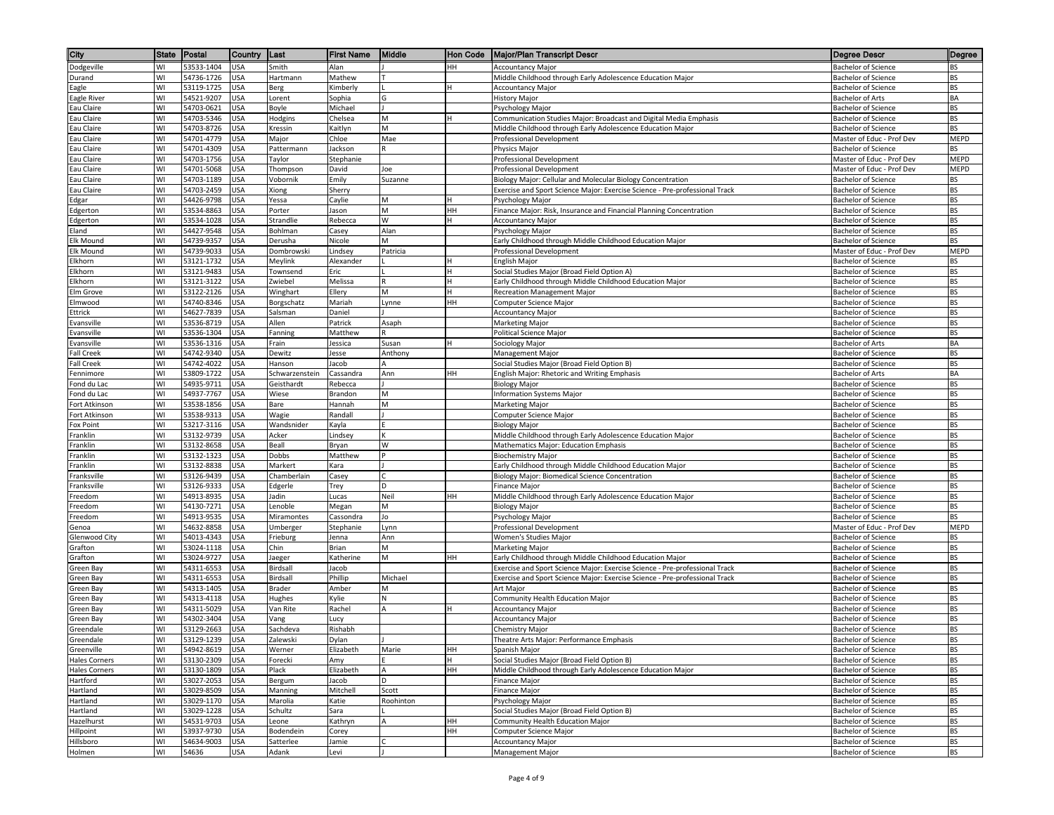| City                                         | <b>State</b> | Postal                   | Country                  | ∥Last                | <b>First Name</b>  | Middle      | Hon Code | <b>Major/Plan Transcript Descr</b>                                                                        | Degree Descr                                            | Degree            |
|----------------------------------------------|--------------|--------------------------|--------------------------|----------------------|--------------------|-------------|----------|-----------------------------------------------------------------------------------------------------------|---------------------------------------------------------|-------------------|
| Dodgeville                                   | WI           | 53533-1404               | <b>USA</b>               | Smith                | Alan               |             | HH       | <b>Accountancy Major</b>                                                                                  | <b>Bachelor of Science</b>                              | BS                |
| Durand                                       | WI           | 54736-1726               | <b>USA</b>               | Hartmann             | Mathew             |             |          | Middle Childhood through Early Adolescence Education Major                                                | <b>Bachelor of Science</b>                              | BS                |
| Eagle                                        | WI           | 53119-1725               | <b>USA</b>               | Berg                 | Kimberly           |             |          | <b>Accountancy Major</b>                                                                                  | <b>Bachelor of Science</b>                              | <b>BS</b>         |
| Eagle River                                  | W١           | 54521-9207               | USA                      | .orent               | Sophia             | G           |          | <b>History Major</b>                                                                                      | Bachelor of Arts                                        | BA                |
| Eau Claire                                   | WI           | 54703-0621               | JSA                      | Boyle                | Michael            |             |          | Psychology Major                                                                                          | <b>Bachelor of Science</b>                              | <b>BS</b>         |
| Eau Claire                                   | WI           | 54703-5346               | USA                      | Hodgins              | Chelsea            | M           |          | Communication Studies Major: Broadcast and Digital Media Emphasis                                         | Bachelor of Science                                     | BS                |
| Eau Claire                                   | WI<br>WI     | 54703-8726               | USA                      | Kressin              | Kaitlyn            | M<br>Mae    |          | Middle Childhood through Early Adolescence Education Major                                                | <b>Bachelor of Science</b><br>Master of Educ - Prof Dev | <b>BS</b><br>MEPD |
| Eau Claire<br>Eau Claire                     | WI           | 54701-4779<br>54701-4309 | <b>USA</b><br>USA        | Major<br>Pattermann  | Chloe<br>Jackson   |             |          | Professional Development<br>Physics Major                                                                 | <b>Bachelor of Science</b>                              | BS                |
| Eau Claire                                   | WI           | 54703-1756               | <b>USA</b>               | Taylor               | Stephanie          |             |          | <b>Professional Development</b>                                                                           | Master of Educ - Prof Dev                               | <b>MEPD</b>       |
| Eau Claire                                   | WI           | 54701-5068               | <b>USA</b>               | Thompson             | David              | Joe         |          | Professional Development                                                                                  | Master of Educ - Prof Dev                               | MEPD              |
| Eau Claire                                   | WI           | 54703-1189               | USA                      | Vobornik             | Emily              | Suzanne     |          | Biology Major: Cellular and Molecular Biology Concentration                                               | <b>Bachelor of Science</b>                              | BS                |
| Eau Claire                                   | WI           | 54703-2459               | JSA                      | Xiong                | Sherry             |             |          | Exercise and Sport Science Major: Exercise Science - Pre-professional Track                               | <b>Bachelor of Science</b>                              | ВS                |
| Edgar                                        | WI           | 54426-9798               | USA                      | Yessa                | Caylie             | M           |          | Psychology Major                                                                                          | <b>Bachelor of Science</b>                              | <b>BS</b>         |
| Edgerton                                     | W١           | 53534-8863               | <b>USA</b>               | Porter               | Jason              | M           | HH       | Finance Major: Risk, Insurance and Financial Planning Concentration                                       | Bachelor of Science                                     | BS                |
| Edgerton                                     | WI           | 53534-1028               | USA                      | Strandlie            | Rebecca            | W           |          | <b>Accountancy Major</b>                                                                                  | Bachelor of Science                                     | <b>BS</b>         |
| Eland                                        | WI           | 54427-9548               | <b>USA</b>               | Bohlman              | Casey              | Alan        |          | Psychology Major                                                                                          | <b>Bachelor of Science</b>                              | BS                |
| Elk Mound                                    | WI           | 54739-9357               | <b>USA</b>               | Derusha              | Nicole             | м           |          | Early Childhood through Middle Childhood Education Major                                                  | Bachelor of Science                                     | BS                |
| Elk Mound                                    | WI           | 54739-9033               | USA                      | Dombrowski           | Lindsey            | Patricia    |          | Professional Development                                                                                  | Master of Educ - Prof Dev                               | <b>MEPD</b>       |
| Elkhorn                                      | WI<br>WI     | 53121-1732<br>53121-9483 | <b>USA</b>               | Meylink              | Alexander          |             |          | English Major                                                                                             | <b>Bachelor of Science</b>                              | BS<br><b>BS</b>   |
| Elkhorn<br>Elkhorn                           | WI           | 53121-3122               | JSA<br>USA               | Townsend<br>Zwiebel  | Eric<br>Melissa    |             |          | Social Studies Major (Broad Field Option A)<br>Early Childhood through Middle Childhood Education Major   | Bachelor of Science<br><b>Bachelor of Science</b>       | BS                |
| Elm Grove                                    | WI           | 53122-2126               | <b>USA</b>               | Winghart             | Ellery             | M           |          | Recreation Management Major                                                                               | <b>Bachelor of Science</b>                              | <b>BS</b>         |
| Elmwood                                      | W١           | 54740-8346               | <b>USA</b>               | Borgschatz           | Mariah             | Lynne       | HH       | Computer Science Major                                                                                    | Bachelor of Science                                     | BS                |
| Ettrick                                      | WI           | 54627-7839               | USA                      | Salsman              | Daniel             |             |          | <b>Accountancy Major</b>                                                                                  | <b>Bachelor of Science</b>                              | <b>BS</b>         |
| Evansville                                   | WI           | 53536-8719               | <b>USA</b>               | Allen                | Patrick            | Asaph       |          | Marketing Major                                                                                           | <b>Bachelor of Science</b>                              | BS                |
| Evansville                                   | WI           | 53536-1304               | USA                      | Fanning              | Matthew            |             |          | Political Science Major                                                                                   | <b>Bachelor of Science</b>                              | BS                |
| Evansville                                   | WI           | 53536-1316               | USA                      | Frain                | Jessica            | Susan       |          | Sociology Major                                                                                           | <b>Bachelor of Arts</b>                                 | BA                |
| <b>Fall Creek</b>                            | WI           | 54742-9340               | USA                      | Dewitz               | Jesse              | Anthony     |          | Management Major                                                                                          | <b>Bachelor of Science</b>                              | BS                |
| <b>Fall Creek</b>                            | WI           | 54742-4022               | JSA                      | Hanson               | lacob              |             |          | Social Studies Major (Broad Field Option B)                                                               | Bachelor of Science                                     | BS                |
| Fennimore                                    | WI           | 53809-1722               | USA                      | Schwarzenstein       | Cassandra          | Ann         | HН       | English Major: Rhetoric and Writing Emphasis                                                              | Bachelor of Arts                                        | BA                |
| Fond du Lac                                  | WI           | 54935-9711               | <b>USA</b>               | Geisthardt           | Rebecca            |             |          | <b>Biology Major</b>                                                                                      | Bachelor of Science                                     | <b>BS</b>         |
| Fond du Lac                                  | W١           | 54937-7767               | USA                      | Wiese                | Brandon            | М           |          | <b>Information Systems Major</b>                                                                          | Bachelor of Science                                     | BS                |
| Fort Atkinson<br>Fort Atkinson               | WI<br>WI     | 53538-1856<br>53538-9313 | USA<br><b>USA</b>        | Bare<br>Wagie        | Hannah<br>Randall  | M           |          | Marketing Major<br>Computer Science Major                                                                 | <b>Bachelor of Science</b><br>Bachelor of Science       | BS<br><b>BS</b>   |
| Fox Point                                    | WI           | 53217-3116               | <b>USA</b>               | Wandsnider           | Kayla              |             |          | <b>Biology Major</b>                                                                                      | <b>Bachelor of Science</b>                              | <b>BS</b>         |
| Franklin                                     | WI           | 53132-9739               | USA                      | Acker                | Lindsey            |             |          | Middle Childhood through Early Adolescence Education Major                                                | <b>Bachelor of Science</b>                              | <b>BS</b>         |
| Franklin                                     | WI           | 53132-8658               | USA                      | Beall                | Bryan              | W           |          | Mathematics Major: Education Emphasis                                                                     | Bachelor of Science                                     | BS                |
| Franklin                                     | WI           | 53132-1323               | JSA                      | Dobbs                | Matthew            |             |          | <b>Biochemistry Major</b>                                                                                 | Bachelor of Science                                     | <b>BS</b>         |
| Franklin                                     | W١           | 53132-8838               | USA                      | Markert              | Kara               |             |          | Early Childhood through Middle Childhood Education Major                                                  | Bachelor of Science                                     | <b>BS</b>         |
| <b>Franksville</b>                           | WI           | 53126-9439               | JSA                      | Chamberlain          | Casey              |             |          | Biology Major: Biomedical Science Concentration                                                           | Bachelor of Science                                     | <b>BS</b>         |
| <b>Franksville</b>                           | WI           | 53126-9333               | USA                      | Edgerle              | Trey               | D           |          | Finance Major                                                                                             | <b>Bachelor of Science</b>                              | BS                |
| Freedom                                      | WI           | 54913-8935               | <b>USA</b>               | ladin                | Lucas              | Neil        | HН       | Middle Childhood through Early Adolescence Education Major                                                | Bachelor of Science                                     | <b>BS</b>         |
| Freedom                                      | WI           | 54130-7271               | USA                      | Lenoble              | Megan              | M           |          | <b>Biology Major</b>                                                                                      | <b>Bachelor of Science</b>                              | <b>BS</b>         |
| reedom                                       | WI           | 54913-9535               | USA                      | Miramontes           | Cassondra          | Jo          |          | Psychology Major                                                                                          | <b>Bachelor of Science</b>                              | BS                |
| ienoa                                        | WI<br>WI     | 54632-8858<br>54013-4343 | JSA<br>USA               | Umberger<br>Frieburg | Stephanie<br>Jenna | Lynn<br>Ann |          | Professional Development<br>Women's Studies Major                                                         | Master of Educ - Prof Dev<br>Bachelor of Science        | <b>MEPD</b><br>BS |
| Glenwood City<br>Grafton                     | WI           | 53024-1118               | USA                      | Chin                 | Brian              | N           |          | <b>Marketing Major</b>                                                                                    | <b>Bachelor of Science</b>                              | <b>BS</b>         |
| Grafton                                      | W١           | 53024-9727               | USA                      | laeger               | Katherine          | M           | HH       | Early Childhood through Middle Childhood Education Major                                                  | Bachelor of Science                                     | BS                |
| Green Bay                                    | WI           | 54311-6553               | USA                      | Birdsall             | Jacob              |             |          | Exercise and Sport Science Major: Exercise Science - Pre-professional Track                               | <b>Bachelor of Science</b>                              | <b>BS</b>         |
| Green Bay                                    | WI           | 54311-6553               | USA                      | Birdsall             | Phillip            | Michael     |          | Exercise and Sport Science Major: Exercise Science - Pre-professional Track                               | <b>Bachelor of Science</b>                              | BS                |
| Green Bay                                    | WI           | 54313-1405               | USA                      | Brader               | Amber              | M           |          | Art Major                                                                                                 | <b>Bachelor of Science</b>                              | BS                |
| Green Bay                                    | WI           | 54313-4118               | USA                      | Hughes               | Kylie              | N           |          | Community Health Education Major                                                                          | <b>Bachelor of Science</b>                              | <b>BS</b>         |
| Green Bay                                    | WI           | 54311-5029               | USA                      | Van Rite             | Rachel             | А           |          | Accountancy Major                                                                                         | <b>Bachelor of Science</b>                              | BS                |
| Green Bay                                    | WI           | 54302-3404               | USA                      | Vang                 | Lucy               |             |          | <b>Accountancy Major</b>                                                                                  | Bachelor of Science                                     | BS                |
| Greendale                                    | WI           | 53129-2663               | <b>USA</b>               | Sachdeva             | Rishabh            |             |          | Chemistry Major                                                                                           | <b>Bachelor of Science</b>                              | BS                |
| Greendale                                    | WI           | 53129-1239               | <b>USA</b>               | Zalewski             | Dylan              |             |          | Theatre Arts Major: Performance Emphasis                                                                  | <b>Bachelor of Science</b>                              | <b>BS</b>         |
| Greenville                                   | WI<br>W١     | 54942-8619               | <b>USA</b>               | Werner               | Elizabeth          | Marie       | HH       | Spanish Major                                                                                             | Bachelor of Science                                     | BS<br>BS          |
| <b>Hales Corners</b><br><b>Hales Corners</b> | WI           | 53130-2309<br>53130-1809 | <b>USA</b><br><b>USA</b> | Forecki<br>Plack     | Amy<br>Elizabeth   | A           | HH       | Social Studies Major (Broad Field Option B)<br>Middle Childhood through Early Adolescence Education Major | Bachelor of Science<br><b>Bachelor of Science</b>       | <b>BS</b>         |
| Hartford                                     | W١           | 53027-2053               | USA                      | Bergum               | Jacob              | D           |          | <b>Finance Major</b>                                                                                      | Bachelor of Science                                     | BS                |
| Hartland                                     | WI           | 53029-8509               | JSA                      | Manning              | Mitchell           | Scott       |          | Finance Major                                                                                             | <b>Bachelor of Science</b>                              | BS                |
| Hartland                                     | W١           | 53029-1170               | JSA                      | Marolia              | Katie              | Roohinton   |          | Psychology Major                                                                                          | Bachelor of Science                                     | BS                |
| Hartland                                     | WI           | 53029-1228               | USA                      | Schultz              | Sara               |             |          | Social Studies Major (Broad Field Option B)                                                               | <b>Bachelor of Science</b>                              | BS                |
| Hazelhurst                                   | WI           | 54531-9703               | <b>USA</b>               | Leone                | Kathryn            | A           | HH       | Community Health Education Major                                                                          | Bachelor of Science                                     | BS                |
| Hillpoint                                    | WI           | 53937-9730               | <b>USA</b>               | Bodendein            | Corey              |             | HH       | Computer Science Major                                                                                    | Bachelor of Science                                     | BS                |
| Hillsboro                                    | WI           | 54634-9003               | <b>USA</b>               | Satterlee            | Jamie              |             |          | <b>Accountancy Major</b>                                                                                  | Bachelor of Science                                     | BS                |
| Holmen                                       | W١           | 54636                    | <b>USA</b>               | Adank                | Levi               |             |          | Management Major                                                                                          | <b>Bachelor of Science</b>                              | BS                |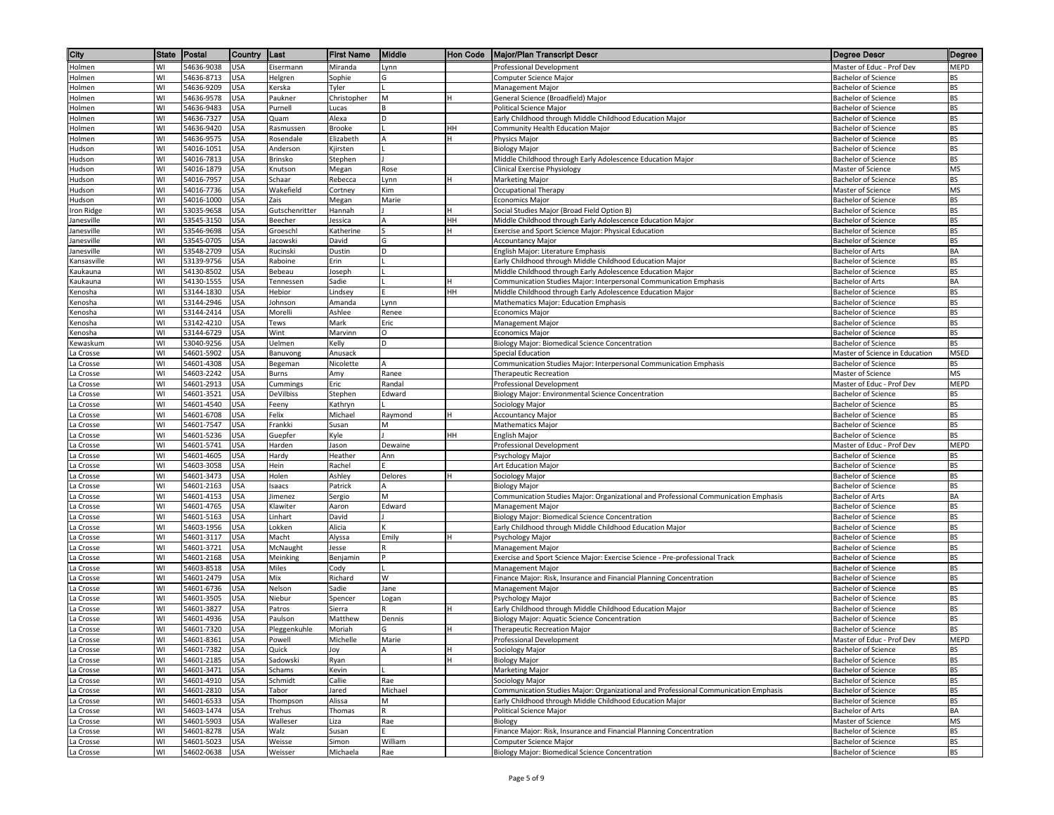| City                                                                                                                                                                                                                                      | State    | Postal                   | Country    | ∥Last                 | <b>First Name</b>     | Middle       | <b>Hon Code</b> | <b>Major/Plan Transcript Descr</b>                                                                                              | Degree Descr                                             | Degree    |
|-------------------------------------------------------------------------------------------------------------------------------------------------------------------------------------------------------------------------------------------|----------|--------------------------|------------|-----------------------|-----------------------|--------------|-----------------|---------------------------------------------------------------------------------------------------------------------------------|----------------------------------------------------------|-----------|
| Holmen                                                                                                                                                                                                                                    | WI       | 54636-9038               | <b>USA</b> | Eisermann             | Miranda               | Lynn         |                 | Professional Development                                                                                                        | Master of Educ - Prof Dev                                | MEPD      |
| Holmen                                                                                                                                                                                                                                    | WI       | 54636-8713               | USA        | Helgren               | Sophie                | G            |                 | Computer Science Major                                                                                                          | <b>Bachelor of Science</b>                               | ВS        |
| Holmen                                                                                                                                                                                                                                    | WI       | 54636-9209               | USA        | Kerska                | Tyler                 |              |                 | Management Major                                                                                                                | <b>Bachelor of Science</b>                               | BS        |
| Holmen                                                                                                                                                                                                                                    | WI       | 54636-9578               | USA        | Paukner               | Christopher           | M            |                 | General Science (Broadfield) Major                                                                                              | Bachelor of Science                                      | ВS        |
| Holmen                                                                                                                                                                                                                                    | WI       | 54636-9483               | JSA        | Purnell               | Lucas                 |              |                 | Political Science Major                                                                                                         | <b>Bachelor of Science</b>                               | BS        |
| Holmen                                                                                                                                                                                                                                    | WI       | 54636-7327               | JSA        | Quam                  | Alexa                 | D            |                 | Early Childhood through Middle Childhood Education Major                                                                        | <b>Bachelor of Science</b>                               | ВS        |
| Holmen                                                                                                                                                                                                                                    | WI       | 54636-9420               | <b>USA</b> | Rasmussen             | <b>Brooke</b>         |              | HН              | Community Health Education Major                                                                                                | <b>Bachelor of Science</b>                               | BS        |
| Holmen<br>ludson                                                                                                                                                                                                                          | WI<br>WI | 54636-9575<br>54016-1051 | USA<br>USA | Rosendale<br>Anderson | Elizabeth<br>Kjirsten | A            |                 | Physics Major<br><b>Biology Major</b>                                                                                           | Bachelor of Science<br><b>Bachelor of Science</b>        | BS<br>BS  |
| Hudson                                                                                                                                                                                                                                    | WI       | 54016-7813               | USA        | Brinsko               | Stephen               |              |                 | Middle Childhood through Early Adolescence Education Major                                                                      | <b>Bachelor of Science</b>                               | BS        |
| Hudson                                                                                                                                                                                                                                    | WI       | 54016-1879               | USA        | Knutson               | Megan                 | Rose         |                 | Clinical Exercise Physiology                                                                                                    | Master of Science                                        | MS        |
| Hudson                                                                                                                                                                                                                                    | WI       | 54016-7957               | USA        | Schaar                | Rebecca               | Lynn         | H               | Marketing Major                                                                                                                 | <b>Bachelor of Science</b>                               | BS        |
| Hudson                                                                                                                                                                                                                                    | WI       | 54016-7736               | USA        | Wakefield             | Cortney               | Kim          |                 | Occupational Therapy                                                                                                            | Master of Science                                        | ΜS        |
| Hudson                                                                                                                                                                                                                                    | WI       | 54016-1000               | JSA        | Zais                  | Megan                 | Marie        |                 | <b>Economics Major</b>                                                                                                          | <b>Bachelor of Science</b>                               | BS        |
| Iron Ridge                                                                                                                                                                                                                                | WI       | 53035-9658               | USA        | Gutschenritter        | Hannah                |              |                 | Social Studies Major (Broad Field Option B)                                                                                     | <b>Bachelor of Science</b>                               | ВS        |
| Janesville                                                                                                                                                                                                                                | WI       | 53545-3150               | JSA        | Beecher               | lessica               |              | HН              | Middle Childhood through Early Adolescence Education Major                                                                      | <b>Bachelor of Science</b>                               | BS        |
| lanesville                                                                                                                                                                                                                                | WI       | 53546-9698               | JSA        | Groeschl              | Katherine             |              |                 | Exercise and Sport Science Major: Physical Education                                                                            | <b>Bachelor of Science</b>                               | ВS        |
| Janesville                                                                                                                                                                                                                                | WI       | 53545-0705               | USA        | Jacowski              | David                 | G            |                 | <b>Accountancy Major</b>                                                                                                        | Bachelor of Science                                      | BS        |
| Janesville                                                                                                                                                                                                                                | WI       | 53548-2709               | USA        | Rucinski              | Dustin                | D            |                 | English Major: Literature Emphasis                                                                                              | <b>Bachelor of Arts</b>                                  | BA        |
| <ansasville< td=""><td>WI</td><td>53139-9756</td><td>JSA</td><td>Raboine</td><td>Erin</td><td></td><td></td><td>Early Childhood through Middle Childhood Education Major</td><td><b>Bachelor of Science</b></td><td>ВS</td></ansasville<> | WI       | 53139-9756               | JSA        | Raboine               | Erin                  |              |                 | Early Childhood through Middle Childhood Education Major                                                                        | <b>Bachelor of Science</b>                               | ВS        |
| Kaukauna                                                                                                                                                                                                                                  | WI<br>WI | 54130-8502<br>54130-1555 | JSA<br>USA | Bebeau                | Joseph<br>Sadie       |              |                 | Middle Childhood through Early Adolescence Education Major                                                                      | <b>Bachelor of Science</b>                               | BS<br>BA  |
| Kaukauna<br>Kenosha                                                                                                                                                                                                                       | WI       | 53144-1830               | <b>USA</b> | Tennessen<br>Hebior   | Lindsey               |              | HН              | Communication Studies Major: Interpersonal Communication Emphasis<br>Middle Childhood through Early Adolescence Education Major | Bachelor of Arts<br><b>Bachelor of Science</b>           | BS        |
| Kenosha                                                                                                                                                                                                                                   | WI       | 53144-2946               | USA        | Johnson               | Amanda                | Lynn         |                 | <b>Mathematics Major: Education Emphasis</b>                                                                                    | <b>Bachelor of Science</b>                               | BS        |
| Kenosha                                                                                                                                                                                                                                   | WI       | 53144-2414               | USA        | Morelli               | Ashlee                | Renee        |                 | Economics Major                                                                                                                 | <b>Bachelor of Science</b>                               | BS        |
| Kenosha                                                                                                                                                                                                                                   | WI       | 53142-4210               | USA        | Tews                  | Mark                  | Eric         |                 | Management Major                                                                                                                | Bachelor of Science                                      | BS        |
| Kenosha                                                                                                                                                                                                                                   | WI       | 53144-6729               | USA        | Wint                  | Marvinn               | 0            |                 | Economics Major                                                                                                                 | <b>Bachelor of Science</b>                               | BS        |
| Kewaskum                                                                                                                                                                                                                                  | WI       | 53040-9256               | USA        | Uelmen                | Kelly                 | D            |                 | Biology Major: Biomedical Science Concentration                                                                                 | <b>Bachelor of Science</b>                               | BS        |
| a Crosse                                                                                                                                                                                                                                  | WI       | 54601-5902               | JSA        | Banuvong              | Anusack               |              |                 | Special Education                                                                                                               | Master of Science in Education                           | MSED      |
| a Crosse                                                                                                                                                                                                                                  | WI       | 54601-4308               | JSA        | Begeman               | Nicolette             |              |                 | Communication Studies Major: Interpersonal Communication Emphasis                                                               | <b>Bachelor of Science</b>                               | BS        |
| La Crosse                                                                                                                                                                                                                                 | WI       | 54603-2242               | USA        | Burns                 | Amy                   | Ranee        |                 | Therapeutic Recreation                                                                                                          | Master of Science                                        | MS        |
| La Crosse                                                                                                                                                                                                                                 | WI       | 54601-2913               | <b>USA</b> | Cummings              | Eric                  | Randal       |                 | Professional Development                                                                                                        | Master of Educ - Prof Dev                                | MEPD      |
| La Crosse                                                                                                                                                                                                                                 | WI       | 54601-3521               | USA        | DeVilbiss             | Stephen               | Edward       |                 | Biology Major: Environmental Science Concentration                                                                              | <b>Bachelor of Science</b>                               | BS        |
| a Crosse                                                                                                                                                                                                                                  | WI       | 54601-4540               | USA        | Feeny                 | Kathryn               |              |                 | Sociology Major                                                                                                                 | <b>Bachelor of Science</b>                               | BS        |
| a Crosse.                                                                                                                                                                                                                                 | WI<br>WI | 54601-6708<br>54601-7547 | USA<br>USA | Felix<br>Frankki      | Michael<br>Susan      | Raymond<br>M |                 | Accountancy Major<br><b>Mathematics Major</b>                                                                                   | <b>Bachelor of Science</b><br>Bachelor of Science        | ВS<br>BS  |
| a Crosse<br>a Crosse                                                                                                                                                                                                                      | WI       | 54601-5236               | USA        | Guepfer               | Kyle                  |              | HH              | English Major                                                                                                                   | Bachelor of Science                                      | BS        |
| a Crosse                                                                                                                                                                                                                                  | WI       | 54601-5741               | JSA        | Harden                | Jason                 | Dewaine      |                 | Professional Development                                                                                                        | Master of Educ - Prof Dev                                | MEPD      |
| a Crosse                                                                                                                                                                                                                                  | WI       | 54601-4605               | JSA        | Hardy                 | Heather               | Ann          |                 | Psychology Major                                                                                                                | <b>Bachelor of Science</b>                               | BS        |
| a Crosse                                                                                                                                                                                                                                  | WI       | 54603-3058               | USA        | Hein                  | Rachel                |              |                 | Art Education Major                                                                                                             | Bachelor of Science                                      | BS        |
| a Crosse                                                                                                                                                                                                                                  | WI       | 54601-3473               | JSA        | Holen                 | Ashley                | Delores      |                 | Sociology Major                                                                                                                 | <b>Bachelor of Science</b>                               | BS        |
| a Crosse                                                                                                                                                                                                                                  | WI       | 54601-2163               | USA        | Isaacs                | Patrick               | A            |                 | <b>Biology Major</b>                                                                                                            | <b>Bachelor of Science</b>                               | BS        |
| a Crosse                                                                                                                                                                                                                                  | WI       | 54601-4153               | USA        | limenez               | Sergio                | M            |                 | Communication Studies Major: Organizational and Professional Communication Emphasis                                             | <b>Bachelor of Arts</b>                                  | BA        |
| a Crosse                                                                                                                                                                                                                                  | WI       | 54601-4765               | USA        | Klawiter              | Aaron                 | Edward       |                 | Management Major                                                                                                                | Bachelor of Science                                      | BS        |
| a Crosse                                                                                                                                                                                                                                  | WI       | 54601-5163               | USA        | Linhart               | David                 |              |                 | Biology Major: Biomedical Science Concentration                                                                                 | <b>Bachelor of Science</b>                               | ВS        |
| a Crosse                                                                                                                                                                                                                                  | WI       | 54603-1956               | JSA        | Lokken                | Alicia                |              |                 | Early Childhood through Middle Childhood Education Major                                                                        | <b>Bachelor of Science</b>                               | BS        |
| La Crosse                                                                                                                                                                                                                                 | WI<br>WI | 54601-3117<br>54601-3721 | USA<br>USA | Macht                 | Alyssa<br>Jesse       | Emily        |                 | Psychology Major<br>Management Major                                                                                            | <b>Bachelor of Science</b><br><b>Bachelor of Science</b> | ВS<br>BS  |
| a Crosse<br>a Crosse                                                                                                                                                                                                                      | WI       | 54601-2168               | USA        | McNaught<br>Meinking  | Benjamin              |              |                 | Exercise and Sport Science Major: Exercise Science - Pre-professional Track                                                     | <b>Bachelor of Science</b>                               | BS        |
| a Crosse                                                                                                                                                                                                                                  | WI       | 54603-8518               | USA        | Miles                 | Cody                  |              |                 | Management Major                                                                                                                | <b>Bachelor of Science</b>                               | <b>BS</b> |
| La Crosse                                                                                                                                                                                                                                 | WI       | 54601-2479               | USA        | Mix                   | Richard               | W            |                 | Finance Major: Risk, Insurance and Financial Planning Concentration                                                             | <b>Bachelor of Science</b>                               | BS        |
| a Crosse                                                                                                                                                                                                                                  | WI       | 54601-6736               | JSA        | Nelson                | Sadie                 | Jane         |                 | Management Major                                                                                                                | <b>Bachelor of Science</b>                               | BS        |
| a Crosse                                                                                                                                                                                                                                  | WI       | 54601-3505               | USA        | Niebur                | Spencer               | Logan        |                 | Psychology Major                                                                                                                | Bachelor of Science                                      | BS        |
| La Crosse                                                                                                                                                                                                                                 | WI       | 54601-3827               | USA        | Patros                | Sierra                | R            |                 | Early Childhood through Middle Childhood Education Major                                                                        | <b>Bachelor of Science</b>                               | ВS        |
| a Crosse                                                                                                                                                                                                                                  | WI       | 54601-4936               | USA        | Paulson               | Matthew               | Dennis       |                 | Biology Major: Aquatic Science Concentration                                                                                    | <b>Bachelor of Science</b>                               | BS        |
| La Crosse                                                                                                                                                                                                                                 | WI       | 54601-7320               | <b>USA</b> | Pleggenkuhle          | Moriah                | G            |                 | Therapeutic Recreation Major                                                                                                    | <b>Bachelor of Science</b>                               | BS        |
| La Crosse                                                                                                                                                                                                                                 | WI       | 54601-8361               | <b>USA</b> | Powell                | Michelle              | Marie        |                 | Professional Development                                                                                                        | Master of Educ - Prof Dev                                | MEPD      |
| La Crosse                                                                                                                                                                                                                                 | WI       | 54601-7382               | <b>USA</b> | Quick                 | Joy                   | Α            | H               | Sociology Major                                                                                                                 | <b>Bachelor of Science</b>                               | BS        |
| La Crosse                                                                                                                                                                                                                                 | WI<br>WI | 54601-2185               | <b>USA</b> | Sadowski              | Ryan                  |              |                 | <b>Biology Major</b>                                                                                                            | Bachelor of Science                                      | BS<br>BS  |
| La Crosse<br>La Crosse                                                                                                                                                                                                                    | WI       | 54601-3471<br>54601-4910 | USA<br>USA | Schams<br>Schmidt     | Kevin<br>Callie       | Rae          |                 | Marketing Major<br>Sociology Major                                                                                              | <b>Bachelor of Science</b><br>Bachelor of Science        | BS        |
| La Crosse                                                                                                                                                                                                                                 | WI       | 54601-2810               | JSA        | Tabor                 | Jared                 | Michael      |                 | Communication Studies Major: Organizational and Professional Communication Emphasis                                             | <b>Bachelor of Science</b>                               | BS        |
| La Crosse                                                                                                                                                                                                                                 | WI       | 54601-6533               | JSA        | Thompson              | Alissa                | M            |                 | Early Childhood through Middle Childhood Education Major                                                                        | <b>Bachelor of Science</b>                               | BS        |
| La Crosse                                                                                                                                                                                                                                 | WI       | 54603-1474               | USA        | Trehus                | Thomas                |              |                 | Political Science Major                                                                                                         | <b>Bachelor of Arts</b>                                  | BA        |
| La Crosse                                                                                                                                                                                                                                 | W١       | 54601-5903               | USA        | Walleser              | Liza                  | Rae          |                 | Biology                                                                                                                         | Master of Science                                        | MS        |
| La Crosse                                                                                                                                                                                                                                 | WI       | 54601-8278               | USA        | Walz                  | Susan                 |              |                 | Finance Major: Risk, Insurance and Financial Planning Concentration                                                             | <b>Bachelor of Science</b>                               | BS        |
| La Crosse                                                                                                                                                                                                                                 | WI       | 54601-5023               | <b>USA</b> | Weisse                | Simon                 | William      |                 | Computer Science Major                                                                                                          | <b>Bachelor of Science</b>                               | BS        |
| La Crosse                                                                                                                                                                                                                                 | WI       | 54602-0638               | <b>USA</b> | Weisser               | Michaela              | Rae          |                 | Biology Major: Biomedical Science Concentration                                                                                 | <b>Bachelor of Science</b>                               | BS        |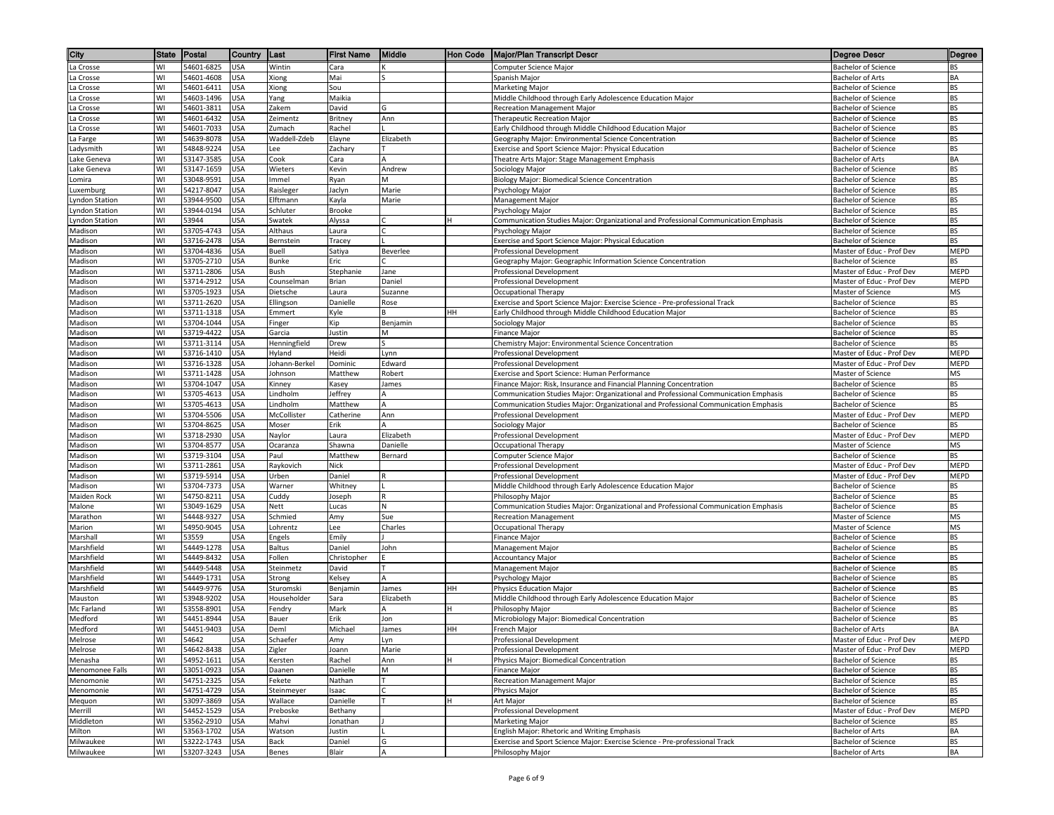| City                  | <b>State</b> | Postal                   | Country                  | ∥Last                | <b>First Name</b>  | Middle       | Hon Code | Major/Plan Transcript Descr                                                                                                                                                | Degree Descr                                             | Degree            |
|-----------------------|--------------|--------------------------|--------------------------|----------------------|--------------------|--------------|----------|----------------------------------------------------------------------------------------------------------------------------------------------------------------------------|----------------------------------------------------------|-------------------|
| La Crosse             | WI           | 54601-6825               | <b>USA</b>               | Wintin               | Cara               |              |          | Computer Science Major                                                                                                                                                     | <b>Bachelor of Science</b>                               | BS                |
| a Crosse              | WI           | 54601-4608               | USA                      | Xiong                | Mai                |              |          | Spanish Major                                                                                                                                                              | Bachelor of Arts                                         | BA                |
| a Crosse              | WI           | 54601-6411               | USA                      | Xiong                | Sou                |              |          | Marketing Major                                                                                                                                                            | <b>Bachelor of Science</b>                               | <b>BS</b>         |
| La Crosse             | WI           | 54603-1496               | USA                      | Yang                 | Maikia             |              |          | Middle Childhood through Early Adolescence Education Major                                                                                                                 | <b>Bachelor of Science</b>                               | BS                |
| a Crosse              | WI           | 54601-3811               | JSA                      | Zakem                | David              | G            |          | Recreation Management Major                                                                                                                                                | <b>Bachelor of Science</b>                               | <b>BS</b>         |
| La Crosse             | WI           | 54601-6432               | USA                      | Zeimentz             | Britney            | Ann          |          | Therapeutic Recreation Major                                                                                                                                               | Bachelor of Science                                      | BS                |
| La Crosse             | WI<br>WI     | 54601-7033               | <b>USA</b><br><b>USA</b> | Zumach               | Rachel             |              |          | Early Childhood through Middle Childhood Education Major                                                                                                                   | Bachelor of Science                                      | <b>BS</b>         |
| La Farge<br>.adysmith | WI           | 54639-8078<br>54848-9224 | USA                      | Waddell-Zdeb<br>Lee  | Elayne<br>Zachary  | Elizabeth    |          | Geography Major: Environmental Science Concentration<br>Exercise and Sport Science Major: Physical Education                                                               | <b>Bachelor of Science</b><br><b>Bachelor of Science</b> | BS<br>BS          |
| Lake Geneva           | WI           | 53147-3585               | USA                      | Cook                 | Cara               |              |          | Theatre Arts Major: Stage Management Emphasis                                                                                                                              | Bachelor of Arts                                         | BA                |
| Lake Geneva           | WI           | 53147-1659               | <b>USA</b>               | Wieters              | Kevin              | Andrew       |          | Sociology Major                                                                                                                                                            | Bachelor of Science                                      | <b>BS</b>         |
| Lomira                | WI           | 53048-9591               | USA                      | Immel                | Ryan               | М            |          | Biology Major: Biomedical Science Concentration                                                                                                                            | <b>Bachelor of Science</b>                               | BS                |
| uxemburg.             | WI           | 54217-8047               | JSA                      | Raisleger            | Jaclyn             | Marie        |          | Psychology Major                                                                                                                                                           | Bachelor of Science                                      | ВS                |
| Lyndon Station        | WI           | 53944-9500               | JSA                      | Elftmann             | Kayla              | Marie        |          | Management Major                                                                                                                                                           | <b>Bachelor of Science</b>                               | <b>BS</b>         |
| <b>Lyndon Station</b> | W١           | 53944-0194               | <b>USA</b>               | Schluter             | <b>Brooke</b>      |              |          | Psychology Major                                                                                                                                                           | Bachelor of Science                                      | BS                |
| vndon Station         | WI           | 53944                    | USA                      | Swatek               | Alyssa             |              |          | Communication Studies Major: Organizational and Professional Communication Emphasis                                                                                        | Bachelor of Science                                      | BS                |
| Madison               | WI           | 53705-4743               | <b>USA</b>               | Althaus              | Laura              |              |          | Psychology Major                                                                                                                                                           | <b>Bachelor of Science</b>                               | BS                |
| Madison               | WI           | 53716-2478               | <b>USA</b>               | Bernstein            | Tracey             |              |          | Exercise and Sport Science Major: Physical Education                                                                                                                       | Bachelor of Science                                      | BS                |
| Madison               | WI           | 53704-4836               | USA                      | Buell                | Satiya             | Beverlee     |          | Professional Development                                                                                                                                                   | Master of Educ - Prof Dev                                | <b>MEPD</b>       |
| Madison               | WI<br>WI     | 53705-2710<br>53711-2806 | USA                      | Bunke<br>Bush        | Eric               | Jane         |          | Geography Major: Geographic Information Science Concentration                                                                                                              | <b>Bachelor of Science</b>                               | BS<br><b>MEPD</b> |
| Madison<br>Madison    | WI           | 53714-2912               | JSA<br>USA               | Counselman           | Stephanie<br>Brian | Daniel       |          | Professional Development<br>Professional Development                                                                                                                       | Master of Educ - Prof Dev<br>Master of Educ - Prof Dev   | MEPD              |
| Madison               | WI           | 53705-1923               | <b>USA</b>               | Dietsche             | Laura              | Suzanne      |          | Occupational Therapy                                                                                                                                                       | Master of Science                                        | MS                |
| Madison               | WI           | 53711-2620               | <b>USA</b>               | Ellingson            | Danielle           | Rose         |          | Exercise and Sport Science Major: Exercise Science - Pre-professional Track                                                                                                | Bachelor of Science                                      | BS                |
| Madison               | WI           | 53711-1318               | USA                      | Emmert               | Kyle               |              | HН       | Early Childhood through Middle Childhood Education Major                                                                                                                   | <b>Bachelor of Science</b>                               | <b>BS</b>         |
| Madison               | WI           | 53704-1044               | USA                      | Finger               | Kip                | Benjamin     |          | Sociology Major                                                                                                                                                            | <b>Bachelor of Science</b>                               | BS                |
| Madison               | WI           | 53719-4422               | USA                      | Garcia               | Justin             | M            |          | Finance Major                                                                                                                                                              | <b>Bachelor of Science</b>                               | BS                |
| Madison               | WI           | 53711-3114               | USA                      | Henningfield         | Drew               |              |          | Chemistry Major: Environmental Science Concentration                                                                                                                       | <b>Bachelor of Science</b>                               | <b>BS</b>         |
| Madison               | WI           | 53716-1410               | USA                      | Hyland               | Heidi              | Lynn         |          | Professional Development                                                                                                                                                   | Master of Educ - Prof Dev                                | MEPD              |
| Madison               | WI           | 53716-1328               | JSA                      | Iohann-Berkel        | Dominic            | Edward       |          | Professional Development                                                                                                                                                   | Master of Educ - Prof Dev                                | MEPD              |
| Madison               | WI           | 53711-1428               | USA                      | Johnson              | Matthew            | Robert       |          | Exercise and Sport Science: Human Performance                                                                                                                              | Master of Science                                        | MS                |
| Madison               | WI           | 53704-1047               | <b>USA</b>               | Kinney               | Kasey              | James        |          | Finance Major: Risk, Insurance and Financial Planning Concentration                                                                                                        | Bachelor of Science                                      | <b>BS</b>         |
| Madison<br>Madison    | WI<br>WI     | 53705-4613<br>53705-4613 | USA<br><b>USA</b>        | Lindholm<br>Lindholm | Jeffrey<br>Matthew | А<br>А.      |          | Communication Studies Major: Organizational and Professional Communication Emphasis<br>Communication Studies Major: Organizational and Professional Communication Emphasis | Bachelor of Science<br><b>Bachelor of Science</b>        | BS<br><b>BS</b>   |
| Madison               | WI           | 53704-5506               | USA                      | McCollister          | Catherine          | Ann          |          | Professional Development                                                                                                                                                   | Master of Educ - Prof Dev                                | MEPD              |
| Madison               | WI           | 53704-8625               | <b>USA</b>               | Moser                | Erik               |              |          | Sociology Major                                                                                                                                                            | <b>Bachelor of Science</b>                               | ВS                |
| Madison               | WI           | 53718-2930               | USA                      | Naylor               | Laura              | Elizabeth    |          | Professional Development                                                                                                                                                   | Master of Educ - Prof Dev                                | <b>MEPD</b>       |
| Madison               | WI           | 53704-8577               | USA                      | Ocaranza             | Shawna             | Danielle     |          | Occupational Therapy                                                                                                                                                       | Master of Science                                        | MS                |
| Madison               | WI           | 53719-3104               | JSA                      | Paul                 | Matthew            | Bernard      |          | Computer Science Major                                                                                                                                                     | <b>Bachelor of Science</b>                               | BS                |
| Madison               | W١           | 53711-2861               | USA                      | Raykovich            | <b>Nick</b>        |              |          | Professional Development                                                                                                                                                   | Master of Educ - Prof Dev                                | <b>MEPD</b>       |
| Madison               | WI           | 53719-5914               | JSA                      | Urben                | Daniel             |              |          | Professional Development                                                                                                                                                   | Master of Educ - Prof Dev                                | MEPD              |
| Madison               | WI           | 53704-7373               | USA                      | Warner               | Whitney            |              |          | Middle Childhood through Early Adolescence Education Major                                                                                                                 | <b>Bachelor of Science</b>                               | <b>BS</b>         |
| Maiden Rock           | WI           | 54750-8211               | USA                      | Cuddy                | Joseph             |              |          | Philosophy Major                                                                                                                                                           | Bachelor of Science                                      | BS                |
| Malone<br>Marathon    | WI<br>WI     | 53049-1629<br>54448-9327 | USA<br>USA               | Nett<br>Schmied      | Lucas<br>Amy       | N<br>Sue     |          | Communication Studies Major: Organizational and Professional Communication Emphasis<br><b>Recreation Management</b>                                                        | <b>Bachelor of Science</b><br>Master of Science          | BS<br>MS          |
| Marion                | WI           | 54950-9045               | JSA                      | Lohrentz             | Lee                | Charles      |          | Occupational Therapy                                                                                                                                                       | Master of Science                                        | MS                |
| Marshall              | WI           | 53559                    | USA                      | Engels               | Emily              |              |          | Finance Major                                                                                                                                                              | Bachelor of Science                                      | BS                |
| Marshfield            | WI           | 54449-1278               | USA                      | Baltus               | Daniel             | John         |          | Management Major                                                                                                                                                           | <b>Bachelor of Science</b>                               | <b>BS</b>         |
| Marshfield            | W١           | 54449-8432               | <b>USA</b>               | Follen               | Christopher        |              |          | <b>Accountancy Major</b>                                                                                                                                                   | Bachelor of Science                                      | BS                |
| Marshfield            | WI           | 54449-5448               | <b>USA</b>               | Steinmetz            | David              |              |          | Management Major                                                                                                                                                           | <b>Bachelor of Science</b>                               | <b>BS</b>         |
| Marshfield            | WI           | 54449-1731               | USA                      | Strong               | Kelsey             | А            |          | Psychology Major                                                                                                                                                           | <b>Bachelor of Science</b>                               | BS                |
| Marshfield            | WI           | 54449-9776               | USA                      | Sturomski            | Benjamin           | James        | HH       | Physics Education Major                                                                                                                                                    | <b>Bachelor of Science</b>                               | BS                |
| Mauston               | WI           | 53948-9202               | USA                      | Householder          | Sara               | Elizabeth    |          | Middle Childhood through Early Adolescence Education Major                                                                                                                 | <b>Bachelor of Science</b>                               | <b>BS</b>         |
| Mc Farland            | WI           | 53558-8901               | USA                      | Fendry               | Mark               | A            |          | Philosophy Major                                                                                                                                                           | Bachelor of Science                                      | BS                |
| Medford               | WI           | 54451-8944               | JSA                      | Bauer                | Erik               | Jon          |          | Microbiology Major: Biomedical Concentration                                                                                                                               | Bachelor of Science                                      | BS                |
| Medford<br>Melrose    | WI<br>WI     | 54451-9403<br>54642      | USA<br><b>USA</b>        | Deml<br>Schaefer     | Michael<br>Amy     | James<br>Lyn | HH       | French Major<br><b>Professional Development</b>                                                                                                                            | Bachelor of Arts<br>Master of Educ - Prof Dev            | BA<br>MEPD        |
| Melrose               | WI           | 54642-8438               | <b>USA</b>               | Zigler               | Joann              | Marie        |          | Professional Development                                                                                                                                                   | Master of Educ - Prof Dev                                | MEPD              |
| Menasha               | WI           | 54952-1611               | <b>USA</b>               | Kersten              | Rachel             | Ann          |          | Physics Major: Biomedical Concentration                                                                                                                                    | Bachelor of Science                                      | BS                |
| Menomonee Falls       | WI           | 53051-0923               | <b>USA</b>               | Daanen               | Danielle           | M            |          | <b>Finance Major</b>                                                                                                                                                       | <b>Bachelor of Science</b>                               | BS                |
| Menomonie             | W١           | 54751-2325               | <b>USA</b>               | Fekete               | Nathan             |              |          | <b>Recreation Management Major</b>                                                                                                                                         | Bachelor of Science                                      | BS                |
| Menomonie             | WI           | 54751-4729               | USA                      | Steinmeyer           | Isaac              |              |          | Physics Major                                                                                                                                                              | <b>Bachelor of Science</b>                               | BS                |
| Mequon                | W١           | 53097-3869               | USA                      | Wallace              | Danielle           |              |          | Art Major                                                                                                                                                                  | Bachelor of Science                                      | BS                |
| Merrill               | WI           | 54452-1529               | USA                      | Preboske             | Bethany            |              |          | Professional Development                                                                                                                                                   | Master of Educ - Prof Dev                                | MEPD              |
| Middleton             | WI           | 53562-2910               | <b>USA</b>               | Mahvi                | Jonathan           |              |          | Marketing Major                                                                                                                                                            | <b>Bachelor of Science</b>                               | BS                |
| Milton                | WI           | 53563-1702               | <b>USA</b>               | Watson               | Justin             |              |          | English Major: Rhetoric and Writing Emphasis                                                                                                                               | <b>Bachelor of Arts</b>                                  | BA                |
| Milwaukee             | WI           | 53222-1743               | <b>USA</b>               | Back                 | Daniel             | G            |          | Exercise and Sport Science Major: Exercise Science - Pre-professional Track                                                                                                | <b>Bachelor of Science</b>                               | BS                |
| Milwaukee             | W١           | 53207-3243               | <b>USA</b>               | Benes                | Blair              | A            |          | Philosophy Major                                                                                                                                                           | Bachelor of Arts                                         | BA                |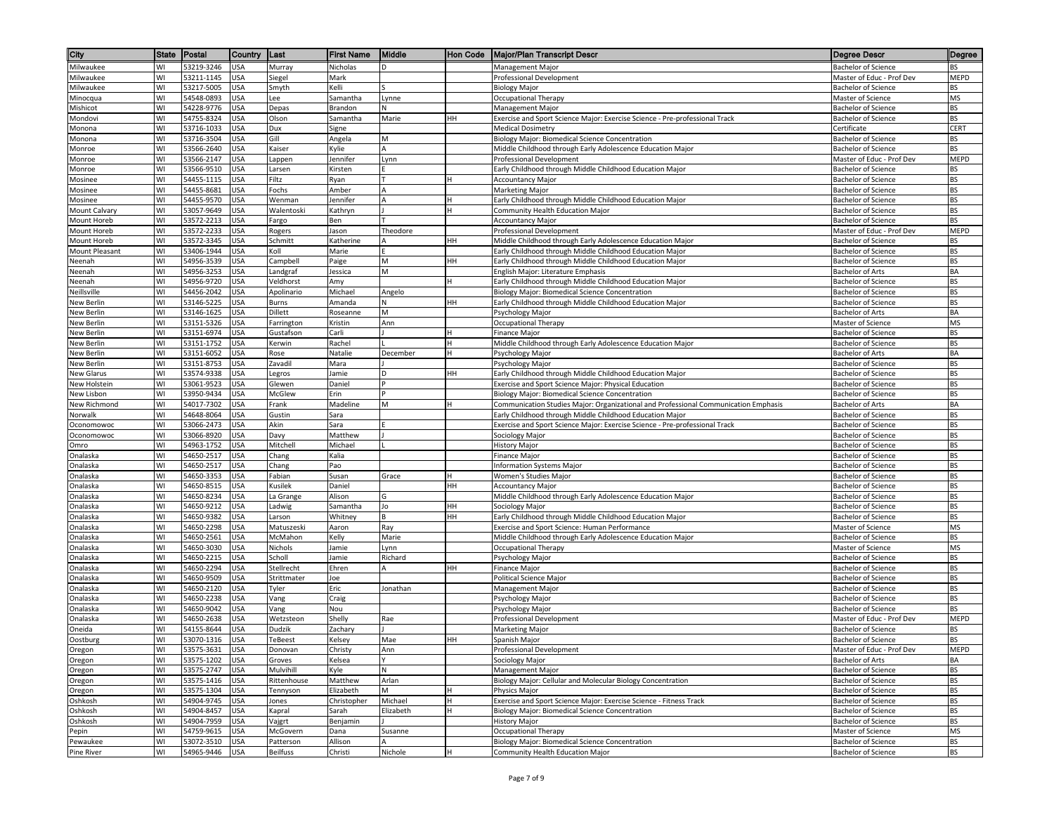| City                       | State    | Postal                   | Country                  | ∥Last               | <b>First Name</b>  | Middle    | ∥Hon Code | <b>Major/Plan Transcript Descr</b>                                                                                   | <b>Degree Descr</b>                                      | Degree            |
|----------------------------|----------|--------------------------|--------------------------|---------------------|--------------------|-----------|-----------|----------------------------------------------------------------------------------------------------------------------|----------------------------------------------------------|-------------------|
| Milwaukee                  | WI       | 53219-3246               | <b>USA</b>               | Murray              | Nicholas           | D         |           | Management Major                                                                                                     | <b>Bachelor of Science</b>                               | <b>BS</b>         |
| Milwaukee                  | WI       | 53211-1145               | <b>USA</b>               | Siegel              | Mark               |           |           | Professional Development                                                                                             | Master of Educ - Prof Dev                                | MEPD              |
| Milwaukee                  | WI       | 53217-5005               | <b>USA</b>               | Smyth               | Kelli              |           |           | <b>Biology Major</b>                                                                                                 | <b>Bachelor of Science</b>                               | BS                |
| Minocqua                   | WI       | 54548-0893               | USA                      | Lee                 | Samantha           | Lynne     |           | Occupational Therapy                                                                                                 | Master of Science                                        | MS                |
| Mishicot                   | WI       | 54228-9776               | USA                      | Depas               | Brandon            | N         |           | Management Major                                                                                                     | <b>Bachelor of Science</b>                               | BS                |
| Mondovi                    | WI       | 54755-8324               | USA                      | Olson               | Samantha           | Marie     | HН        | Exercise and Sport Science Major: Exercise Science - Pre-professional Track                                          | <b>Bachelor of Science</b>                               | BS                |
| Monona<br>Monona           | WI<br>WI | 53716-1033<br>53716-3504 | USA<br>USA               | Dux<br>Gill         | Signe<br>Angela    | M         |           | <b>Medical Dosimetry</b><br>Biology Major: Biomedical Science Concentration                                          | Certificate<br><b>Bachelor of Science</b>                | <b>CERT</b><br>BS |
| Monroe                     | WI       | 53566-2640               | USA                      | Kaiser              | Kylie              | А         |           | Middle Childhood through Early Adolescence Education Major                                                           | <b>Bachelor of Science</b>                               | BS                |
| Monroe                     | WI       | 53566-2147               | <b>USA</b>               | Lappen              | Jennifer           | Lynn      |           | Professional Development                                                                                             | Master of Educ - Prof Dev                                | MEPD              |
| Monroe                     | WI       | 53566-9510               | <b>USA</b>               | Larsen              | Kirsten            |           |           | Early Childhood through Middle Childhood Education Major                                                             | <b>Bachelor of Science</b>                               | BS                |
| Mosinee                    | WI       | 54455-1115               | <b>USA</b>               | Filtz               | Ryan               |           |           | <b>Accountancy Major</b>                                                                                             | <b>Bachelor of Science</b>                               | <b>BS</b>         |
| Mosinee                    | WI       | 54455-8681               | USA                      | Fochs               | Amber              |           |           | <b>Marketing Major</b>                                                                                               | <b>Bachelor of Science</b>                               | BS                |
| Mosinee                    | WI       | 54455-9570               | USA                      | Wenman              | Jennifer           |           |           | Early Childhood through Middle Childhood Education Major                                                             | <b>Bachelor of Science</b>                               | <b>BS</b>         |
| Mount Calvary              | WI       | 53057-9649               | USA                      | Walentoski          | Kathryn            |           |           | Community Health Education Major                                                                                     | <b>Bachelor of Science</b>                               | BS                |
| Mount Horeb                | WI       | 53572-2213               | USA                      | Fargo               | Ben                |           |           | <b>Accountancy Major</b>                                                                                             | <b>Bachelor of Science</b>                               | <b>BS</b>         |
| Mount Horeb                | WI       | 53572-2233               | USA                      | Rogers              | Jason              | Theodore  |           | Professional Development                                                                                             | Master of Educ - Prof Dev                                | MEPD              |
| Mount Horeb                | WI       | 53572-3345               | USA                      | Schmitt             | Katherine          | А         | HН        | Middle Childhood through Early Adolescence Education Major                                                           | <b>Bachelor of Science</b>                               | <b>BS</b>         |
| Mount Pleasant<br>Neenah   | WI<br>WI | 53406-1944<br>54956-3539 | <b>USA</b><br>USA        | Koll<br>Campbell    | Marie<br>Paige     | M         | HН        | Early Childhood through Middle Childhood Education Major<br>Early Childhood through Middle Childhood Education Major | <b>Bachelor of Science</b><br><b>Bachelor of Science</b> | BS<br>BS          |
| Neenah                     | WI       | 54956-3253               | USA                      | Landgraf            | Jessica            | M         |           | English Major: Literature Emphasis                                                                                   | <b>Bachelor of Arts</b>                                  | BA                |
| Neenah                     | WI       | 54956-9720               | <b>USA</b>               | Veldhorst           | Amy                |           |           | Early Childhood through Middle Childhood Education Major                                                             | <b>Bachelor of Science</b>                               | BS                |
| Neillsville                | WI       | 54456-2042               | USA                      | Apolinario          | Michael            | Angelo    |           | Biology Major: Biomedical Science Concentration                                                                      | <b>Bachelor of Science</b>                               | <b>BS</b>         |
| New Berlin                 | WI       | 53146-5225               | USA                      | Burns               | Amanda             | N         | HН        | Early Childhood through Middle Childhood Education Major                                                             | <b>Bachelor of Science</b>                               | BS                |
| New Berlin                 | WI       | 53146-1625               | USA                      | Dillett             | Roseanne           | M         |           | Psychology Major                                                                                                     | <b>Bachelor of Arts</b>                                  | BA                |
| New Berlin                 | WI       | 53151-5326               | USA                      | Farrington          | Kristin            | Ann       |           | <b>Occupational Therapy</b>                                                                                          | Master of Science                                        | MS                |
| New Berlin                 | WI       | 53151-6974               | USA                      | Gustafson           | Carli              |           |           | Finance Major                                                                                                        | <b>Bachelor of Science</b>                               | BS                |
| New Berlin                 | WI       | 53151-1752               | <b>USA</b>               | Kerwin              | Rachel             |           |           | Middle Childhood through Early Adolescence Education Major                                                           | <b>Bachelor of Science</b>                               | <b>BS</b>         |
| New Berlin                 | WI       | 53151-6052               | USA                      | Rose                | Natalie            | December  |           | Psychology Major                                                                                                     | Bachelor of Arts                                         | BA                |
| New Berlin                 | WI       | 53151-8753               | <b>USA</b>               | Zavadil             | Mara               |           |           | Psychology Major                                                                                                     | <b>Bachelor of Science</b>                               | <b>BS</b>         |
| New Glarus<br>New Holstein | WI<br>WI | 53574-9338<br>53061-9523 | <b>USA</b><br>USA        | Legros<br>Glewen    | Jamie<br>Daniel    | D         | HН        | Early Childhood through Middle Childhood Education Major<br>Exercise and Sport Science Major: Physical Education     | <b>Bachelor of Science</b><br><b>Bachelor of Science</b> | BS<br><b>BS</b>   |
| New Lisbon                 | WI       | 53950-9434               | <b>USA</b>               | McGlew              | Erin               |           |           | Biology Major: Biomedical Science Concentration                                                                      | <b>Bachelor of Science</b>                               | BS                |
| New Richmond               | WI       | 54017-7302               | USA                      | Frank               | Madeline           | M         |           | Communication Studies Major: Organizational and Professional Communication Emphasis                                  | <b>Bachelor of Arts</b>                                  | BA                |
| Norwalk                    | WI       | 54648-8064               | USA                      | Gustin              | Sara               |           |           | Early Childhood through Middle Childhood Education Major                                                             | Bachelor of Science                                      | <b>BS</b>         |
| Oconomowoc                 | WI       | 53066-2473               | <b>USA</b>               | Akin                | Sara               |           |           | Exercise and Sport Science Major: Exercise Science - Pre-professional Track                                          | <b>Bachelor of Science</b>                               | <b>BS</b>         |
| Oconomowoc                 | WI       | 53066-8920               | <b>USA</b>               | Davy                | Matthew            |           |           | Sociology Major                                                                                                      | <b>Bachelor of Science</b>                               | <b>BS</b>         |
| Omro                       | WI       | 54963-1752               | USA                      | Mitchell            | Michael            |           |           | <b>History Major</b>                                                                                                 | <b>Bachelor of Science</b>                               | BS                |
| Onalaska                   | WI       | 54650-2517               | USA                      | Chang               | Kalia              |           |           | <b>Finance Major</b>                                                                                                 | <b>Bachelor of Science</b>                               | <b>BS</b>         |
| Onalaska                   | WI       | 54650-2517               | USA                      | Chang               | Pao                |           |           | Information Systems Major                                                                                            | <b>Bachelor of Science</b>                               | BS                |
| Onalaska                   | WI       | 54650-3353               | USA                      | Fabian              | Susan              | Grace     |           | Women's Studies Major                                                                                                | <b>Bachelor of Science</b>                               | <b>BS</b>         |
| Onalaska                   | WI       | 54650-8515               | USA                      | Kusilek             | Daniel             |           | HН        | <b>Accountancy Major</b>                                                                                             | <b>Bachelor of Science</b>                               | BS                |
| Onalaska<br>Onalaska       | WI<br>WI | 54650-8234<br>54650-9212 | USA<br><b>USA</b>        | La Grange<br>Ladwig | Alison<br>Samantha | G<br>Jo   | HH        | Middle Childhood through Early Adolescence Education Major                                                           | <b>Bachelor of Science</b><br><b>Bachelor of Science</b> | BS<br><b>BS</b>   |
| Onalaska                   | WI       | 54650-9382               | <b>USA</b>               | Larson              | Whitney            | B         | HН        | Sociology Major<br>Early Childhood through Middle Childhood Education Major                                          | <b>Bachelor of Science</b>                               | BS                |
| Onalaska                   | WI       | 54650-2298               | USA                      | Matuszeski          | Aaron              | Ray       |           | Exercise and Sport Science: Human Performance                                                                        | Master of Science                                        | MS                |
| Onalaska                   | WI       | 54650-2561               | USA                      | McMahon             | Kelly              | Marie     |           | Middle Childhood through Early Adolescence Education Major                                                           | <b>Bachelor of Science</b>                               | BS                |
| Onalaska                   | WI       | 54650-3030               | USA                      | Nichols             | Jamie              | Lynn      |           | Occupational Therapy                                                                                                 | Master of Science                                        | MS                |
| Onalaska                   | WI       | 54650-2215               | USA                      | Scholl              | Jamie              | Richard   |           | Psychology Major                                                                                                     | Bachelor of Science                                      | BS                |
| Onalaska                   | WI       | 54650-2294               | USA                      | Stellrecht          | Ehren              | А         | HН        | <b>Finance Major</b>                                                                                                 | <b>Bachelor of Science</b>                               | <b>BS</b>         |
| Onalaska                   | WI       | 54650-9509               | USA                      | Strittmater         | Joe                |           |           | <b>Political Science Major</b>                                                                                       | <b>Bachelor of Science</b>                               | BS                |
| Onalaska                   | WI       | 54650-2120               | USA                      | Tyler               | Eric               | Jonathan  |           | Management Major                                                                                                     | <b>Bachelor of Science</b>                               | BS                |
| Onalaska                   | WI       | 54650-2238               | <b>USA</b>               | Vang                | Craig              |           |           | Psychology Major                                                                                                     | <b>Bachelor of Science</b>                               | <b>BS</b>         |
| Onalaska                   | WI       | 54650-9042               | <b>USA</b>               | Vang                | Nou                |           |           | Psychology Major                                                                                                     | <b>Bachelor of Science</b>                               | BS                |
| Onalaska<br>Oneida         | WI<br>WI | 54650-2638<br>54155-8644 | <b>USA</b><br><b>USA</b> | Wetzsteon<br>Dudzik | Shelly<br>Zachary  | Rae       |           | Professional Development<br><b>Marketing Major</b>                                                                   | Master of Educ - Prof Dev<br><b>Bachelor of Science</b>  | MEPD<br>BS        |
| Oostburg                   | WI       | 53070-1316               | <b>USA</b>               | <b>TeBeest</b>      | Kelsey             | Mae       | HH        | Spanish Major                                                                                                        | <b>Bachelor of Science</b>                               | <b>BS</b>         |
| Oregon                     | WI       | 53575-3631               | <b>USA</b>               | Donovan             | Christy            | Ann       |           | Professional Development                                                                                             | Master of Educ - Prof Dev                                | MEPD              |
| Oregon                     | WI       | 53575-1202               | <b>USA</b>               | Groves              | Kelsea             |           |           | Sociology Major                                                                                                      | <b>Bachelor of Arts</b>                                  | BA                |
| Oregon                     | WI       | 53575-2747               | <b>USA</b>               | Mulvihill           | Kyle               | N         |           | Management Major                                                                                                     | <b>Bachelor of Science</b>                               | BS                |
| Oregon                     | WI       | 53575-1416               | <b>USA</b>               | Rittenhouse         | Matthew            | Arlan     |           | Biology Major: Cellular and Molecular Biology Concentration                                                          | <b>Bachelor of Science</b>                               | BS                |
| Oregon                     | WI       | 53575-1304               | USA                      | Tennyson            | Elizabeth          | M         |           | Physics Major                                                                                                        | <b>Bachelor of Science</b>                               | BS                |
| Oshkosh                    | WI       | 54904-9745               | <b>USA</b>               | Jones               | Christopher        | Michael   |           | Exercise and Sport Science Major: Exercise Science - Fitness Track                                                   | <b>Bachelor of Science</b>                               | BS                |
| Oshkosh                    | WI       | 54904-8457               | USA                      | Kapral              | Sarah              | Elizabeth |           | Biology Major: Biomedical Science Concentration                                                                      | <b>Bachelor of Science</b>                               | BS                |
| Oshkosh                    | WI       | 54904-7959               | USA                      | Vajgrt              | Benjamin           |           |           | <b>History Major</b>                                                                                                 | <b>Bachelor of Science</b>                               | BS                |
| Pepin                      | WI       | 54759-9615               | USA                      | McGovern            | Dana               | Susanne   |           | Occupational Therapy                                                                                                 | Master of Science                                        | MS                |
| Pewaukee                   | WI       | 53072-3510               | <b>USA</b>               | Patterson           | Allison            | A         |           | Biology Major: Biomedical Science Concentration                                                                      | <b>Bachelor of Science</b>                               | BS                |
| Pine River                 | WI       | 54965-9446 USA           |                          | Beilfuss            | Christi            | Nichole   |           | Community Health Education Major                                                                                     | <b>Bachelor of Science</b>                               | BS                |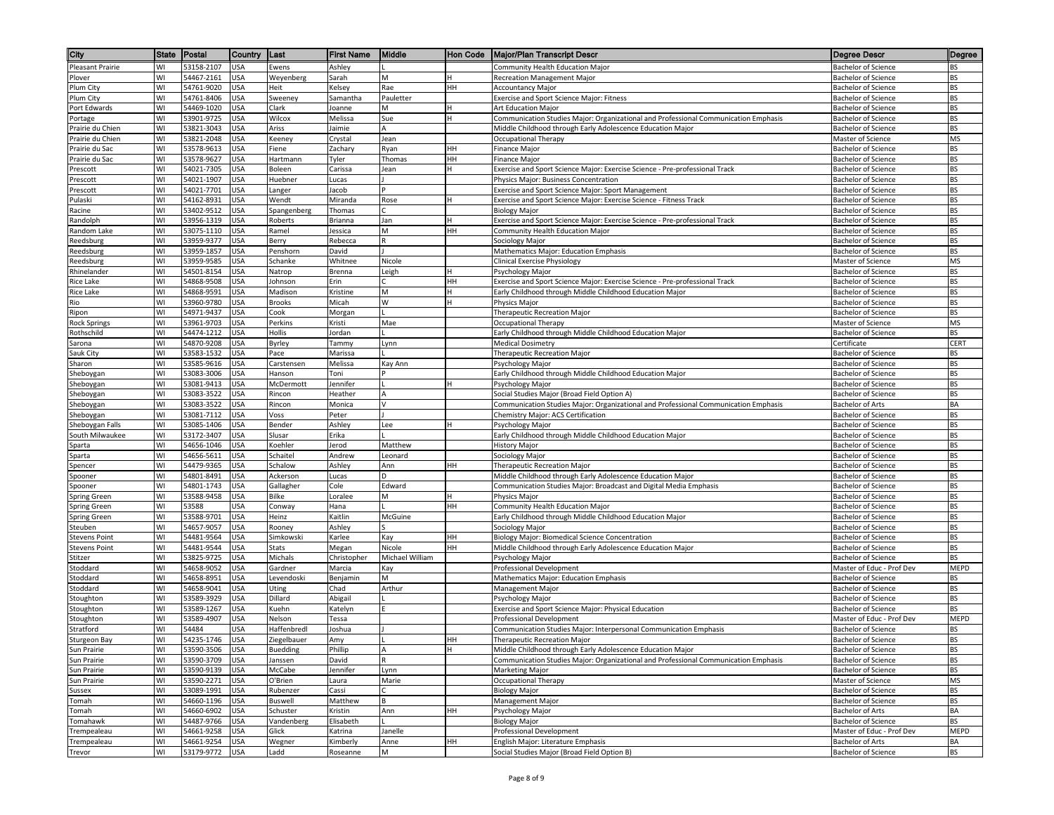| WI<br>53158-2107<br><b>USA</b><br>Ewens<br>Ashley<br>Community Health Education Major<br><b>Bachelor of Science</b><br>Pleasant Prairie<br>BS<br>54467-2161<br>WI<br><b>USA</b><br>Weyenberg<br>M<br>Recreation Management Major<br><b>Bachelor of Science</b><br>BS<br>Sarah<br>Plover<br>54761-9020<br><b>BS</b><br>Plum City<br>WI<br><b>USA</b><br>Heit<br>Kelsey<br>Rae<br>HH<br><b>Bachelor of Science</b><br><b>Accountancy Major</b><br>Plum City<br>WI<br>54761-8406<br>USA<br>BS<br>Sweeney<br>Samantha<br>Pauletter<br>Exercise and Sport Science Major: Fitness<br><b>Bachelor of Science</b><br><b>BS</b><br>WI<br>54469-1020<br>USA<br>Clark<br>Port Edwards<br>M<br>Art Education Major<br><b>Bachelor of Science</b><br>Joanne<br>53901-9725<br>Wilcox<br>Sue<br>Communication Studies Major: Organizational and Professional Communication Emphasis<br>BS<br>WI<br>USA<br>Melissa<br><b>Bachelor of Science</b><br>Portage<br>53821-3043<br>BS<br>WI<br>USA<br>Ariss<br>Jaimie<br>Middle Childhood through Early Adolescence Education Major<br>Prairie du Chien<br>A<br><b>Bachelor of Science</b><br>WI<br>53821-2048<br>USA<br>MS<br>Prairie du Chien<br>Keeney<br>Crystal<br>Jean<br>Occupational Therapy<br>Master of Science<br>Prairie du Sac<br>WI<br>53578-9613<br>USA<br>HН<br><b>Finance Major</b><br><b>Bachelor of Science</b><br>BS<br>Fiene<br>Zachary<br>Ryan<br>WI<br>53578-9627<br><b>USA</b><br>Hartmann<br>Tyler<br>HН<br><b>BS</b><br>Prairie du Sac<br>Thomas<br><b>Finance Major</b><br><b>Bachelor of Science</b><br>54021-7305<br><b>USA</b><br><b>BS</b><br>WI<br>Boleen<br>Carissa<br>Jean<br>Exercise and Sport Science Major: Exercise Science - Pre-professional Track<br><b>Bachelor of Science</b><br>Prescott<br><b>BS</b><br>WI<br>54021-1907<br><b>USA</b><br>Physics Major: Business Concentration<br><b>Bachelor of Science</b><br>Prescott<br>Huebner<br>Lucas<br>WI<br>54021-7701<br>USA<br>Exercise and Sport Science Major: Sport Management<br>BS<br>Jacob<br><b>Bachelor of Science</b><br>Prescott<br>Langer<br>WI<br><b>BS</b><br>54162-8931<br>USA<br>Wendt<br>Miranda<br>Exercise and Sport Science Major: Exercise Science - Fitness Track<br>Pulaski<br>Rose<br><b>Bachelor of Science</b><br>WI<br>53402-9512<br>USA<br>BS<br>Racine<br>Spangenberg<br>Thomas<br><b>Biology Major</b><br><b>Bachelor of Science</b><br><b>BS</b><br>53956-1319<br>USA<br>Jan<br>Exercise and Sport Science Major: Exercise Science - Pre-professional Track<br>Randolph<br>WI<br>Roberts<br>Brianna<br><b>Bachelor of Science</b><br>WI<br>53075-1110<br>USA<br>Ramel<br>Jessica<br>M<br>HН<br>Community Health Education Major<br><b>Bachelor of Science</b><br>BS<br>Random Lake<br><b>BS</b><br>WI<br>53959-9377<br>USA<br>R<br>Sociology Major<br>Reedsburg<br>Berry<br>Rebecca<br><b>Bachelor of Science</b><br>53959-1857<br><b>BS</b><br>Reedsburg<br>WI<br><b>USA</b><br>Penshorn<br>David<br>Mathematics Major: Education Emphasis<br><b>Bachelor of Science</b><br>WI<br>53959-9585<br><b>USA</b><br>Schanke<br>Whitnee<br>Clinical Exercise Physiology<br>MS<br>Reedsburg<br>Nicole<br>Master of Science<br>WI<br>54501-8154<br><b>BS</b><br>Rhinelander<br>USA<br>Natrop<br>Brenna<br>Leigh<br>Psychology Major<br><b>Bachelor of Science</b><br>WI<br>54868-9508<br><b>USA</b><br>BS<br>Rice Lake<br>Johnson<br>Erin<br>HН<br>Exercise and Sport Science Major: Exercise Science - Pre-professional Track<br><b>Bachelor of Science</b><br>54868-9591<br>M<br>Early Childhood through Middle Childhood Education Major<br><b>BS</b><br>Rice Lake<br>WI<br>USA<br>Madison<br>Kristine<br><b>Bachelor of Science</b><br>W<br>BS<br>WI<br>53960-9780<br><b>USA</b><br>Micah<br>Rio<br>Brooks<br>Physics Major<br><b>Bachelor of Science</b><br>WI<br>BS<br>54971-9437<br>USA<br>Cook<br>Morgan<br><b>Bachelor of Science</b><br>Ripon<br>Therapeutic Recreation Major<br>WI<br>53961-9703<br>USA<br>Kristi<br>Mae<br>MS<br><b>Rock Springs</b><br>Perkins<br>Occupational Therapy<br>Master of Science<br>54474-1212<br>Rothschild<br>WI<br>USA<br>Hollis<br>Jordan<br>Early Childhood through Middle Childhood Education Major<br><b>Bachelor of Science</b><br>BS<br>WI<br>54870-9208<br>USA<br>Byrley<br>Tammy<br><b>Medical Dosimetry</b><br>CERT<br>Sarona<br>Lynn<br>Certificate<br>WI<br>53583-1532<br>USA<br>Pace<br>Therapeutic Recreation Major<br>Sauk City<br>Marissa<br><b>Bachelor of Science</b><br>BS<br>53585-9616<br><b>BS</b><br>WI<br>USA<br>Melissa<br>Sharon<br>Carstensen<br>Psychology Major<br><b>Bachelor of Science</b><br>Kay Ann<br>WI<br>53083-3006<br><b>USA</b><br>Early Childhood through Middle Childhood Education Major<br>BS<br>Hanson<br>Toni<br><b>Bachelor of Science</b><br>Sheboygan<br>WI<br>53081-9413<br><b>USA</b><br><b>BS</b><br>Sheboygan<br>McDermott<br>Jennifer<br>Psychology Major<br><b>Bachelor of Science</b><br>WI<br><b>USA</b><br><b>BS</b><br>Sheboygan<br>53083-3522<br>Rincon<br>Heather<br>A<br>Social Studies Major (Broad Field Option A)<br><b>Bachelor of Science</b><br>WI<br>53083-3522<br>USA<br>Communication Studies Major: Organizational and Professional Communication Emphasis<br><b>Bachelor of Arts</b><br>BA<br>Sheboygan<br>Rincon<br>Monica<br>v<br>WI<br>53081-7112<br><b>USA</b><br>Peter<br>Chemistry Major: ACS Certification<br>BS<br>Sheboygan<br>Voss<br>Bachelor of Science<br>53085-1406<br><b>USA</b><br>BS<br>WI<br>Bender<br>Ashley<br>Lee<br>Psychology Major<br><b>Bachelor of Science</b><br>Sheboygan Falls<br><b>BS</b><br>South Milwaukee<br>WI<br>53172-3407<br><b>USA</b><br>Slusar<br>Erika<br>Early Childhood through Middle Childhood Education Major<br><b>Bachelor of Science</b><br>WI<br>54656-1046<br>USA<br>Koehler<br>Jerod<br>Matthew<br><b>History Major</b><br><b>Bachelor of Science</b><br>ВS<br>Sparta<br>WI<br>54656-5611<br>BS<br>USA<br>Schaitel<br>Sociology Major<br>Andrew<br>Leonard<br><b>Bachelor of Science</b><br>Sparta<br>WI<br>54479-9365<br>USA<br>Schalow<br>Ashley<br>Therapeutic Recreation Major<br>BS<br>Spencer<br>Ann<br>HН<br><b>Bachelor of Science</b><br>BS<br>54801-8491<br>Middle Childhood through Early Adolescence Education Major<br>Spooner<br>WI<br>USA<br>Ackerson<br>Lucas<br><b>Bachelor of Science</b><br>D<br>WI<br>54801-1743<br>USA<br>Gallagher<br>Cole<br>Edward<br>Communication Studies Major: Broadcast and Digital Media Emphasis<br>BS<br><b>Bachelor of Science</b><br>Spooner<br>WI<br>53588-9458<br>USA<br>Bilke<br>M<br>Physics Major<br>BS<br>Spring Green<br>Loralee<br><b>Bachelor of Science</b><br>53588<br><b>BS</b><br>WI<br><b>USA</b><br>Hana<br>HH<br>Community Health Education Major<br><b>Bachelor of Science</b><br>Spring Green<br>Conway<br>WI<br>53588-9701<br><b>USA</b><br>Heinz<br>Kaitlin<br>McGuine<br>Early Childhood through Middle Childhood Education Major<br>BS<br>Spring Green<br><b>Bachelor of Science</b><br>WI<br>54657-9057<br><b>BS</b><br>USA<br>Ashley<br>Steuben<br>Rooney<br>Sociology Major<br><b>Bachelor of Science</b><br>WI<br>54481-9564<br>USA<br>Simkowski<br><b>Biology Major: Biomedical Science Concentration</b><br>BS<br>Karlee<br>Kay<br>HН<br><b>Bachelor of Science</b><br><b>Stevens Point</b><br>54481-9544<br>BS<br>USA<br>Stats<br>Megan<br>Nicole<br>HН<br>Middle Childhood through Early Adolescence Education Major<br><b>Stevens Point</b><br>WI<br>Bachelor of Science<br>WI<br>53825-9725<br>USA<br>Michael William<br>BS<br>Stitzer<br>Michals<br>Christopher<br>Psychology Major<br><b>Bachelor of Science</b><br>Stoddard<br>WI<br>54658-9052<br>USA<br>Gardner<br>Marcia<br>Kay<br>Professional Development<br>Master of Educ - Prof Dev<br>MEPD<br>WI<br>54658-8951<br>USA<br>M<br>BS<br>Stoddard<br>Levendoski<br>Benjamin<br>Mathematics Major: Education Emphasis<br><b>Bachelor of Science</b><br>54658-9041<br>Stoddard<br>WI<br>USA<br>Chad<br>Arthur<br>Management Major<br><b>Bachelor of Science</b><br>BS<br>Uting<br><b>BS</b><br>WI<br>53589-3929<br><b>USA</b><br>Dillard<br>Abigail<br><b>Bachelor of Science</b><br>Stoughton<br>Psychology Major<br>WI<br>53589-1267<br><b>USA</b><br>Exercise and Sport Science Major: Physical Education<br><b>Bachelor of Science</b><br>BS<br>Stoughton<br>Kuehn<br>Katelyn<br>53589-4907<br>WI<br><b>USA</b><br>Nelson<br>MEPD<br>Stoughton<br>Tessa<br>Professional Development<br>Master of Educ - Prof Dev<br>WI<br>54484<br><b>USA</b><br>Communication Studies Major: Interpersonal Communication Emphasis<br>Stratford<br>Haffenbredl<br>Joshua<br><b>Bachelor of Science</b><br>BS<br>54235-1746<br><b>USA</b><br><b>BS</b><br><b>Sturgeon Bay</b><br>WI<br>HH<br>Ziegelbauer<br>Amy<br>Therapeutic Recreation Major<br><b>Bachelor of Science</b><br>Sun Prairie<br>WI<br>53590-3506<br><b>USA</b><br>Buedding<br>Phillip<br>Middle Childhood through Early Adolescence Education Major<br><b>Bachelor of Science</b><br><b>BS</b><br>A<br>Sun Prairie<br>WI<br>53590-3709<br><b>USA</b><br>David<br>Communication Studies Major: Organizational and Professional Communication Emphasis<br><b>Bachelor of Science</b><br>BS<br>Janssen<br>R<br>WI<br>53590-9139<br><b>USA</b><br>McCabe<br>Jennifer<br>Marketing Major<br><b>Bachelor of Science</b><br><b>BS</b><br>Sun Prairie<br>Lynn<br>53590-2271<br>MS<br>Sun Prairie<br>WI<br><b>USA</b><br>O'Brien<br>Laura<br>Marie<br>Occupational Therapy<br>Master of Science<br>WI<br>53089-1991<br>USA<br>Cassi<br><b>Biology Major</b><br><b>Bachelor of Science</b><br>BS<br>Sussex<br>Rubenzer<br>WI<br>54660-1196<br>USA<br>Matthew<br>Management Major<br><b>Bachelor of Science</b><br>BS<br>Tomah<br>Buswell<br>WI<br>HH<br>BA<br>54660-6902<br>USA<br>Schuster<br>Kristin<br>Ann<br>Psychology Major<br>Bachelor of Arts<br>Tomah<br>54487-9766<br>BS<br>WI<br>USA<br>Vandenberg<br>Elisabeth<br><b>Biology Major</b><br><b>Bachelor of Science</b><br>Tomahawk<br>54661-9258<br><b>USA</b><br>Janelle<br>Professional Development<br>Master of Educ - Prof Dev<br>MEPD<br>Trempealeau<br>WI<br>Glick<br>Katrina<br>WI<br>54661-9254<br><b>USA</b><br>Wegner<br>Kimberly<br>Anne<br>English Major: Literature Emphasis<br><b>Bachelor of Arts</b><br>BA<br>Trempealeau<br>HН<br>BS<br>WI<br>53179-9772<br><b>USA</b><br>M<br>Social Studies Major (Broad Field Option B)<br><b>Bachelor of Science</b><br>Trevor<br>Ladd<br>Roseanne | City | State | Postal | Country | ∥Last | <b>First Name</b> | Middle | ∥Hon Code | <b>Major/Plan Transcript Descr</b> | <b>Degree Descr</b> | Degree |
|----------------------------------------------------------------------------------------------------------------------------------------------------------------------------------------------------------------------------------------------------------------------------------------------------------------------------------------------------------------------------------------------------------------------------------------------------------------------------------------------------------------------------------------------------------------------------------------------------------------------------------------------------------------------------------------------------------------------------------------------------------------------------------------------------------------------------------------------------------------------------------------------------------------------------------------------------------------------------------------------------------------------------------------------------------------------------------------------------------------------------------------------------------------------------------------------------------------------------------------------------------------------------------------------------------------------------------------------------------------------------------------------------------------------------------------------------------------------------------------------------------------------------------------------------------------------------------------------------------------------------------------------------------------------------------------------------------------------------------------------------------------------------------------------------------------------------------------------------------------------------------------------------------------------------------------------------------------------------------------------------------------------------------------------------------------------------------------------------------------------------------------------------------------------------------------------------------------------------------------------------------------------------------------------------------------------------------------------------------------------------------------------------------------------------------------------------------------------------------------------------------------------------------------------------------------------------------------------------------------------------------------------------------------------------------------------------------------------------------------------------------------------------------------------------------------------------------------------------------------------------------------------------------------------------------------------------------------------------------------------------------------------------------------------------------------------------------------------------------------------------------------------------------------------------------------------------------------------------------------------------------------------------------------------------------------------------------------------------------------------------------------------------------------------------------------------------------------------------------------------------------------------------------------------------------------------------------------------------------------------------------------------------------------------------------------------------------------------------------------------------------------------------------------------------------------------------------------------------------------------------------------------------------------------------------------------------------------------------------------------------------------------------------------------------------------------------------------------------------------------------------------------------------------------------------------------------------------------------------------------------------------------------------------------------------------------------------------------------------------------------------------------------------------------------------------------------------------------------------------------------------------------------------------------------------------------------------------------------------------------------------------------------------------------------------------------------------------------------------------------------------------------------------------------------------------------------------------------------------------------------------------------------------------------------------------------------------------------------------------------------------------------------------------------------------------------------------------------------------------------------------------------------------------------------------------------------------------------------------------------------------------------------------------------------------------------------------------------------------------------------------------------------------------------------------------------------------------------------------------------------------------------------------------------------------------------------------------------------------------------------------------------------------------------------------------------------------------------------------------------------------------------------------------------------------------------------------------------------------------------------------------------------------------------------------------------------------------------------------------------------------------------------------------------------------------------------------------------------------------------------------------------------------------------------------------------------------------------------------------------------------------------------------------------------------------------------------------------------------------------------------------------------------------------------------------------------------------------------------------------------------------------------------------------------------------------------------------------------------------------------------------------------------------------------------------------------------------------------------------------------------------------------------------------------------------------------------------------------------------------------------------------------------------------------------------------------------------------------------------------------------------------------------------------------------------------------------------------------------------------------------------------------------------------------------------------------------------------------------------------------------------------------------------------------------------------------------------------------------------------------------------------------------------------------------------------------------------------------------------------------------------------------------------------------------------------------------------------------------------------------------------------------------------------------------------------------------------------------------------------------------------------------------------------------------------------------------------------------------------------------------------------------------------------------------------------------------------------------------------------------------------------------------------------------------------------------------------------------------------------------------------------------------------------------------------------------------------------------------------------------------------------------------------------------------------------------------------------------------------------------------------------------------------------------------------------------------------------------------------------------------------------------------------------------------------------------------------------------------------------------------------------------------------------------------------------------------------------------------------------------------------------------------------------------------------------------------------------------------------------------------------------------------------------------------------------------------------------------------------------------------------------------------------------------------------------------------------------------------------------------------------------------------------------------------------------------------------------------------------------------------------------------------------------------------------------------------------------------------------------------------------------------------------------------------------------------------------------------------------------------------------------------------------------------------------------------------------------------------------------------------------------------------------------------------------------------------------------------------------------------------------------------------------------------------------------------------------------------------------------------------------------------------------------------------------------------------------------------------------------------------------------------------------------------------------------------------------------------------------------------------------------------------------------------------------------------------------------------------------------------------------------------------------------------------------------------------------------------------------------------------------------------------------------------------------------------------------------|------|-------|--------|---------|-------|-------------------|--------|-----------|------------------------------------|---------------------|--------|
|                                                                                                                                                                                                                                                                                                                                                                                                                                                                                                                                                                                                                                                                                                                                                                                                                                                                                                                                                                                                                                                                                                                                                                                                                                                                                                                                                                                                                                                                                                                                                                                                                                                                                                                                                                                                                                                                                                                                                                                                                                                                                                                                                                                                                                                                                                                                                                                                                                                                                                                                                                                                                                                                                                                                                                                                                                                                                                                                                                                                                                                                                                                                                                                                                                                                                                                                                                                                                                                                                                                                                                                                                                                                                                                                                                                                                                                                                                                                                                                                                                                                                                                                                                                                                                                                                                                                                                                                                                                                                                                                                                                                                                                                                                                                                                                                                                                                                                                                                                                                                                                                                                                                                                                                                                                                                                                                                                                                                                                                                                                                                                                                                                                                                                                                                                                                                                                                                                                                                                                                                                                                                                                                                                                                                                                                                                                                                                                                                                                                                                                                                                                                                                                                                                                                                                                                                                                                                                                                                                                                                                                                                                                                                                                                                                                                                                                                                                                                                                                                                                                                                                                                                                                                                                                                                                                                                                                                                                                                                                                                                                                                                                                                                                                                                                                                                                                                                                                                                                                                                                                                                                                                                                                                                                                                                                                                                                                                                                                                                                                                                                                                                                                                                                                                                                                                                                                                                                                                                                                                                                                                                                                                                                                                                                                                                                                                                                                                                                                                                                                                                                                                                                                                                                                                                                                                                                                                                                                                                                                                      |      |       |        |         |       |                   |        |           |                                    |                     |        |
|                                                                                                                                                                                                                                                                                                                                                                                                                                                                                                                                                                                                                                                                                                                                                                                                                                                                                                                                                                                                                                                                                                                                                                                                                                                                                                                                                                                                                                                                                                                                                                                                                                                                                                                                                                                                                                                                                                                                                                                                                                                                                                                                                                                                                                                                                                                                                                                                                                                                                                                                                                                                                                                                                                                                                                                                                                                                                                                                                                                                                                                                                                                                                                                                                                                                                                                                                                                                                                                                                                                                                                                                                                                                                                                                                                                                                                                                                                                                                                                                                                                                                                                                                                                                                                                                                                                                                                                                                                                                                                                                                                                                                                                                                                                                                                                                                                                                                                                                                                                                                                                                                                                                                                                                                                                                                                                                                                                                                                                                                                                                                                                                                                                                                                                                                                                                                                                                                                                                                                                                                                                                                                                                                                                                                                                                                                                                                                                                                                                                                                                                                                                                                                                                                                                                                                                                                                                                                                                                                                                                                                                                                                                                                                                                                                                                                                                                                                                                                                                                                                                                                                                                                                                                                                                                                                                                                                                                                                                                                                                                                                                                                                                                                                                                                                                                                                                                                                                                                                                                                                                                                                                                                                                                                                                                                                                                                                                                                                                                                                                                                                                                                                                                                                                                                                                                                                                                                                                                                                                                                                                                                                                                                                                                                                                                                                                                                                                                                                                                                                                                                                                                                                                                                                                                                                                                                                                                                                                                                                                                      |      |       |        |         |       |                   |        |           |                                    |                     |        |
|                                                                                                                                                                                                                                                                                                                                                                                                                                                                                                                                                                                                                                                                                                                                                                                                                                                                                                                                                                                                                                                                                                                                                                                                                                                                                                                                                                                                                                                                                                                                                                                                                                                                                                                                                                                                                                                                                                                                                                                                                                                                                                                                                                                                                                                                                                                                                                                                                                                                                                                                                                                                                                                                                                                                                                                                                                                                                                                                                                                                                                                                                                                                                                                                                                                                                                                                                                                                                                                                                                                                                                                                                                                                                                                                                                                                                                                                                                                                                                                                                                                                                                                                                                                                                                                                                                                                                                                                                                                                                                                                                                                                                                                                                                                                                                                                                                                                                                                                                                                                                                                                                                                                                                                                                                                                                                                                                                                                                                                                                                                                                                                                                                                                                                                                                                                                                                                                                                                                                                                                                                                                                                                                                                                                                                                                                                                                                                                                                                                                                                                                                                                                                                                                                                                                                                                                                                                                                                                                                                                                                                                                                                                                                                                                                                                                                                                                                                                                                                                                                                                                                                                                                                                                                                                                                                                                                                                                                                                                                                                                                                                                                                                                                                                                                                                                                                                                                                                                                                                                                                                                                                                                                                                                                                                                                                                                                                                                                                                                                                                                                                                                                                                                                                                                                                                                                                                                                                                                                                                                                                                                                                                                                                                                                                                                                                                                                                                                                                                                                                                                                                                                                                                                                                                                                                                                                                                                                                                                                                                                      |      |       |        |         |       |                   |        |           |                                    |                     |        |
|                                                                                                                                                                                                                                                                                                                                                                                                                                                                                                                                                                                                                                                                                                                                                                                                                                                                                                                                                                                                                                                                                                                                                                                                                                                                                                                                                                                                                                                                                                                                                                                                                                                                                                                                                                                                                                                                                                                                                                                                                                                                                                                                                                                                                                                                                                                                                                                                                                                                                                                                                                                                                                                                                                                                                                                                                                                                                                                                                                                                                                                                                                                                                                                                                                                                                                                                                                                                                                                                                                                                                                                                                                                                                                                                                                                                                                                                                                                                                                                                                                                                                                                                                                                                                                                                                                                                                                                                                                                                                                                                                                                                                                                                                                                                                                                                                                                                                                                                                                                                                                                                                                                                                                                                                                                                                                                                                                                                                                                                                                                                                                                                                                                                                                                                                                                                                                                                                                                                                                                                                                                                                                                                                                                                                                                                                                                                                                                                                                                                                                                                                                                                                                                                                                                                                                                                                                                                                                                                                                                                                                                                                                                                                                                                                                                                                                                                                                                                                                                                                                                                                                                                                                                                                                                                                                                                                                                                                                                                                                                                                                                                                                                                                                                                                                                                                                                                                                                                                                                                                                                                                                                                                                                                                                                                                                                                                                                                                                                                                                                                                                                                                                                                                                                                                                                                                                                                                                                                                                                                                                                                                                                                                                                                                                                                                                                                                                                                                                                                                                                                                                                                                                                                                                                                                                                                                                                                                                                                                                                                      |      |       |        |         |       |                   |        |           |                                    |                     |        |
|                                                                                                                                                                                                                                                                                                                                                                                                                                                                                                                                                                                                                                                                                                                                                                                                                                                                                                                                                                                                                                                                                                                                                                                                                                                                                                                                                                                                                                                                                                                                                                                                                                                                                                                                                                                                                                                                                                                                                                                                                                                                                                                                                                                                                                                                                                                                                                                                                                                                                                                                                                                                                                                                                                                                                                                                                                                                                                                                                                                                                                                                                                                                                                                                                                                                                                                                                                                                                                                                                                                                                                                                                                                                                                                                                                                                                                                                                                                                                                                                                                                                                                                                                                                                                                                                                                                                                                                                                                                                                                                                                                                                                                                                                                                                                                                                                                                                                                                                                                                                                                                                                                                                                                                                                                                                                                                                                                                                                                                                                                                                                                                                                                                                                                                                                                                                                                                                                                                                                                                                                                                                                                                                                                                                                                                                                                                                                                                                                                                                                                                                                                                                                                                                                                                                                                                                                                                                                                                                                                                                                                                                                                                                                                                                                                                                                                                                                                                                                                                                                                                                                                                                                                                                                                                                                                                                                                                                                                                                                                                                                                                                                                                                                                                                                                                                                                                                                                                                                                                                                                                                                                                                                                                                                                                                                                                                                                                                                                                                                                                                                                                                                                                                                                                                                                                                                                                                                                                                                                                                                                                                                                                                                                                                                                                                                                                                                                                                                                                                                                                                                                                                                                                                                                                                                                                                                                                                                                                                                                                                      |      |       |        |         |       |                   |        |           |                                    |                     |        |
|                                                                                                                                                                                                                                                                                                                                                                                                                                                                                                                                                                                                                                                                                                                                                                                                                                                                                                                                                                                                                                                                                                                                                                                                                                                                                                                                                                                                                                                                                                                                                                                                                                                                                                                                                                                                                                                                                                                                                                                                                                                                                                                                                                                                                                                                                                                                                                                                                                                                                                                                                                                                                                                                                                                                                                                                                                                                                                                                                                                                                                                                                                                                                                                                                                                                                                                                                                                                                                                                                                                                                                                                                                                                                                                                                                                                                                                                                                                                                                                                                                                                                                                                                                                                                                                                                                                                                                                                                                                                                                                                                                                                                                                                                                                                                                                                                                                                                                                                                                                                                                                                                                                                                                                                                                                                                                                                                                                                                                                                                                                                                                                                                                                                                                                                                                                                                                                                                                                                                                                                                                                                                                                                                                                                                                                                                                                                                                                                                                                                                                                                                                                                                                                                                                                                                                                                                                                                                                                                                                                                                                                                                                                                                                                                                                                                                                                                                                                                                                                                                                                                                                                                                                                                                                                                                                                                                                                                                                                                                                                                                                                                                                                                                                                                                                                                                                                                                                                                                                                                                                                                                                                                                                                                                                                                                                                                                                                                                                                                                                                                                                                                                                                                                                                                                                                                                                                                                                                                                                                                                                                                                                                                                                                                                                                                                                                                                                                                                                                                                                                                                                                                                                                                                                                                                                                                                                                                                                                                                                                                      |      |       |        |         |       |                   |        |           |                                    |                     |        |
|                                                                                                                                                                                                                                                                                                                                                                                                                                                                                                                                                                                                                                                                                                                                                                                                                                                                                                                                                                                                                                                                                                                                                                                                                                                                                                                                                                                                                                                                                                                                                                                                                                                                                                                                                                                                                                                                                                                                                                                                                                                                                                                                                                                                                                                                                                                                                                                                                                                                                                                                                                                                                                                                                                                                                                                                                                                                                                                                                                                                                                                                                                                                                                                                                                                                                                                                                                                                                                                                                                                                                                                                                                                                                                                                                                                                                                                                                                                                                                                                                                                                                                                                                                                                                                                                                                                                                                                                                                                                                                                                                                                                                                                                                                                                                                                                                                                                                                                                                                                                                                                                                                                                                                                                                                                                                                                                                                                                                                                                                                                                                                                                                                                                                                                                                                                                                                                                                                                                                                                                                                                                                                                                                                                                                                                                                                                                                                                                                                                                                                                                                                                                                                                                                                                                                                                                                                                                                                                                                                                                                                                                                                                                                                                                                                                                                                                                                                                                                                                                                                                                                                                                                                                                                                                                                                                                                                                                                                                                                                                                                                                                                                                                                                                                                                                                                                                                                                                                                                                                                                                                                                                                                                                                                                                                                                                                                                                                                                                                                                                                                                                                                                                                                                                                                                                                                                                                                                                                                                                                                                                                                                                                                                                                                                                                                                                                                                                                                                                                                                                                                                                                                                                                                                                                                                                                                                                                                                                                                                                                      |      |       |        |         |       |                   |        |           |                                    |                     |        |
|                                                                                                                                                                                                                                                                                                                                                                                                                                                                                                                                                                                                                                                                                                                                                                                                                                                                                                                                                                                                                                                                                                                                                                                                                                                                                                                                                                                                                                                                                                                                                                                                                                                                                                                                                                                                                                                                                                                                                                                                                                                                                                                                                                                                                                                                                                                                                                                                                                                                                                                                                                                                                                                                                                                                                                                                                                                                                                                                                                                                                                                                                                                                                                                                                                                                                                                                                                                                                                                                                                                                                                                                                                                                                                                                                                                                                                                                                                                                                                                                                                                                                                                                                                                                                                                                                                                                                                                                                                                                                                                                                                                                                                                                                                                                                                                                                                                                                                                                                                                                                                                                                                                                                                                                                                                                                                                                                                                                                                                                                                                                                                                                                                                                                                                                                                                                                                                                                                                                                                                                                                                                                                                                                                                                                                                                                                                                                                                                                                                                                                                                                                                                                                                                                                                                                                                                                                                                                                                                                                                                                                                                                                                                                                                                                                                                                                                                                                                                                                                                                                                                                                                                                                                                                                                                                                                                                                                                                                                                                                                                                                                                                                                                                                                                                                                                                                                                                                                                                                                                                                                                                                                                                                                                                                                                                                                                                                                                                                                                                                                                                                                                                                                                                                                                                                                                                                                                                                                                                                                                                                                                                                                                                                                                                                                                                                                                                                                                                                                                                                                                                                                                                                                                                                                                                                                                                                                                                                                                                                                                      |      |       |        |         |       |                   |        |           |                                    |                     |        |
|                                                                                                                                                                                                                                                                                                                                                                                                                                                                                                                                                                                                                                                                                                                                                                                                                                                                                                                                                                                                                                                                                                                                                                                                                                                                                                                                                                                                                                                                                                                                                                                                                                                                                                                                                                                                                                                                                                                                                                                                                                                                                                                                                                                                                                                                                                                                                                                                                                                                                                                                                                                                                                                                                                                                                                                                                                                                                                                                                                                                                                                                                                                                                                                                                                                                                                                                                                                                                                                                                                                                                                                                                                                                                                                                                                                                                                                                                                                                                                                                                                                                                                                                                                                                                                                                                                                                                                                                                                                                                                                                                                                                                                                                                                                                                                                                                                                                                                                                                                                                                                                                                                                                                                                                                                                                                                                                                                                                                                                                                                                                                                                                                                                                                                                                                                                                                                                                                                                                                                                                                                                                                                                                                                                                                                                                                                                                                                                                                                                                                                                                                                                                                                                                                                                                                                                                                                                                                                                                                                                                                                                                                                                                                                                                                                                                                                                                                                                                                                                                                                                                                                                                                                                                                                                                                                                                                                                                                                                                                                                                                                                                                                                                                                                                                                                                                                                                                                                                                                                                                                                                                                                                                                                                                                                                                                                                                                                                                                                                                                                                                                                                                                                                                                                                                                                                                                                                                                                                                                                                                                                                                                                                                                                                                                                                                                                                                                                                                                                                                                                                                                                                                                                                                                                                                                                                                                                                                                                                                                                                      |      |       |        |         |       |                   |        |           |                                    |                     |        |
|                                                                                                                                                                                                                                                                                                                                                                                                                                                                                                                                                                                                                                                                                                                                                                                                                                                                                                                                                                                                                                                                                                                                                                                                                                                                                                                                                                                                                                                                                                                                                                                                                                                                                                                                                                                                                                                                                                                                                                                                                                                                                                                                                                                                                                                                                                                                                                                                                                                                                                                                                                                                                                                                                                                                                                                                                                                                                                                                                                                                                                                                                                                                                                                                                                                                                                                                                                                                                                                                                                                                                                                                                                                                                                                                                                                                                                                                                                                                                                                                                                                                                                                                                                                                                                                                                                                                                                                                                                                                                                                                                                                                                                                                                                                                                                                                                                                                                                                                                                                                                                                                                                                                                                                                                                                                                                                                                                                                                                                                                                                                                                                                                                                                                                                                                                                                                                                                                                                                                                                                                                                                                                                                                                                                                                                                                                                                                                                                                                                                                                                                                                                                                                                                                                                                                                                                                                                                                                                                                                                                                                                                                                                                                                                                                                                                                                                                                                                                                                                                                                                                                                                                                                                                                                                                                                                                                                                                                                                                                                                                                                                                                                                                                                                                                                                                                                                                                                                                                                                                                                                                                                                                                                                                                                                                                                                                                                                                                                                                                                                                                                                                                                                                                                                                                                                                                                                                                                                                                                                                                                                                                                                                                                                                                                                                                                                                                                                                                                                                                                                                                                                                                                                                                                                                                                                                                                                                                                                                                                                                      |      |       |        |         |       |                   |        |           |                                    |                     |        |
|                                                                                                                                                                                                                                                                                                                                                                                                                                                                                                                                                                                                                                                                                                                                                                                                                                                                                                                                                                                                                                                                                                                                                                                                                                                                                                                                                                                                                                                                                                                                                                                                                                                                                                                                                                                                                                                                                                                                                                                                                                                                                                                                                                                                                                                                                                                                                                                                                                                                                                                                                                                                                                                                                                                                                                                                                                                                                                                                                                                                                                                                                                                                                                                                                                                                                                                                                                                                                                                                                                                                                                                                                                                                                                                                                                                                                                                                                                                                                                                                                                                                                                                                                                                                                                                                                                                                                                                                                                                                                                                                                                                                                                                                                                                                                                                                                                                                                                                                                                                                                                                                                                                                                                                                                                                                                                                                                                                                                                                                                                                                                                                                                                                                                                                                                                                                                                                                                                                                                                                                                                                                                                                                                                                                                                                                                                                                                                                                                                                                                                                                                                                                                                                                                                                                                                                                                                                                                                                                                                                                                                                                                                                                                                                                                                                                                                                                                                                                                                                                                                                                                                                                                                                                                                                                                                                                                                                                                                                                                                                                                                                                                                                                                                                                                                                                                                                                                                                                                                                                                                                                                                                                                                                                                                                                                                                                                                                                                                                                                                                                                                                                                                                                                                                                                                                                                                                                                                                                                                                                                                                                                                                                                                                                                                                                                                                                                                                                                                                                                                                                                                                                                                                                                                                                                                                                                                                                                                                                                                                                      |      |       |        |         |       |                   |        |           |                                    |                     |        |
|                                                                                                                                                                                                                                                                                                                                                                                                                                                                                                                                                                                                                                                                                                                                                                                                                                                                                                                                                                                                                                                                                                                                                                                                                                                                                                                                                                                                                                                                                                                                                                                                                                                                                                                                                                                                                                                                                                                                                                                                                                                                                                                                                                                                                                                                                                                                                                                                                                                                                                                                                                                                                                                                                                                                                                                                                                                                                                                                                                                                                                                                                                                                                                                                                                                                                                                                                                                                                                                                                                                                                                                                                                                                                                                                                                                                                                                                                                                                                                                                                                                                                                                                                                                                                                                                                                                                                                                                                                                                                                                                                                                                                                                                                                                                                                                                                                                                                                                                                                                                                                                                                                                                                                                                                                                                                                                                                                                                                                                                                                                                                                                                                                                                                                                                                                                                                                                                                                                                                                                                                                                                                                                                                                                                                                                                                                                                                                                                                                                                                                                                                                                                                                                                                                                                                                                                                                                                                                                                                                                                                                                                                                                                                                                                                                                                                                                                                                                                                                                                                                                                                                                                                                                                                                                                                                                                                                                                                                                                                                                                                                                                                                                                                                                                                                                                                                                                                                                                                                                                                                                                                                                                                                                                                                                                                                                                                                                                                                                                                                                                                                                                                                                                                                                                                                                                                                                                                                                                                                                                                                                                                                                                                                                                                                                                                                                                                                                                                                                                                                                                                                                                                                                                                                                                                                                                                                                                                                                                                                                                      |      |       |        |         |       |                   |        |           |                                    |                     |        |
|                                                                                                                                                                                                                                                                                                                                                                                                                                                                                                                                                                                                                                                                                                                                                                                                                                                                                                                                                                                                                                                                                                                                                                                                                                                                                                                                                                                                                                                                                                                                                                                                                                                                                                                                                                                                                                                                                                                                                                                                                                                                                                                                                                                                                                                                                                                                                                                                                                                                                                                                                                                                                                                                                                                                                                                                                                                                                                                                                                                                                                                                                                                                                                                                                                                                                                                                                                                                                                                                                                                                                                                                                                                                                                                                                                                                                                                                                                                                                                                                                                                                                                                                                                                                                                                                                                                                                                                                                                                                                                                                                                                                                                                                                                                                                                                                                                                                                                                                                                                                                                                                                                                                                                                                                                                                                                                                                                                                                                                                                                                                                                                                                                                                                                                                                                                                                                                                                                                                                                                                                                                                                                                                                                                                                                                                                                                                                                                                                                                                                                                                                                                                                                                                                                                                                                                                                                                                                                                                                                                                                                                                                                                                                                                                                                                                                                                                                                                                                                                                                                                                                                                                                                                                                                                                                                                                                                                                                                                                                                                                                                                                                                                                                                                                                                                                                                                                                                                                                                                                                                                                                                                                                                                                                                                                                                                                                                                                                                                                                                                                                                                                                                                                                                                                                                                                                                                                                                                                                                                                                                                                                                                                                                                                                                                                                                                                                                                                                                                                                                                                                                                                                                                                                                                                                                                                                                                                                                                                                                                                      |      |       |        |         |       |                   |        |           |                                    |                     |        |
|                                                                                                                                                                                                                                                                                                                                                                                                                                                                                                                                                                                                                                                                                                                                                                                                                                                                                                                                                                                                                                                                                                                                                                                                                                                                                                                                                                                                                                                                                                                                                                                                                                                                                                                                                                                                                                                                                                                                                                                                                                                                                                                                                                                                                                                                                                                                                                                                                                                                                                                                                                                                                                                                                                                                                                                                                                                                                                                                                                                                                                                                                                                                                                                                                                                                                                                                                                                                                                                                                                                                                                                                                                                                                                                                                                                                                                                                                                                                                                                                                                                                                                                                                                                                                                                                                                                                                                                                                                                                                                                                                                                                                                                                                                                                                                                                                                                                                                                                                                                                                                                                                                                                                                                                                                                                                                                                                                                                                                                                                                                                                                                                                                                                                                                                                                                                                                                                                                                                                                                                                                                                                                                                                                                                                                                                                                                                                                                                                                                                                                                                                                                                                                                                                                                                                                                                                                                                                                                                                                                                                                                                                                                                                                                                                                                                                                                                                                                                                                                                                                                                                                                                                                                                                                                                                                                                                                                                                                                                                                                                                                                                                                                                                                                                                                                                                                                                                                                                                                                                                                                                                                                                                                                                                                                                                                                                                                                                                                                                                                                                                                                                                                                                                                                                                                                                                                                                                                                                                                                                                                                                                                                                                                                                                                                                                                                                                                                                                                                                                                                                                                                                                                                                                                                                                                                                                                                                                                                                                                                                      |      |       |        |         |       |                   |        |           |                                    |                     |        |
|                                                                                                                                                                                                                                                                                                                                                                                                                                                                                                                                                                                                                                                                                                                                                                                                                                                                                                                                                                                                                                                                                                                                                                                                                                                                                                                                                                                                                                                                                                                                                                                                                                                                                                                                                                                                                                                                                                                                                                                                                                                                                                                                                                                                                                                                                                                                                                                                                                                                                                                                                                                                                                                                                                                                                                                                                                                                                                                                                                                                                                                                                                                                                                                                                                                                                                                                                                                                                                                                                                                                                                                                                                                                                                                                                                                                                                                                                                                                                                                                                                                                                                                                                                                                                                                                                                                                                                                                                                                                                                                                                                                                                                                                                                                                                                                                                                                                                                                                                                                                                                                                                                                                                                                                                                                                                                                                                                                                                                                                                                                                                                                                                                                                                                                                                                                                                                                                                                                                                                                                                                                                                                                                                                                                                                                                                                                                                                                                                                                                                                                                                                                                                                                                                                                                                                                                                                                                                                                                                                                                                                                                                                                                                                                                                                                                                                                                                                                                                                                                                                                                                                                                                                                                                                                                                                                                                                                                                                                                                                                                                                                                                                                                                                                                                                                                                                                                                                                                                                                                                                                                                                                                                                                                                                                                                                                                                                                                                                                                                                                                                                                                                                                                                                                                                                                                                                                                                                                                                                                                                                                                                                                                                                                                                                                                                                                                                                                                                                                                                                                                                                                                                                                                                                                                                                                                                                                                                                                                                                                                      |      |       |        |         |       |                   |        |           |                                    |                     |        |
|                                                                                                                                                                                                                                                                                                                                                                                                                                                                                                                                                                                                                                                                                                                                                                                                                                                                                                                                                                                                                                                                                                                                                                                                                                                                                                                                                                                                                                                                                                                                                                                                                                                                                                                                                                                                                                                                                                                                                                                                                                                                                                                                                                                                                                                                                                                                                                                                                                                                                                                                                                                                                                                                                                                                                                                                                                                                                                                                                                                                                                                                                                                                                                                                                                                                                                                                                                                                                                                                                                                                                                                                                                                                                                                                                                                                                                                                                                                                                                                                                                                                                                                                                                                                                                                                                                                                                                                                                                                                                                                                                                                                                                                                                                                                                                                                                                                                                                                                                                                                                                                                                                                                                                                                                                                                                                                                                                                                                                                                                                                                                                                                                                                                                                                                                                                                                                                                                                                                                                                                                                                                                                                                                                                                                                                                                                                                                                                                                                                                                                                                                                                                                                                                                                                                                                                                                                                                                                                                                                                                                                                                                                                                                                                                                                                                                                                                                                                                                                                                                                                                                                                                                                                                                                                                                                                                                                                                                                                                                                                                                                                                                                                                                                                                                                                                                                                                                                                                                                                                                                                                                                                                                                                                                                                                                                                                                                                                                                                                                                                                                                                                                                                                                                                                                                                                                                                                                                                                                                                                                                                                                                                                                                                                                                                                                                                                                                                                                                                                                                                                                                                                                                                                                                                                                                                                                                                                                                                                                                                                      |      |       |        |         |       |                   |        |           |                                    |                     |        |
|                                                                                                                                                                                                                                                                                                                                                                                                                                                                                                                                                                                                                                                                                                                                                                                                                                                                                                                                                                                                                                                                                                                                                                                                                                                                                                                                                                                                                                                                                                                                                                                                                                                                                                                                                                                                                                                                                                                                                                                                                                                                                                                                                                                                                                                                                                                                                                                                                                                                                                                                                                                                                                                                                                                                                                                                                                                                                                                                                                                                                                                                                                                                                                                                                                                                                                                                                                                                                                                                                                                                                                                                                                                                                                                                                                                                                                                                                                                                                                                                                                                                                                                                                                                                                                                                                                                                                                                                                                                                                                                                                                                                                                                                                                                                                                                                                                                                                                                                                                                                                                                                                                                                                                                                                                                                                                                                                                                                                                                                                                                                                                                                                                                                                                                                                                                                                                                                                                                                                                                                                                                                                                                                                                                                                                                                                                                                                                                                                                                                                                                                                                                                                                                                                                                                                                                                                                                                                                                                                                                                                                                                                                                                                                                                                                                                                                                                                                                                                                                                                                                                                                                                                                                                                                                                                                                                                                                                                                                                                                                                                                                                                                                                                                                                                                                                                                                                                                                                                                                                                                                                                                                                                                                                                                                                                                                                                                                                                                                                                                                                                                                                                                                                                                                                                                                                                                                                                                                                                                                                                                                                                                                                                                                                                                                                                                                                                                                                                                                                                                                                                                                                                                                                                                                                                                                                                                                                                                                                                                                                      |      |       |        |         |       |                   |        |           |                                    |                     |        |
|                                                                                                                                                                                                                                                                                                                                                                                                                                                                                                                                                                                                                                                                                                                                                                                                                                                                                                                                                                                                                                                                                                                                                                                                                                                                                                                                                                                                                                                                                                                                                                                                                                                                                                                                                                                                                                                                                                                                                                                                                                                                                                                                                                                                                                                                                                                                                                                                                                                                                                                                                                                                                                                                                                                                                                                                                                                                                                                                                                                                                                                                                                                                                                                                                                                                                                                                                                                                                                                                                                                                                                                                                                                                                                                                                                                                                                                                                                                                                                                                                                                                                                                                                                                                                                                                                                                                                                                                                                                                                                                                                                                                                                                                                                                                                                                                                                                                                                                                                                                                                                                                                                                                                                                                                                                                                                                                                                                                                                                                                                                                                                                                                                                                                                                                                                                                                                                                                                                                                                                                                                                                                                                                                                                                                                                                                                                                                                                                                                                                                                                                                                                                                                                                                                                                                                                                                                                                                                                                                                                                                                                                                                                                                                                                                                                                                                                                                                                                                                                                                                                                                                                                                                                                                                                                                                                                                                                                                                                                                                                                                                                                                                                                                                                                                                                                                                                                                                                                                                                                                                                                                                                                                                                                                                                                                                                                                                                                                                                                                                                                                                                                                                                                                                                                                                                                                                                                                                                                                                                                                                                                                                                                                                                                                                                                                                                                                                                                                                                                                                                                                                                                                                                                                                                                                                                                                                                                                                                                                                                                      |      |       |        |         |       |                   |        |           |                                    |                     |        |
|                                                                                                                                                                                                                                                                                                                                                                                                                                                                                                                                                                                                                                                                                                                                                                                                                                                                                                                                                                                                                                                                                                                                                                                                                                                                                                                                                                                                                                                                                                                                                                                                                                                                                                                                                                                                                                                                                                                                                                                                                                                                                                                                                                                                                                                                                                                                                                                                                                                                                                                                                                                                                                                                                                                                                                                                                                                                                                                                                                                                                                                                                                                                                                                                                                                                                                                                                                                                                                                                                                                                                                                                                                                                                                                                                                                                                                                                                                                                                                                                                                                                                                                                                                                                                                                                                                                                                                                                                                                                                                                                                                                                                                                                                                                                                                                                                                                                                                                                                                                                                                                                                                                                                                                                                                                                                                                                                                                                                                                                                                                                                                                                                                                                                                                                                                                                                                                                                                                                                                                                                                                                                                                                                                                                                                                                                                                                                                                                                                                                                                                                                                                                                                                                                                                                                                                                                                                                                                                                                                                                                                                                                                                                                                                                                                                                                                                                                                                                                                                                                                                                                                                                                                                                                                                                                                                                                                                                                                                                                                                                                                                                                                                                                                                                                                                                                                                                                                                                                                                                                                                                                                                                                                                                                                                                                                                                                                                                                                                                                                                                                                                                                                                                                                                                                                                                                                                                                                                                                                                                                                                                                                                                                                                                                                                                                                                                                                                                                                                                                                                                                                                                                                                                                                                                                                                                                                                                                                                                                                                                      |      |       |        |         |       |                   |        |           |                                    |                     |        |
|                                                                                                                                                                                                                                                                                                                                                                                                                                                                                                                                                                                                                                                                                                                                                                                                                                                                                                                                                                                                                                                                                                                                                                                                                                                                                                                                                                                                                                                                                                                                                                                                                                                                                                                                                                                                                                                                                                                                                                                                                                                                                                                                                                                                                                                                                                                                                                                                                                                                                                                                                                                                                                                                                                                                                                                                                                                                                                                                                                                                                                                                                                                                                                                                                                                                                                                                                                                                                                                                                                                                                                                                                                                                                                                                                                                                                                                                                                                                                                                                                                                                                                                                                                                                                                                                                                                                                                                                                                                                                                                                                                                                                                                                                                                                                                                                                                                                                                                                                                                                                                                                                                                                                                                                                                                                                                                                                                                                                                                                                                                                                                                                                                                                                                                                                                                                                                                                                                                                                                                                                                                                                                                                                                                                                                                                                                                                                                                                                                                                                                                                                                                                                                                                                                                                                                                                                                                                                                                                                                                                                                                                                                                                                                                                                                                                                                                                                                                                                                                                                                                                                                                                                                                                                                                                                                                                                                                                                                                                                                                                                                                                                                                                                                                                                                                                                                                                                                                                                                                                                                                                                                                                                                                                                                                                                                                                                                                                                                                                                                                                                                                                                                                                                                                                                                                                                                                                                                                                                                                                                                                                                                                                                                                                                                                                                                                                                                                                                                                                                                                                                                                                                                                                                                                                                                                                                                                                                                                                                                                                      |      |       |        |         |       |                   |        |           |                                    |                     |        |
|                                                                                                                                                                                                                                                                                                                                                                                                                                                                                                                                                                                                                                                                                                                                                                                                                                                                                                                                                                                                                                                                                                                                                                                                                                                                                                                                                                                                                                                                                                                                                                                                                                                                                                                                                                                                                                                                                                                                                                                                                                                                                                                                                                                                                                                                                                                                                                                                                                                                                                                                                                                                                                                                                                                                                                                                                                                                                                                                                                                                                                                                                                                                                                                                                                                                                                                                                                                                                                                                                                                                                                                                                                                                                                                                                                                                                                                                                                                                                                                                                                                                                                                                                                                                                                                                                                                                                                                                                                                                                                                                                                                                                                                                                                                                                                                                                                                                                                                                                                                                                                                                                                                                                                                                                                                                                                                                                                                                                                                                                                                                                                                                                                                                                                                                                                                                                                                                                                                                                                                                                                                                                                                                                                                                                                                                                                                                                                                                                                                                                                                                                                                                                                                                                                                                                                                                                                                                                                                                                                                                                                                                                                                                                                                                                                                                                                                                                                                                                                                                                                                                                                                                                                                                                                                                                                                                                                                                                                                                                                                                                                                                                                                                                                                                                                                                                                                                                                                                                                                                                                                                                                                                                                                                                                                                                                                                                                                                                                                                                                                                                                                                                                                                                                                                                                                                                                                                                                                                                                                                                                                                                                                                                                                                                                                                                                                                                                                                                                                                                                                                                                                                                                                                                                                                                                                                                                                                                                                                                                                                      |      |       |        |         |       |                   |        |           |                                    |                     |        |
|                                                                                                                                                                                                                                                                                                                                                                                                                                                                                                                                                                                                                                                                                                                                                                                                                                                                                                                                                                                                                                                                                                                                                                                                                                                                                                                                                                                                                                                                                                                                                                                                                                                                                                                                                                                                                                                                                                                                                                                                                                                                                                                                                                                                                                                                                                                                                                                                                                                                                                                                                                                                                                                                                                                                                                                                                                                                                                                                                                                                                                                                                                                                                                                                                                                                                                                                                                                                                                                                                                                                                                                                                                                                                                                                                                                                                                                                                                                                                                                                                                                                                                                                                                                                                                                                                                                                                                                                                                                                                                                                                                                                                                                                                                                                                                                                                                                                                                                                                                                                                                                                                                                                                                                                                                                                                                                                                                                                                                                                                                                                                                                                                                                                                                                                                                                                                                                                                                                                                                                                                                                                                                                                                                                                                                                                                                                                                                                                                                                                                                                                                                                                                                                                                                                                                                                                                                                                                                                                                                                                                                                                                                                                                                                                                                                                                                                                                                                                                                                                                                                                                                                                                                                                                                                                                                                                                                                                                                                                                                                                                                                                                                                                                                                                                                                                                                                                                                                                                                                                                                                                                                                                                                                                                                                                                                                                                                                                                                                                                                                                                                                                                                                                                                                                                                                                                                                                                                                                                                                                                                                                                                                                                                                                                                                                                                                                                                                                                                                                                                                                                                                                                                                                                                                                                                                                                                                                                                                                                                                                      |      |       |        |         |       |                   |        |           |                                    |                     |        |
|                                                                                                                                                                                                                                                                                                                                                                                                                                                                                                                                                                                                                                                                                                                                                                                                                                                                                                                                                                                                                                                                                                                                                                                                                                                                                                                                                                                                                                                                                                                                                                                                                                                                                                                                                                                                                                                                                                                                                                                                                                                                                                                                                                                                                                                                                                                                                                                                                                                                                                                                                                                                                                                                                                                                                                                                                                                                                                                                                                                                                                                                                                                                                                                                                                                                                                                                                                                                                                                                                                                                                                                                                                                                                                                                                                                                                                                                                                                                                                                                                                                                                                                                                                                                                                                                                                                                                                                                                                                                                                                                                                                                                                                                                                                                                                                                                                                                                                                                                                                                                                                                                                                                                                                                                                                                                                                                                                                                                                                                                                                                                                                                                                                                                                                                                                                                                                                                                                                                                                                                                                                                                                                                                                                                                                                                                                                                                                                                                                                                                                                                                                                                                                                                                                                                                                                                                                                                                                                                                                                                                                                                                                                                                                                                                                                                                                                                                                                                                                                                                                                                                                                                                                                                                                                                                                                                                                                                                                                                                                                                                                                                                                                                                                                                                                                                                                                                                                                                                                                                                                                                                                                                                                                                                                                                                                                                                                                                                                                                                                                                                                                                                                                                                                                                                                                                                                                                                                                                                                                                                                                                                                                                                                                                                                                                                                                                                                                                                                                                                                                                                                                                                                                                                                                                                                                                                                                                                                                                                                                                      |      |       |        |         |       |                   |        |           |                                    |                     |        |
|                                                                                                                                                                                                                                                                                                                                                                                                                                                                                                                                                                                                                                                                                                                                                                                                                                                                                                                                                                                                                                                                                                                                                                                                                                                                                                                                                                                                                                                                                                                                                                                                                                                                                                                                                                                                                                                                                                                                                                                                                                                                                                                                                                                                                                                                                                                                                                                                                                                                                                                                                                                                                                                                                                                                                                                                                                                                                                                                                                                                                                                                                                                                                                                                                                                                                                                                                                                                                                                                                                                                                                                                                                                                                                                                                                                                                                                                                                                                                                                                                                                                                                                                                                                                                                                                                                                                                                                                                                                                                                                                                                                                                                                                                                                                                                                                                                                                                                                                                                                                                                                                                                                                                                                                                                                                                                                                                                                                                                                                                                                                                                                                                                                                                                                                                                                                                                                                                                                                                                                                                                                                                                                                                                                                                                                                                                                                                                                                                                                                                                                                                                                                                                                                                                                                                                                                                                                                                                                                                                                                                                                                                                                                                                                                                                                                                                                                                                                                                                                                                                                                                                                                                                                                                                                                                                                                                                                                                                                                                                                                                                                                                                                                                                                                                                                                                                                                                                                                                                                                                                                                                                                                                                                                                                                                                                                                                                                                                                                                                                                                                                                                                                                                                                                                                                                                                                                                                                                                                                                                                                                                                                                                                                                                                                                                                                                                                                                                                                                                                                                                                                                                                                                                                                                                                                                                                                                                                                                                                                                                      |      |       |        |         |       |                   |        |           |                                    |                     |        |
|                                                                                                                                                                                                                                                                                                                                                                                                                                                                                                                                                                                                                                                                                                                                                                                                                                                                                                                                                                                                                                                                                                                                                                                                                                                                                                                                                                                                                                                                                                                                                                                                                                                                                                                                                                                                                                                                                                                                                                                                                                                                                                                                                                                                                                                                                                                                                                                                                                                                                                                                                                                                                                                                                                                                                                                                                                                                                                                                                                                                                                                                                                                                                                                                                                                                                                                                                                                                                                                                                                                                                                                                                                                                                                                                                                                                                                                                                                                                                                                                                                                                                                                                                                                                                                                                                                                                                                                                                                                                                                                                                                                                                                                                                                                                                                                                                                                                                                                                                                                                                                                                                                                                                                                                                                                                                                                                                                                                                                                                                                                                                                                                                                                                                                                                                                                                                                                                                                                                                                                                                                                                                                                                                                                                                                                                                                                                                                                                                                                                                                                                                                                                                                                                                                                                                                                                                                                                                                                                                                                                                                                                                                                                                                                                                                                                                                                                                                                                                                                                                                                                                                                                                                                                                                                                                                                                                                                                                                                                                                                                                                                                                                                                                                                                                                                                                                                                                                                                                                                                                                                                                                                                                                                                                                                                                                                                                                                                                                                                                                                                                                                                                                                                                                                                                                                                                                                                                                                                                                                                                                                                                                                                                                                                                                                                                                                                                                                                                                                                                                                                                                                                                                                                                                                                                                                                                                                                                                                                                                                                      |      |       |        |         |       |                   |        |           |                                    |                     |        |
|                                                                                                                                                                                                                                                                                                                                                                                                                                                                                                                                                                                                                                                                                                                                                                                                                                                                                                                                                                                                                                                                                                                                                                                                                                                                                                                                                                                                                                                                                                                                                                                                                                                                                                                                                                                                                                                                                                                                                                                                                                                                                                                                                                                                                                                                                                                                                                                                                                                                                                                                                                                                                                                                                                                                                                                                                                                                                                                                                                                                                                                                                                                                                                                                                                                                                                                                                                                                                                                                                                                                                                                                                                                                                                                                                                                                                                                                                                                                                                                                                                                                                                                                                                                                                                                                                                                                                                                                                                                                                                                                                                                                                                                                                                                                                                                                                                                                                                                                                                                                                                                                                                                                                                                                                                                                                                                                                                                                                                                                                                                                                                                                                                                                                                                                                                                                                                                                                                                                                                                                                                                                                                                                                                                                                                                                                                                                                                                                                                                                                                                                                                                                                                                                                                                                                                                                                                                                                                                                                                                                                                                                                                                                                                                                                                                                                                                                                                                                                                                                                                                                                                                                                                                                                                                                                                                                                                                                                                                                                                                                                                                                                                                                                                                                                                                                                                                                                                                                                                                                                                                                                                                                                                                                                                                                                                                                                                                                                                                                                                                                                                                                                                                                                                                                                                                                                                                                                                                                                                                                                                                                                                                                                                                                                                                                                                                                                                                                                                                                                                                                                                                                                                                                                                                                                                                                                                                                                                                                                                                                      |      |       |        |         |       |                   |        |           |                                    |                     |        |
|                                                                                                                                                                                                                                                                                                                                                                                                                                                                                                                                                                                                                                                                                                                                                                                                                                                                                                                                                                                                                                                                                                                                                                                                                                                                                                                                                                                                                                                                                                                                                                                                                                                                                                                                                                                                                                                                                                                                                                                                                                                                                                                                                                                                                                                                                                                                                                                                                                                                                                                                                                                                                                                                                                                                                                                                                                                                                                                                                                                                                                                                                                                                                                                                                                                                                                                                                                                                                                                                                                                                                                                                                                                                                                                                                                                                                                                                                                                                                                                                                                                                                                                                                                                                                                                                                                                                                                                                                                                                                                                                                                                                                                                                                                                                                                                                                                                                                                                                                                                                                                                                                                                                                                                                                                                                                                                                                                                                                                                                                                                                                                                                                                                                                                                                                                                                                                                                                                                                                                                                                                                                                                                                                                                                                                                                                                                                                                                                                                                                                                                                                                                                                                                                                                                                                                                                                                                                                                                                                                                                                                                                                                                                                                                                                                                                                                                                                                                                                                                                                                                                                                                                                                                                                                                                                                                                                                                                                                                                                                                                                                                                                                                                                                                                                                                                                                                                                                                                                                                                                                                                                                                                                                                                                                                                                                                                                                                                                                                                                                                                                                                                                                                                                                                                                                                                                                                                                                                                                                                                                                                                                                                                                                                                                                                                                                                                                                                                                                                                                                                                                                                                                                                                                                                                                                                                                                                                                                                                                                                                      |      |       |        |         |       |                   |        |           |                                    |                     |        |
|                                                                                                                                                                                                                                                                                                                                                                                                                                                                                                                                                                                                                                                                                                                                                                                                                                                                                                                                                                                                                                                                                                                                                                                                                                                                                                                                                                                                                                                                                                                                                                                                                                                                                                                                                                                                                                                                                                                                                                                                                                                                                                                                                                                                                                                                                                                                                                                                                                                                                                                                                                                                                                                                                                                                                                                                                                                                                                                                                                                                                                                                                                                                                                                                                                                                                                                                                                                                                                                                                                                                                                                                                                                                                                                                                                                                                                                                                                                                                                                                                                                                                                                                                                                                                                                                                                                                                                                                                                                                                                                                                                                                                                                                                                                                                                                                                                                                                                                                                                                                                                                                                                                                                                                                                                                                                                                                                                                                                                                                                                                                                                                                                                                                                                                                                                                                                                                                                                                                                                                                                                                                                                                                                                                                                                                                                                                                                                                                                                                                                                                                                                                                                                                                                                                                                                                                                                                                                                                                                                                                                                                                                                                                                                                                                                                                                                                                                                                                                                                                                                                                                                                                                                                                                                                                                                                                                                                                                                                                                                                                                                                                                                                                                                                                                                                                                                                                                                                                                                                                                                                                                                                                                                                                                                                                                                                                                                                                                                                                                                                                                                                                                                                                                                                                                                                                                                                                                                                                                                                                                                                                                                                                                                                                                                                                                                                                                                                                                                                                                                                                                                                                                                                                                                                                                                                                                                                                                                                                                                                                      |      |       |        |         |       |                   |        |           |                                    |                     |        |
|                                                                                                                                                                                                                                                                                                                                                                                                                                                                                                                                                                                                                                                                                                                                                                                                                                                                                                                                                                                                                                                                                                                                                                                                                                                                                                                                                                                                                                                                                                                                                                                                                                                                                                                                                                                                                                                                                                                                                                                                                                                                                                                                                                                                                                                                                                                                                                                                                                                                                                                                                                                                                                                                                                                                                                                                                                                                                                                                                                                                                                                                                                                                                                                                                                                                                                                                                                                                                                                                                                                                                                                                                                                                                                                                                                                                                                                                                                                                                                                                                                                                                                                                                                                                                                                                                                                                                                                                                                                                                                                                                                                                                                                                                                                                                                                                                                                                                                                                                                                                                                                                                                                                                                                                                                                                                                                                                                                                                                                                                                                                                                                                                                                                                                                                                                                                                                                                                                                                                                                                                                                                                                                                                                                                                                                                                                                                                                                                                                                                                                                                                                                                                                                                                                                                                                                                                                                                                                                                                                                                                                                                                                                                                                                                                                                                                                                                                                                                                                                                                                                                                                                                                                                                                                                                                                                                                                                                                                                                                                                                                                                                                                                                                                                                                                                                                                                                                                                                                                                                                                                                                                                                                                                                                                                                                                                                                                                                                                                                                                                                                                                                                                                                                                                                                                                                                                                                                                                                                                                                                                                                                                                                                                                                                                                                                                                                                                                                                                                                                                                                                                                                                                                                                                                                                                                                                                                                                                                                                                                                      |      |       |        |         |       |                   |        |           |                                    |                     |        |
|                                                                                                                                                                                                                                                                                                                                                                                                                                                                                                                                                                                                                                                                                                                                                                                                                                                                                                                                                                                                                                                                                                                                                                                                                                                                                                                                                                                                                                                                                                                                                                                                                                                                                                                                                                                                                                                                                                                                                                                                                                                                                                                                                                                                                                                                                                                                                                                                                                                                                                                                                                                                                                                                                                                                                                                                                                                                                                                                                                                                                                                                                                                                                                                                                                                                                                                                                                                                                                                                                                                                                                                                                                                                                                                                                                                                                                                                                                                                                                                                                                                                                                                                                                                                                                                                                                                                                                                                                                                                                                                                                                                                                                                                                                                                                                                                                                                                                                                                                                                                                                                                                                                                                                                                                                                                                                                                                                                                                                                                                                                                                                                                                                                                                                                                                                                                                                                                                                                                                                                                                                                                                                                                                                                                                                                                                                                                                                                                                                                                                                                                                                                                                                                                                                                                                                                                                                                                                                                                                                                                                                                                                                                                                                                                                                                                                                                                                                                                                                                                                                                                                                                                                                                                                                                                                                                                                                                                                                                                                                                                                                                                                                                                                                                                                                                                                                                                                                                                                                                                                                                                                                                                                                                                                                                                                                                                                                                                                                                                                                                                                                                                                                                                                                                                                                                                                                                                                                                                                                                                                                                                                                                                                                                                                                                                                                                                                                                                                                                                                                                                                                                                                                                                                                                                                                                                                                                                                                                                                                                                      |      |       |        |         |       |                   |        |           |                                    |                     |        |
|                                                                                                                                                                                                                                                                                                                                                                                                                                                                                                                                                                                                                                                                                                                                                                                                                                                                                                                                                                                                                                                                                                                                                                                                                                                                                                                                                                                                                                                                                                                                                                                                                                                                                                                                                                                                                                                                                                                                                                                                                                                                                                                                                                                                                                                                                                                                                                                                                                                                                                                                                                                                                                                                                                                                                                                                                                                                                                                                                                                                                                                                                                                                                                                                                                                                                                                                                                                                                                                                                                                                                                                                                                                                                                                                                                                                                                                                                                                                                                                                                                                                                                                                                                                                                                                                                                                                                                                                                                                                                                                                                                                                                                                                                                                                                                                                                                                                                                                                                                                                                                                                                                                                                                                                                                                                                                                                                                                                                                                                                                                                                                                                                                                                                                                                                                                                                                                                                                                                                                                                                                                                                                                                                                                                                                                                                                                                                                                                                                                                                                                                                                                                                                                                                                                                                                                                                                                                                                                                                                                                                                                                                                                                                                                                                                                                                                                                                                                                                                                                                                                                                                                                                                                                                                                                                                                                                                                                                                                                                                                                                                                                                                                                                                                                                                                                                                                                                                                                                                                                                                                                                                                                                                                                                                                                                                                                                                                                                                                                                                                                                                                                                                                                                                                                                                                                                                                                                                                                                                                                                                                                                                                                                                                                                                                                                                                                                                                                                                                                                                                                                                                                                                                                                                                                                                                                                                                                                                                                                                                                      |      |       |        |         |       |                   |        |           |                                    |                     |        |
|                                                                                                                                                                                                                                                                                                                                                                                                                                                                                                                                                                                                                                                                                                                                                                                                                                                                                                                                                                                                                                                                                                                                                                                                                                                                                                                                                                                                                                                                                                                                                                                                                                                                                                                                                                                                                                                                                                                                                                                                                                                                                                                                                                                                                                                                                                                                                                                                                                                                                                                                                                                                                                                                                                                                                                                                                                                                                                                                                                                                                                                                                                                                                                                                                                                                                                                                                                                                                                                                                                                                                                                                                                                                                                                                                                                                                                                                                                                                                                                                                                                                                                                                                                                                                                                                                                                                                                                                                                                                                                                                                                                                                                                                                                                                                                                                                                                                                                                                                                                                                                                                                                                                                                                                                                                                                                                                                                                                                                                                                                                                                                                                                                                                                                                                                                                                                                                                                                                                                                                                                                                                                                                                                                                                                                                                                                                                                                                                                                                                                                                                                                                                                                                                                                                                                                                                                                                                                                                                                                                                                                                                                                                                                                                                                                                                                                                                                                                                                                                                                                                                                                                                                                                                                                                                                                                                                                                                                                                                                                                                                                                                                                                                                                                                                                                                                                                                                                                                                                                                                                                                                                                                                                                                                                                                                                                                                                                                                                                                                                                                                                                                                                                                                                                                                                                                                                                                                                                                                                                                                                                                                                                                                                                                                                                                                                                                                                                                                                                                                                                                                                                                                                                                                                                                                                                                                                                                                                                                                                                                      |      |       |        |         |       |                   |        |           |                                    |                     |        |
|                                                                                                                                                                                                                                                                                                                                                                                                                                                                                                                                                                                                                                                                                                                                                                                                                                                                                                                                                                                                                                                                                                                                                                                                                                                                                                                                                                                                                                                                                                                                                                                                                                                                                                                                                                                                                                                                                                                                                                                                                                                                                                                                                                                                                                                                                                                                                                                                                                                                                                                                                                                                                                                                                                                                                                                                                                                                                                                                                                                                                                                                                                                                                                                                                                                                                                                                                                                                                                                                                                                                                                                                                                                                                                                                                                                                                                                                                                                                                                                                                                                                                                                                                                                                                                                                                                                                                                                                                                                                                                                                                                                                                                                                                                                                                                                                                                                                                                                                                                                                                                                                                                                                                                                                                                                                                                                                                                                                                                                                                                                                                                                                                                                                                                                                                                                                                                                                                                                                                                                                                                                                                                                                                                                                                                                                                                                                                                                                                                                                                                                                                                                                                                                                                                                                                                                                                                                                                                                                                                                                                                                                                                                                                                                                                                                                                                                                                                                                                                                                                                                                                                                                                                                                                                                                                                                                                                                                                                                                                                                                                                                                                                                                                                                                                                                                                                                                                                                                                                                                                                                                                                                                                                                                                                                                                                                                                                                                                                                                                                                                                                                                                                                                                                                                                                                                                                                                                                                                                                                                                                                                                                                                                                                                                                                                                                                                                                                                                                                                                                                                                                                                                                                                                                                                                                                                                                                                                                                                                                                                      |      |       |        |         |       |                   |        |           |                                    |                     |        |
|                                                                                                                                                                                                                                                                                                                                                                                                                                                                                                                                                                                                                                                                                                                                                                                                                                                                                                                                                                                                                                                                                                                                                                                                                                                                                                                                                                                                                                                                                                                                                                                                                                                                                                                                                                                                                                                                                                                                                                                                                                                                                                                                                                                                                                                                                                                                                                                                                                                                                                                                                                                                                                                                                                                                                                                                                                                                                                                                                                                                                                                                                                                                                                                                                                                                                                                                                                                                                                                                                                                                                                                                                                                                                                                                                                                                                                                                                                                                                                                                                                                                                                                                                                                                                                                                                                                                                                                                                                                                                                                                                                                                                                                                                                                                                                                                                                                                                                                                                                                                                                                                                                                                                                                                                                                                                                                                                                                                                                                                                                                                                                                                                                                                                                                                                                                                                                                                                                                                                                                                                                                                                                                                                                                                                                                                                                                                                                                                                                                                                                                                                                                                                                                                                                                                                                                                                                                                                                                                                                                                                                                                                                                                                                                                                                                                                                                                                                                                                                                                                                                                                                                                                                                                                                                                                                                                                                                                                                                                                                                                                                                                                                                                                                                                                                                                                                                                                                                                                                                                                                                                                                                                                                                                                                                                                                                                                                                                                                                                                                                                                                                                                                                                                                                                                                                                                                                                                                                                                                                                                                                                                                                                                                                                                                                                                                                                                                                                                                                                                                                                                                                                                                                                                                                                                                                                                                                                                                                                                                                                      |      |       |        |         |       |                   |        |           |                                    |                     |        |
|                                                                                                                                                                                                                                                                                                                                                                                                                                                                                                                                                                                                                                                                                                                                                                                                                                                                                                                                                                                                                                                                                                                                                                                                                                                                                                                                                                                                                                                                                                                                                                                                                                                                                                                                                                                                                                                                                                                                                                                                                                                                                                                                                                                                                                                                                                                                                                                                                                                                                                                                                                                                                                                                                                                                                                                                                                                                                                                                                                                                                                                                                                                                                                                                                                                                                                                                                                                                                                                                                                                                                                                                                                                                                                                                                                                                                                                                                                                                                                                                                                                                                                                                                                                                                                                                                                                                                                                                                                                                                                                                                                                                                                                                                                                                                                                                                                                                                                                                                                                                                                                                                                                                                                                                                                                                                                                                                                                                                                                                                                                                                                                                                                                                                                                                                                                                                                                                                                                                                                                                                                                                                                                                                                                                                                                                                                                                                                                                                                                                                                                                                                                                                                                                                                                                                                                                                                                                                                                                                                                                                                                                                                                                                                                                                                                                                                                                                                                                                                                                                                                                                                                                                                                                                                                                                                                                                                                                                                                                                                                                                                                                                                                                                                                                                                                                                                                                                                                                                                                                                                                                                                                                                                                                                                                                                                                                                                                                                                                                                                                                                                                                                                                                                                                                                                                                                                                                                                                                                                                                                                                                                                                                                                                                                                                                                                                                                                                                                                                                                                                                                                                                                                                                                                                                                                                                                                                                                                                                                                                                      |      |       |        |         |       |                   |        |           |                                    |                     |        |
|                                                                                                                                                                                                                                                                                                                                                                                                                                                                                                                                                                                                                                                                                                                                                                                                                                                                                                                                                                                                                                                                                                                                                                                                                                                                                                                                                                                                                                                                                                                                                                                                                                                                                                                                                                                                                                                                                                                                                                                                                                                                                                                                                                                                                                                                                                                                                                                                                                                                                                                                                                                                                                                                                                                                                                                                                                                                                                                                                                                                                                                                                                                                                                                                                                                                                                                                                                                                                                                                                                                                                                                                                                                                                                                                                                                                                                                                                                                                                                                                                                                                                                                                                                                                                                                                                                                                                                                                                                                                                                                                                                                                                                                                                                                                                                                                                                                                                                                                                                                                                                                                                                                                                                                                                                                                                                                                                                                                                                                                                                                                                                                                                                                                                                                                                                                                                                                                                                                                                                                                                                                                                                                                                                                                                                                                                                                                                                                                                                                                                                                                                                                                                                                                                                                                                                                                                                                                                                                                                                                                                                                                                                                                                                                                                                                                                                                                                                                                                                                                                                                                                                                                                                                                                                                                                                                                                                                                                                                                                                                                                                                                                                                                                                                                                                                                                                                                                                                                                                                                                                                                                                                                                                                                                                                                                                                                                                                                                                                                                                                                                                                                                                                                                                                                                                                                                                                                                                                                                                                                                                                                                                                                                                                                                                                                                                                                                                                                                                                                                                                                                                                                                                                                                                                                                                                                                                                                                                                                                                                                      |      |       |        |         |       |                   |        |           |                                    |                     |        |
|                                                                                                                                                                                                                                                                                                                                                                                                                                                                                                                                                                                                                                                                                                                                                                                                                                                                                                                                                                                                                                                                                                                                                                                                                                                                                                                                                                                                                                                                                                                                                                                                                                                                                                                                                                                                                                                                                                                                                                                                                                                                                                                                                                                                                                                                                                                                                                                                                                                                                                                                                                                                                                                                                                                                                                                                                                                                                                                                                                                                                                                                                                                                                                                                                                                                                                                                                                                                                                                                                                                                                                                                                                                                                                                                                                                                                                                                                                                                                                                                                                                                                                                                                                                                                                                                                                                                                                                                                                                                                                                                                                                                                                                                                                                                                                                                                                                                                                                                                                                                                                                                                                                                                                                                                                                                                                                                                                                                                                                                                                                                                                                                                                                                                                                                                                                                                                                                                                                                                                                                                                                                                                                                                                                                                                                                                                                                                                                                                                                                                                                                                                                                                                                                                                                                                                                                                                                                                                                                                                                                                                                                                                                                                                                                                                                                                                                                                                                                                                                                                                                                                                                                                                                                                                                                                                                                                                                                                                                                                                                                                                                                                                                                                                                                                                                                                                                                                                                                                                                                                                                                                                                                                                                                                                                                                                                                                                                                                                                                                                                                                                                                                                                                                                                                                                                                                                                                                                                                                                                                                                                                                                                                                                                                                                                                                                                                                                                                                                                                                                                                                                                                                                                                                                                                                                                                                                                                                                                                                                                                      |      |       |        |         |       |                   |        |           |                                    |                     |        |
|                                                                                                                                                                                                                                                                                                                                                                                                                                                                                                                                                                                                                                                                                                                                                                                                                                                                                                                                                                                                                                                                                                                                                                                                                                                                                                                                                                                                                                                                                                                                                                                                                                                                                                                                                                                                                                                                                                                                                                                                                                                                                                                                                                                                                                                                                                                                                                                                                                                                                                                                                                                                                                                                                                                                                                                                                                                                                                                                                                                                                                                                                                                                                                                                                                                                                                                                                                                                                                                                                                                                                                                                                                                                                                                                                                                                                                                                                                                                                                                                                                                                                                                                                                                                                                                                                                                                                                                                                                                                                                                                                                                                                                                                                                                                                                                                                                                                                                                                                                                                                                                                                                                                                                                                                                                                                                                                                                                                                                                                                                                                                                                                                                                                                                                                                                                                                                                                                                                                                                                                                                                                                                                                                                                                                                                                                                                                                                                                                                                                                                                                                                                                                                                                                                                                                                                                                                                                                                                                                                                                                                                                                                                                                                                                                                                                                                                                                                                                                                                                                                                                                                                                                                                                                                                                                                                                                                                                                                                                                                                                                                                                                                                                                                                                                                                                                                                                                                                                                                                                                                                                                                                                                                                                                                                                                                                                                                                                                                                                                                                                                                                                                                                                                                                                                                                                                                                                                                                                                                                                                                                                                                                                                                                                                                                                                                                                                                                                                                                                                                                                                                                                                                                                                                                                                                                                                                                                                                                                                                                                      |      |       |        |         |       |                   |        |           |                                    |                     |        |
|                                                                                                                                                                                                                                                                                                                                                                                                                                                                                                                                                                                                                                                                                                                                                                                                                                                                                                                                                                                                                                                                                                                                                                                                                                                                                                                                                                                                                                                                                                                                                                                                                                                                                                                                                                                                                                                                                                                                                                                                                                                                                                                                                                                                                                                                                                                                                                                                                                                                                                                                                                                                                                                                                                                                                                                                                                                                                                                                                                                                                                                                                                                                                                                                                                                                                                                                                                                                                                                                                                                                                                                                                                                                                                                                                                                                                                                                                                                                                                                                                                                                                                                                                                                                                                                                                                                                                                                                                                                                                                                                                                                                                                                                                                                                                                                                                                                                                                                                                                                                                                                                                                                                                                                                                                                                                                                                                                                                                                                                                                                                                                                                                                                                                                                                                                                                                                                                                                                                                                                                                                                                                                                                                                                                                                                                                                                                                                                                                                                                                                                                                                                                                                                                                                                                                                                                                                                                                                                                                                                                                                                                                                                                                                                                                                                                                                                                                                                                                                                                                                                                                                                                                                                                                                                                                                                                                                                                                                                                                                                                                                                                                                                                                                                                                                                                                                                                                                                                                                                                                                                                                                                                                                                                                                                                                                                                                                                                                                                                                                                                                                                                                                                                                                                                                                                                                                                                                                                                                                                                                                                                                                                                                                                                                                                                                                                                                                                                                                                                                                                                                                                                                                                                                                                                                                                                                                                                                                                                                                                                      |      |       |        |         |       |                   |        |           |                                    |                     |        |
|                                                                                                                                                                                                                                                                                                                                                                                                                                                                                                                                                                                                                                                                                                                                                                                                                                                                                                                                                                                                                                                                                                                                                                                                                                                                                                                                                                                                                                                                                                                                                                                                                                                                                                                                                                                                                                                                                                                                                                                                                                                                                                                                                                                                                                                                                                                                                                                                                                                                                                                                                                                                                                                                                                                                                                                                                                                                                                                                                                                                                                                                                                                                                                                                                                                                                                                                                                                                                                                                                                                                                                                                                                                                                                                                                                                                                                                                                                                                                                                                                                                                                                                                                                                                                                                                                                                                                                                                                                                                                                                                                                                                                                                                                                                                                                                                                                                                                                                                                                                                                                                                                                                                                                                                                                                                                                                                                                                                                                                                                                                                                                                                                                                                                                                                                                                                                                                                                                                                                                                                                                                                                                                                                                                                                                                                                                                                                                                                                                                                                                                                                                                                                                                                                                                                                                                                                                                                                                                                                                                                                                                                                                                                                                                                                                                                                                                                                                                                                                                                                                                                                                                                                                                                                                                                                                                                                                                                                                                                                                                                                                                                                                                                                                                                                                                                                                                                                                                                                                                                                                                                                                                                                                                                                                                                                                                                                                                                                                                                                                                                                                                                                                                                                                                                                                                                                                                                                                                                                                                                                                                                                                                                                                                                                                                                                                                                                                                                                                                                                                                                                                                                                                                                                                                                                                                                                                                                                                                                                                                                      |      |       |        |         |       |                   |        |           |                                    |                     |        |
|                                                                                                                                                                                                                                                                                                                                                                                                                                                                                                                                                                                                                                                                                                                                                                                                                                                                                                                                                                                                                                                                                                                                                                                                                                                                                                                                                                                                                                                                                                                                                                                                                                                                                                                                                                                                                                                                                                                                                                                                                                                                                                                                                                                                                                                                                                                                                                                                                                                                                                                                                                                                                                                                                                                                                                                                                                                                                                                                                                                                                                                                                                                                                                                                                                                                                                                                                                                                                                                                                                                                                                                                                                                                                                                                                                                                                                                                                                                                                                                                                                                                                                                                                                                                                                                                                                                                                                                                                                                                                                                                                                                                                                                                                                                                                                                                                                                                                                                                                                                                                                                                                                                                                                                                                                                                                                                                                                                                                                                                                                                                                                                                                                                                                                                                                                                                                                                                                                                                                                                                                                                                                                                                                                                                                                                                                                                                                                                                                                                                                                                                                                                                                                                                                                                                                                                                                                                                                                                                                                                                                                                                                                                                                                                                                                                                                                                                                                                                                                                                                                                                                                                                                                                                                                                                                                                                                                                                                                                                                                                                                                                                                                                                                                                                                                                                                                                                                                                                                                                                                                                                                                                                                                                                                                                                                                                                                                                                                                                                                                                                                                                                                                                                                                                                                                                                                                                                                                                                                                                                                                                                                                                                                                                                                                                                                                                                                                                                                                                                                                                                                                                                                                                                                                                                                                                                                                                                                                                                                                                                      |      |       |        |         |       |                   |        |           |                                    |                     |        |
|                                                                                                                                                                                                                                                                                                                                                                                                                                                                                                                                                                                                                                                                                                                                                                                                                                                                                                                                                                                                                                                                                                                                                                                                                                                                                                                                                                                                                                                                                                                                                                                                                                                                                                                                                                                                                                                                                                                                                                                                                                                                                                                                                                                                                                                                                                                                                                                                                                                                                                                                                                                                                                                                                                                                                                                                                                                                                                                                                                                                                                                                                                                                                                                                                                                                                                                                                                                                                                                                                                                                                                                                                                                                                                                                                                                                                                                                                                                                                                                                                                                                                                                                                                                                                                                                                                                                                                                                                                                                                                                                                                                                                                                                                                                                                                                                                                                                                                                                                                                                                                                                                                                                                                                                                                                                                                                                                                                                                                                                                                                                                                                                                                                                                                                                                                                                                                                                                                                                                                                                                                                                                                                                                                                                                                                                                                                                                                                                                                                                                                                                                                                                                                                                                                                                                                                                                                                                                                                                                                                                                                                                                                                                                                                                                                                                                                                                                                                                                                                                                                                                                                                                                                                                                                                                                                                                                                                                                                                                                                                                                                                                                                                                                                                                                                                                                                                                                                                                                                                                                                                                                                                                                                                                                                                                                                                                                                                                                                                                                                                                                                                                                                                                                                                                                                                                                                                                                                                                                                                                                                                                                                                                                                                                                                                                                                                                                                                                                                                                                                                                                                                                                                                                                                                                                                                                                                                                                                                                                                                                      |      |       |        |         |       |                   |        |           |                                    |                     |        |
|                                                                                                                                                                                                                                                                                                                                                                                                                                                                                                                                                                                                                                                                                                                                                                                                                                                                                                                                                                                                                                                                                                                                                                                                                                                                                                                                                                                                                                                                                                                                                                                                                                                                                                                                                                                                                                                                                                                                                                                                                                                                                                                                                                                                                                                                                                                                                                                                                                                                                                                                                                                                                                                                                                                                                                                                                                                                                                                                                                                                                                                                                                                                                                                                                                                                                                                                                                                                                                                                                                                                                                                                                                                                                                                                                                                                                                                                                                                                                                                                                                                                                                                                                                                                                                                                                                                                                                                                                                                                                                                                                                                                                                                                                                                                                                                                                                                                                                                                                                                                                                                                                                                                                                                                                                                                                                                                                                                                                                                                                                                                                                                                                                                                                                                                                                                                                                                                                                                                                                                                                                                                                                                                                                                                                                                                                                                                                                                                                                                                                                                                                                                                                                                                                                                                                                                                                                                                                                                                                                                                                                                                                                                                                                                                                                                                                                                                                                                                                                                                                                                                                                                                                                                                                                                                                                                                                                                                                                                                                                                                                                                                                                                                                                                                                                                                                                                                                                                                                                                                                                                                                                                                                                                                                                                                                                                                                                                                                                                                                                                                                                                                                                                                                                                                                                                                                                                                                                                                                                                                                                                                                                                                                                                                                                                                                                                                                                                                                                                                                                                                                                                                                                                                                                                                                                                                                                                                                                                                                                                                      |      |       |        |         |       |                   |        |           |                                    |                     |        |
|                                                                                                                                                                                                                                                                                                                                                                                                                                                                                                                                                                                                                                                                                                                                                                                                                                                                                                                                                                                                                                                                                                                                                                                                                                                                                                                                                                                                                                                                                                                                                                                                                                                                                                                                                                                                                                                                                                                                                                                                                                                                                                                                                                                                                                                                                                                                                                                                                                                                                                                                                                                                                                                                                                                                                                                                                                                                                                                                                                                                                                                                                                                                                                                                                                                                                                                                                                                                                                                                                                                                                                                                                                                                                                                                                                                                                                                                                                                                                                                                                                                                                                                                                                                                                                                                                                                                                                                                                                                                                                                                                                                                                                                                                                                                                                                                                                                                                                                                                                                                                                                                                                                                                                                                                                                                                                                                                                                                                                                                                                                                                                                                                                                                                                                                                                                                                                                                                                                                                                                                                                                                                                                                                                                                                                                                                                                                                                                                                                                                                                                                                                                                                                                                                                                                                                                                                                                                                                                                                                                                                                                                                                                                                                                                                                                                                                                                                                                                                                                                                                                                                                                                                                                                                                                                                                                                                                                                                                                                                                                                                                                                                                                                                                                                                                                                                                                                                                                                                                                                                                                                                                                                                                                                                                                                                                                                                                                                                                                                                                                                                                                                                                                                                                                                                                                                                                                                                                                                                                                                                                                                                                                                                                                                                                                                                                                                                                                                                                                                                                                                                                                                                                                                                                                                                                                                                                                                                                                                                                                                      |      |       |        |         |       |                   |        |           |                                    |                     |        |
|                                                                                                                                                                                                                                                                                                                                                                                                                                                                                                                                                                                                                                                                                                                                                                                                                                                                                                                                                                                                                                                                                                                                                                                                                                                                                                                                                                                                                                                                                                                                                                                                                                                                                                                                                                                                                                                                                                                                                                                                                                                                                                                                                                                                                                                                                                                                                                                                                                                                                                                                                                                                                                                                                                                                                                                                                                                                                                                                                                                                                                                                                                                                                                                                                                                                                                                                                                                                                                                                                                                                                                                                                                                                                                                                                                                                                                                                                                                                                                                                                                                                                                                                                                                                                                                                                                                                                                                                                                                                                                                                                                                                                                                                                                                                                                                                                                                                                                                                                                                                                                                                                                                                                                                                                                                                                                                                                                                                                                                                                                                                                                                                                                                                                                                                                                                                                                                                                                                                                                                                                                                                                                                                                                                                                                                                                                                                                                                                                                                                                                                                                                                                                                                                                                                                                                                                                                                                                                                                                                                                                                                                                                                                                                                                                                                                                                                                                                                                                                                                                                                                                                                                                                                                                                                                                                                                                                                                                                                                                                                                                                                                                                                                                                                                                                                                                                                                                                                                                                                                                                                                                                                                                                                                                                                                                                                                                                                                                                                                                                                                                                                                                                                                                                                                                                                                                                                                                                                                                                                                                                                                                                                                                                                                                                                                                                                                                                                                                                                                                                                                                                                                                                                                                                                                                                                                                                                                                                                                                                                                      |      |       |        |         |       |                   |        |           |                                    |                     |        |
|                                                                                                                                                                                                                                                                                                                                                                                                                                                                                                                                                                                                                                                                                                                                                                                                                                                                                                                                                                                                                                                                                                                                                                                                                                                                                                                                                                                                                                                                                                                                                                                                                                                                                                                                                                                                                                                                                                                                                                                                                                                                                                                                                                                                                                                                                                                                                                                                                                                                                                                                                                                                                                                                                                                                                                                                                                                                                                                                                                                                                                                                                                                                                                                                                                                                                                                                                                                                                                                                                                                                                                                                                                                                                                                                                                                                                                                                                                                                                                                                                                                                                                                                                                                                                                                                                                                                                                                                                                                                                                                                                                                                                                                                                                                                                                                                                                                                                                                                                                                                                                                                                                                                                                                                                                                                                                                                                                                                                                                                                                                                                                                                                                                                                                                                                                                                                                                                                                                                                                                                                                                                                                                                                                                                                                                                                                                                                                                                                                                                                                                                                                                                                                                                                                                                                                                                                                                                                                                                                                                                                                                                                                                                                                                                                                                                                                                                                                                                                                                                                                                                                                                                                                                                                                                                                                                                                                                                                                                                                                                                                                                                                                                                                                                                                                                                                                                                                                                                                                                                                                                                                                                                                                                                                                                                                                                                                                                                                                                                                                                                                                                                                                                                                                                                                                                                                                                                                                                                                                                                                                                                                                                                                                                                                                                                                                                                                                                                                                                                                                                                                                                                                                                                                                                                                                                                                                                                                                                                                                                                      |      |       |        |         |       |                   |        |           |                                    |                     |        |
|                                                                                                                                                                                                                                                                                                                                                                                                                                                                                                                                                                                                                                                                                                                                                                                                                                                                                                                                                                                                                                                                                                                                                                                                                                                                                                                                                                                                                                                                                                                                                                                                                                                                                                                                                                                                                                                                                                                                                                                                                                                                                                                                                                                                                                                                                                                                                                                                                                                                                                                                                                                                                                                                                                                                                                                                                                                                                                                                                                                                                                                                                                                                                                                                                                                                                                                                                                                                                                                                                                                                                                                                                                                                                                                                                                                                                                                                                                                                                                                                                                                                                                                                                                                                                                                                                                                                                                                                                                                                                                                                                                                                                                                                                                                                                                                                                                                                                                                                                                                                                                                                                                                                                                                                                                                                                                                                                                                                                                                                                                                                                                                                                                                                                                                                                                                                                                                                                                                                                                                                                                                                                                                                                                                                                                                                                                                                                                                                                                                                                                                                                                                                                                                                                                                                                                                                                                                                                                                                                                                                                                                                                                                                                                                                                                                                                                                                                                                                                                                                                                                                                                                                                                                                                                                                                                                                                                                                                                                                                                                                                                                                                                                                                                                                                                                                                                                                                                                                                                                                                                                                                                                                                                                                                                                                                                                                                                                                                                                                                                                                                                                                                                                                                                                                                                                                                                                                                                                                                                                                                                                                                                                                                                                                                                                                                                                                                                                                                                                                                                                                                                                                                                                                                                                                                                                                                                                                                                                                                                                                      |      |       |        |         |       |                   |        |           |                                    |                     |        |
|                                                                                                                                                                                                                                                                                                                                                                                                                                                                                                                                                                                                                                                                                                                                                                                                                                                                                                                                                                                                                                                                                                                                                                                                                                                                                                                                                                                                                                                                                                                                                                                                                                                                                                                                                                                                                                                                                                                                                                                                                                                                                                                                                                                                                                                                                                                                                                                                                                                                                                                                                                                                                                                                                                                                                                                                                                                                                                                                                                                                                                                                                                                                                                                                                                                                                                                                                                                                                                                                                                                                                                                                                                                                                                                                                                                                                                                                                                                                                                                                                                                                                                                                                                                                                                                                                                                                                                                                                                                                                                                                                                                                                                                                                                                                                                                                                                                                                                                                                                                                                                                                                                                                                                                                                                                                                                                                                                                                                                                                                                                                                                                                                                                                                                                                                                                                                                                                                                                                                                                                                                                                                                                                                                                                                                                                                                                                                                                                                                                                                                                                                                                                                                                                                                                                                                                                                                                                                                                                                                                                                                                                                                                                                                                                                                                                                                                                                                                                                                                                                                                                                                                                                                                                                                                                                                                                                                                                                                                                                                                                                                                                                                                                                                                                                                                                                                                                                                                                                                                                                                                                                                                                                                                                                                                                                                                                                                                                                                                                                                                                                                                                                                                                                                                                                                                                                                                                                                                                                                                                                                                                                                                                                                                                                                                                                                                                                                                                                                                                                                                                                                                                                                                                                                                                                                                                                                                                                                                                                                                                      |      |       |        |         |       |                   |        |           |                                    |                     |        |
|                                                                                                                                                                                                                                                                                                                                                                                                                                                                                                                                                                                                                                                                                                                                                                                                                                                                                                                                                                                                                                                                                                                                                                                                                                                                                                                                                                                                                                                                                                                                                                                                                                                                                                                                                                                                                                                                                                                                                                                                                                                                                                                                                                                                                                                                                                                                                                                                                                                                                                                                                                                                                                                                                                                                                                                                                                                                                                                                                                                                                                                                                                                                                                                                                                                                                                                                                                                                                                                                                                                                                                                                                                                                                                                                                                                                                                                                                                                                                                                                                                                                                                                                                                                                                                                                                                                                                                                                                                                                                                                                                                                                                                                                                                                                                                                                                                                                                                                                                                                                                                                                                                                                                                                                                                                                                                                                                                                                                                                                                                                                                                                                                                                                                                                                                                                                                                                                                                                                                                                                                                                                                                                                                                                                                                                                                                                                                                                                                                                                                                                                                                                                                                                                                                                                                                                                                                                                                                                                                                                                                                                                                                                                                                                                                                                                                                                                                                                                                                                                                                                                                                                                                                                                                                                                                                                                                                                                                                                                                                                                                                                                                                                                                                                                                                                                                                                                                                                                                                                                                                                                                                                                                                                                                                                                                                                                                                                                                                                                                                                                                                                                                                                                                                                                                                                                                                                                                                                                                                                                                                                                                                                                                                                                                                                                                                                                                                                                                                                                                                                                                                                                                                                                                                                                                                                                                                                                                                                                                                                                      |      |       |        |         |       |                   |        |           |                                    |                     |        |
|                                                                                                                                                                                                                                                                                                                                                                                                                                                                                                                                                                                                                                                                                                                                                                                                                                                                                                                                                                                                                                                                                                                                                                                                                                                                                                                                                                                                                                                                                                                                                                                                                                                                                                                                                                                                                                                                                                                                                                                                                                                                                                                                                                                                                                                                                                                                                                                                                                                                                                                                                                                                                                                                                                                                                                                                                                                                                                                                                                                                                                                                                                                                                                                                                                                                                                                                                                                                                                                                                                                                                                                                                                                                                                                                                                                                                                                                                                                                                                                                                                                                                                                                                                                                                                                                                                                                                                                                                                                                                                                                                                                                                                                                                                                                                                                                                                                                                                                                                                                                                                                                                                                                                                                                                                                                                                                                                                                                                                                                                                                                                                                                                                                                                                                                                                                                                                                                                                                                                                                                                                                                                                                                                                                                                                                                                                                                                                                                                                                                                                                                                                                                                                                                                                                                                                                                                                                                                                                                                                                                                                                                                                                                                                                                                                                                                                                                                                                                                                                                                                                                                                                                                                                                                                                                                                                                                                                                                                                                                                                                                                                                                                                                                                                                                                                                                                                                                                                                                                                                                                                                                                                                                                                                                                                                                                                                                                                                                                                                                                                                                                                                                                                                                                                                                                                                                                                                                                                                                                                                                                                                                                                                                                                                                                                                                                                                                                                                                                                                                                                                                                                                                                                                                                                                                                                                                                                                                                                                                                                                      |      |       |        |         |       |                   |        |           |                                    |                     |        |
|                                                                                                                                                                                                                                                                                                                                                                                                                                                                                                                                                                                                                                                                                                                                                                                                                                                                                                                                                                                                                                                                                                                                                                                                                                                                                                                                                                                                                                                                                                                                                                                                                                                                                                                                                                                                                                                                                                                                                                                                                                                                                                                                                                                                                                                                                                                                                                                                                                                                                                                                                                                                                                                                                                                                                                                                                                                                                                                                                                                                                                                                                                                                                                                                                                                                                                                                                                                                                                                                                                                                                                                                                                                                                                                                                                                                                                                                                                                                                                                                                                                                                                                                                                                                                                                                                                                                                                                                                                                                                                                                                                                                                                                                                                                                                                                                                                                                                                                                                                                                                                                                                                                                                                                                                                                                                                                                                                                                                                                                                                                                                                                                                                                                                                                                                                                                                                                                                                                                                                                                                                                                                                                                                                                                                                                                                                                                                                                                                                                                                                                                                                                                                                                                                                                                                                                                                                                                                                                                                                                                                                                                                                                                                                                                                                                                                                                                                                                                                                                                                                                                                                                                                                                                                                                                                                                                                                                                                                                                                                                                                                                                                                                                                                                                                                                                                                                                                                                                                                                                                                                                                                                                                                                                                                                                                                                                                                                                                                                                                                                                                                                                                                                                                                                                                                                                                                                                                                                                                                                                                                                                                                                                                                                                                                                                                                                                                                                                                                                                                                                                                                                                                                                                                                                                                                                                                                                                                                                                                                                                      |      |       |        |         |       |                   |        |           |                                    |                     |        |
|                                                                                                                                                                                                                                                                                                                                                                                                                                                                                                                                                                                                                                                                                                                                                                                                                                                                                                                                                                                                                                                                                                                                                                                                                                                                                                                                                                                                                                                                                                                                                                                                                                                                                                                                                                                                                                                                                                                                                                                                                                                                                                                                                                                                                                                                                                                                                                                                                                                                                                                                                                                                                                                                                                                                                                                                                                                                                                                                                                                                                                                                                                                                                                                                                                                                                                                                                                                                                                                                                                                                                                                                                                                                                                                                                                                                                                                                                                                                                                                                                                                                                                                                                                                                                                                                                                                                                                                                                                                                                                                                                                                                                                                                                                                                                                                                                                                                                                                                                                                                                                                                                                                                                                                                                                                                                                                                                                                                                                                                                                                                                                                                                                                                                                                                                                                                                                                                                                                                                                                                                                                                                                                                                                                                                                                                                                                                                                                                                                                                                                                                                                                                                                                                                                                                                                                                                                                                                                                                                                                                                                                                                                                                                                                                                                                                                                                                                                                                                                                                                                                                                                                                                                                                                                                                                                                                                                                                                                                                                                                                                                                                                                                                                                                                                                                                                                                                                                                                                                                                                                                                                                                                                                                                                                                                                                                                                                                                                                                                                                                                                                                                                                                                                                                                                                                                                                                                                                                                                                                                                                                                                                                                                                                                                                                                                                                                                                                                                                                                                                                                                                                                                                                                                                                                                                                                                                                                                                                                                                                                      |      |       |        |         |       |                   |        |           |                                    |                     |        |
|                                                                                                                                                                                                                                                                                                                                                                                                                                                                                                                                                                                                                                                                                                                                                                                                                                                                                                                                                                                                                                                                                                                                                                                                                                                                                                                                                                                                                                                                                                                                                                                                                                                                                                                                                                                                                                                                                                                                                                                                                                                                                                                                                                                                                                                                                                                                                                                                                                                                                                                                                                                                                                                                                                                                                                                                                                                                                                                                                                                                                                                                                                                                                                                                                                                                                                                                                                                                                                                                                                                                                                                                                                                                                                                                                                                                                                                                                                                                                                                                                                                                                                                                                                                                                                                                                                                                                                                                                                                                                                                                                                                                                                                                                                                                                                                                                                                                                                                                                                                                                                                                                                                                                                                                                                                                                                                                                                                                                                                                                                                                                                                                                                                                                                                                                                                                                                                                                                                                                                                                                                                                                                                                                                                                                                                                                                                                                                                                                                                                                                                                                                                                                                                                                                                                                                                                                                                                                                                                                                                                                                                                                                                                                                                                                                                                                                                                                                                                                                                                                                                                                                                                                                                                                                                                                                                                                                                                                                                                                                                                                                                                                                                                                                                                                                                                                                                                                                                                                                                                                                                                                                                                                                                                                                                                                                                                                                                                                                                                                                                                                                                                                                                                                                                                                                                                                                                                                                                                                                                                                                                                                                                                                                                                                                                                                                                                                                                                                                                                                                                                                                                                                                                                                                                                                                                                                                                                                                                                                                                                      |      |       |        |         |       |                   |        |           |                                    |                     |        |
|                                                                                                                                                                                                                                                                                                                                                                                                                                                                                                                                                                                                                                                                                                                                                                                                                                                                                                                                                                                                                                                                                                                                                                                                                                                                                                                                                                                                                                                                                                                                                                                                                                                                                                                                                                                                                                                                                                                                                                                                                                                                                                                                                                                                                                                                                                                                                                                                                                                                                                                                                                                                                                                                                                                                                                                                                                                                                                                                                                                                                                                                                                                                                                                                                                                                                                                                                                                                                                                                                                                                                                                                                                                                                                                                                                                                                                                                                                                                                                                                                                                                                                                                                                                                                                                                                                                                                                                                                                                                                                                                                                                                                                                                                                                                                                                                                                                                                                                                                                                                                                                                                                                                                                                                                                                                                                                                                                                                                                                                                                                                                                                                                                                                                                                                                                                                                                                                                                                                                                                                                                                                                                                                                                                                                                                                                                                                                                                                                                                                                                                                                                                                                                                                                                                                                                                                                                                                                                                                                                                                                                                                                                                                                                                                                                                                                                                                                                                                                                                                                                                                                                                                                                                                                                                                                                                                                                                                                                                                                                                                                                                                                                                                                                                                                                                                                                                                                                                                                                                                                                                                                                                                                                                                                                                                                                                                                                                                                                                                                                                                                                                                                                                                                                                                                                                                                                                                                                                                                                                                                                                                                                                                                                                                                                                                                                                                                                                                                                                                                                                                                                                                                                                                                                                                                                                                                                                                                                                                                                                                      |      |       |        |         |       |                   |        |           |                                    |                     |        |
|                                                                                                                                                                                                                                                                                                                                                                                                                                                                                                                                                                                                                                                                                                                                                                                                                                                                                                                                                                                                                                                                                                                                                                                                                                                                                                                                                                                                                                                                                                                                                                                                                                                                                                                                                                                                                                                                                                                                                                                                                                                                                                                                                                                                                                                                                                                                                                                                                                                                                                                                                                                                                                                                                                                                                                                                                                                                                                                                                                                                                                                                                                                                                                                                                                                                                                                                                                                                                                                                                                                                                                                                                                                                                                                                                                                                                                                                                                                                                                                                                                                                                                                                                                                                                                                                                                                                                                                                                                                                                                                                                                                                                                                                                                                                                                                                                                                                                                                                                                                                                                                                                                                                                                                                                                                                                                                                                                                                                                                                                                                                                                                                                                                                                                                                                                                                                                                                                                                                                                                                                                                                                                                                                                                                                                                                                                                                                                                                                                                                                                                                                                                                                                                                                                                                                                                                                                                                                                                                                                                                                                                                                                                                                                                                                                                                                                                                                                                                                                                                                                                                                                                                                                                                                                                                                                                                                                                                                                                                                                                                                                                                                                                                                                                                                                                                                                                                                                                                                                                                                                                                                                                                                                                                                                                                                                                                                                                                                                                                                                                                                                                                                                                                                                                                                                                                                                                                                                                                                                                                                                                                                                                                                                                                                                                                                                                                                                                                                                                                                                                                                                                                                                                                                                                                                                                                                                                                                                                                                                                                      |      |       |        |         |       |                   |        |           |                                    |                     |        |
|                                                                                                                                                                                                                                                                                                                                                                                                                                                                                                                                                                                                                                                                                                                                                                                                                                                                                                                                                                                                                                                                                                                                                                                                                                                                                                                                                                                                                                                                                                                                                                                                                                                                                                                                                                                                                                                                                                                                                                                                                                                                                                                                                                                                                                                                                                                                                                                                                                                                                                                                                                                                                                                                                                                                                                                                                                                                                                                                                                                                                                                                                                                                                                                                                                                                                                                                                                                                                                                                                                                                                                                                                                                                                                                                                                                                                                                                                                                                                                                                                                                                                                                                                                                                                                                                                                                                                                                                                                                                                                                                                                                                                                                                                                                                                                                                                                                                                                                                                                                                                                                                                                                                                                                                                                                                                                                                                                                                                                                                                                                                                                                                                                                                                                                                                                                                                                                                                                                                                                                                                                                                                                                                                                                                                                                                                                                                                                                                                                                                                                                                                                                                                                                                                                                                                                                                                                                                                                                                                                                                                                                                                                                                                                                                                                                                                                                                                                                                                                                                                                                                                                                                                                                                                                                                                                                                                                                                                                                                                                                                                                                                                                                                                                                                                                                                                                                                                                                                                                                                                                                                                                                                                                                                                                                                                                                                                                                                                                                                                                                                                                                                                                                                                                                                                                                                                                                                                                                                                                                                                                                                                                                                                                                                                                                                                                                                                                                                                                                                                                                                                                                                                                                                                                                                                                                                                                                                                                                                                                                                      |      |       |        |         |       |                   |        |           |                                    |                     |        |
|                                                                                                                                                                                                                                                                                                                                                                                                                                                                                                                                                                                                                                                                                                                                                                                                                                                                                                                                                                                                                                                                                                                                                                                                                                                                                                                                                                                                                                                                                                                                                                                                                                                                                                                                                                                                                                                                                                                                                                                                                                                                                                                                                                                                                                                                                                                                                                                                                                                                                                                                                                                                                                                                                                                                                                                                                                                                                                                                                                                                                                                                                                                                                                                                                                                                                                                                                                                                                                                                                                                                                                                                                                                                                                                                                                                                                                                                                                                                                                                                                                                                                                                                                                                                                                                                                                                                                                                                                                                                                                                                                                                                                                                                                                                                                                                                                                                                                                                                                                                                                                                                                                                                                                                                                                                                                                                                                                                                                                                                                                                                                                                                                                                                                                                                                                                                                                                                                                                                                                                                                                                                                                                                                                                                                                                                                                                                                                                                                                                                                                                                                                                                                                                                                                                                                                                                                                                                                                                                                                                                                                                                                                                                                                                                                                                                                                                                                                                                                                                                                                                                                                                                                                                                                                                                                                                                                                                                                                                                                                                                                                                                                                                                                                                                                                                                                                                                                                                                                                                                                                                                                                                                                                                                                                                                                                                                                                                                                                                                                                                                                                                                                                                                                                                                                                                                                                                                                                                                                                                                                                                                                                                                                                                                                                                                                                                                                                                                                                                                                                                                                                                                                                                                                                                                                                                                                                                                                                                                                                                                      |      |       |        |         |       |                   |        |           |                                    |                     |        |
|                                                                                                                                                                                                                                                                                                                                                                                                                                                                                                                                                                                                                                                                                                                                                                                                                                                                                                                                                                                                                                                                                                                                                                                                                                                                                                                                                                                                                                                                                                                                                                                                                                                                                                                                                                                                                                                                                                                                                                                                                                                                                                                                                                                                                                                                                                                                                                                                                                                                                                                                                                                                                                                                                                                                                                                                                                                                                                                                                                                                                                                                                                                                                                                                                                                                                                                                                                                                                                                                                                                                                                                                                                                                                                                                                                                                                                                                                                                                                                                                                                                                                                                                                                                                                                                                                                                                                                                                                                                                                                                                                                                                                                                                                                                                                                                                                                                                                                                                                                                                                                                                                                                                                                                                                                                                                                                                                                                                                                                                                                                                                                                                                                                                                                                                                                                                                                                                                                                                                                                                                                                                                                                                                                                                                                                                                                                                                                                                                                                                                                                                                                                                                                                                                                                                                                                                                                                                                                                                                                                                                                                                                                                                                                                                                                                                                                                                                                                                                                                                                                                                                                                                                                                                                                                                                                                                                                                                                                                                                                                                                                                                                                                                                                                                                                                                                                                                                                                                                                                                                                                                                                                                                                                                                                                                                                                                                                                                                                                                                                                                                                                                                                                                                                                                                                                                                                                                                                                                                                                                                                                                                                                                                                                                                                                                                                                                                                                                                                                                                                                                                                                                                                                                                                                                                                                                                                                                                                                                                                                                      |      |       |        |         |       |                   |        |           |                                    |                     |        |
|                                                                                                                                                                                                                                                                                                                                                                                                                                                                                                                                                                                                                                                                                                                                                                                                                                                                                                                                                                                                                                                                                                                                                                                                                                                                                                                                                                                                                                                                                                                                                                                                                                                                                                                                                                                                                                                                                                                                                                                                                                                                                                                                                                                                                                                                                                                                                                                                                                                                                                                                                                                                                                                                                                                                                                                                                                                                                                                                                                                                                                                                                                                                                                                                                                                                                                                                                                                                                                                                                                                                                                                                                                                                                                                                                                                                                                                                                                                                                                                                                                                                                                                                                                                                                                                                                                                                                                                                                                                                                                                                                                                                                                                                                                                                                                                                                                                                                                                                                                                                                                                                                                                                                                                                                                                                                                                                                                                                                                                                                                                                                                                                                                                                                                                                                                                                                                                                                                                                                                                                                                                                                                                                                                                                                                                                                                                                                                                                                                                                                                                                                                                                                                                                                                                                                                                                                                                                                                                                                                                                                                                                                                                                                                                                                                                                                                                                                                                                                                                                                                                                                                                                                                                                                                                                                                                                                                                                                                                                                                                                                                                                                                                                                                                                                                                                                                                                                                                                                                                                                                                                                                                                                                                                                                                                                                                                                                                                                                                                                                                                                                                                                                                                                                                                                                                                                                                                                                                                                                                                                                                                                                                                                                                                                                                                                                                                                                                                                                                                                                                                                                                                                                                                                                                                                                                                                                                                                                                                                                                                      |      |       |        |         |       |                   |        |           |                                    |                     |        |
|                                                                                                                                                                                                                                                                                                                                                                                                                                                                                                                                                                                                                                                                                                                                                                                                                                                                                                                                                                                                                                                                                                                                                                                                                                                                                                                                                                                                                                                                                                                                                                                                                                                                                                                                                                                                                                                                                                                                                                                                                                                                                                                                                                                                                                                                                                                                                                                                                                                                                                                                                                                                                                                                                                                                                                                                                                                                                                                                                                                                                                                                                                                                                                                                                                                                                                                                                                                                                                                                                                                                                                                                                                                                                                                                                                                                                                                                                                                                                                                                                                                                                                                                                                                                                                                                                                                                                                                                                                                                                                                                                                                                                                                                                                                                                                                                                                                                                                                                                                                                                                                                                                                                                                                                                                                                                                                                                                                                                                                                                                                                                                                                                                                                                                                                                                                                                                                                                                                                                                                                                                                                                                                                                                                                                                                                                                                                                                                                                                                                                                                                                                                                                                                                                                                                                                                                                                                                                                                                                                                                                                                                                                                                                                                                                                                                                                                                                                                                                                                                                                                                                                                                                                                                                                                                                                                                                                                                                                                                                                                                                                                                                                                                                                                                                                                                                                                                                                                                                                                                                                                                                                                                                                                                                                                                                                                                                                                                                                                                                                                                                                                                                                                                                                                                                                                                                                                                                                                                                                                                                                                                                                                                                                                                                                                                                                                                                                                                                                                                                                                                                                                                                                                                                                                                                                                                                                                                                                                                                                                                      |      |       |        |         |       |                   |        |           |                                    |                     |        |
|                                                                                                                                                                                                                                                                                                                                                                                                                                                                                                                                                                                                                                                                                                                                                                                                                                                                                                                                                                                                                                                                                                                                                                                                                                                                                                                                                                                                                                                                                                                                                                                                                                                                                                                                                                                                                                                                                                                                                                                                                                                                                                                                                                                                                                                                                                                                                                                                                                                                                                                                                                                                                                                                                                                                                                                                                                                                                                                                                                                                                                                                                                                                                                                                                                                                                                                                                                                                                                                                                                                                                                                                                                                                                                                                                                                                                                                                                                                                                                                                                                                                                                                                                                                                                                                                                                                                                                                                                                                                                                                                                                                                                                                                                                                                                                                                                                                                                                                                                                                                                                                                                                                                                                                                                                                                                                                                                                                                                                                                                                                                                                                                                                                                                                                                                                                                                                                                                                                                                                                                                                                                                                                                                                                                                                                                                                                                                                                                                                                                                                                                                                                                                                                                                                                                                                                                                                                                                                                                                                                                                                                                                                                                                                                                                                                                                                                                                                                                                                                                                                                                                                                                                                                                                                                                                                                                                                                                                                                                                                                                                                                                                                                                                                                                                                                                                                                                                                                                                                                                                                                                                                                                                                                                                                                                                                                                                                                                                                                                                                                                                                                                                                                                                                                                                                                                                                                                                                                                                                                                                                                                                                                                                                                                                                                                                                                                                                                                                                                                                                                                                                                                                                                                                                                                                                                                                                                                                                                                                                                                      |      |       |        |         |       |                   |        |           |                                    |                     |        |
|                                                                                                                                                                                                                                                                                                                                                                                                                                                                                                                                                                                                                                                                                                                                                                                                                                                                                                                                                                                                                                                                                                                                                                                                                                                                                                                                                                                                                                                                                                                                                                                                                                                                                                                                                                                                                                                                                                                                                                                                                                                                                                                                                                                                                                                                                                                                                                                                                                                                                                                                                                                                                                                                                                                                                                                                                                                                                                                                                                                                                                                                                                                                                                                                                                                                                                                                                                                                                                                                                                                                                                                                                                                                                                                                                                                                                                                                                                                                                                                                                                                                                                                                                                                                                                                                                                                                                                                                                                                                                                                                                                                                                                                                                                                                                                                                                                                                                                                                                                                                                                                                                                                                                                                                                                                                                                                                                                                                                                                                                                                                                                                                                                                                                                                                                                                                                                                                                                                                                                                                                                                                                                                                                                                                                                                                                                                                                                                                                                                                                                                                                                                                                                                                                                                                                                                                                                                                                                                                                                                                                                                                                                                                                                                                                                                                                                                                                                                                                                                                                                                                                                                                                                                                                                                                                                                                                                                                                                                                                                                                                                                                                                                                                                                                                                                                                                                                                                                                                                                                                                                                                                                                                                                                                                                                                                                                                                                                                                                                                                                                                                                                                                                                                                                                                                                                                                                                                                                                                                                                                                                                                                                                                                                                                                                                                                                                                                                                                                                                                                                                                                                                                                                                                                                                                                                                                                                                                                                                                                                                      |      |       |        |         |       |                   |        |           |                                    |                     |        |
|                                                                                                                                                                                                                                                                                                                                                                                                                                                                                                                                                                                                                                                                                                                                                                                                                                                                                                                                                                                                                                                                                                                                                                                                                                                                                                                                                                                                                                                                                                                                                                                                                                                                                                                                                                                                                                                                                                                                                                                                                                                                                                                                                                                                                                                                                                                                                                                                                                                                                                                                                                                                                                                                                                                                                                                                                                                                                                                                                                                                                                                                                                                                                                                                                                                                                                                                                                                                                                                                                                                                                                                                                                                                                                                                                                                                                                                                                                                                                                                                                                                                                                                                                                                                                                                                                                                                                                                                                                                                                                                                                                                                                                                                                                                                                                                                                                                                                                                                                                                                                                                                                                                                                                                                                                                                                                                                                                                                                                                                                                                                                                                                                                                                                                                                                                                                                                                                                                                                                                                                                                                                                                                                                                                                                                                                                                                                                                                                                                                                                                                                                                                                                                                                                                                                                                                                                                                                                                                                                                                                                                                                                                                                                                                                                                                                                                                                                                                                                                                                                                                                                                                                                                                                                                                                                                                                                                                                                                                                                                                                                                                                                                                                                                                                                                                                                                                                                                                                                                                                                                                                                                                                                                                                                                                                                                                                                                                                                                                                                                                                                                                                                                                                                                                                                                                                                                                                                                                                                                                                                                                                                                                                                                                                                                                                                                                                                                                                                                                                                                                                                                                                                                                                                                                                                                                                                                                                                                                                                                                                      |      |       |        |         |       |                   |        |           |                                    |                     |        |
|                                                                                                                                                                                                                                                                                                                                                                                                                                                                                                                                                                                                                                                                                                                                                                                                                                                                                                                                                                                                                                                                                                                                                                                                                                                                                                                                                                                                                                                                                                                                                                                                                                                                                                                                                                                                                                                                                                                                                                                                                                                                                                                                                                                                                                                                                                                                                                                                                                                                                                                                                                                                                                                                                                                                                                                                                                                                                                                                                                                                                                                                                                                                                                                                                                                                                                                                                                                                                                                                                                                                                                                                                                                                                                                                                                                                                                                                                                                                                                                                                                                                                                                                                                                                                                                                                                                                                                                                                                                                                                                                                                                                                                                                                                                                                                                                                                                                                                                                                                                                                                                                                                                                                                                                                                                                                                                                                                                                                                                                                                                                                                                                                                                                                                                                                                                                                                                                                                                                                                                                                                                                                                                                                                                                                                                                                                                                                                                                                                                                                                                                                                                                                                                                                                                                                                                                                                                                                                                                                                                                                                                                                                                                                                                                                                                                                                                                                                                                                                                                                                                                                                                                                                                                                                                                                                                                                                                                                                                                                                                                                                                                                                                                                                                                                                                                                                                                                                                                                                                                                                                                                                                                                                                                                                                                                                                                                                                                                                                                                                                                                                                                                                                                                                                                                                                                                                                                                                                                                                                                                                                                                                                                                                                                                                                                                                                                                                                                                                                                                                                                                                                                                                                                                                                                                                                                                                                                                                                                                                                                      |      |       |        |         |       |                   |        |           |                                    |                     |        |